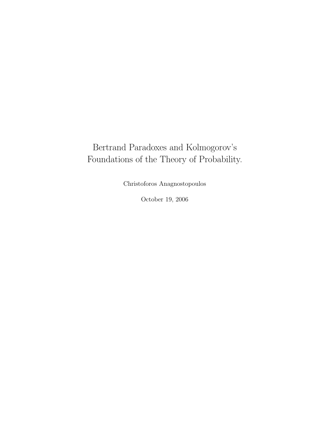## Bertrand Paradoxes and Kolmogorov's Foundations of the Theory of Probability.

Christoforos Anagnostopoulos

October 19, 2006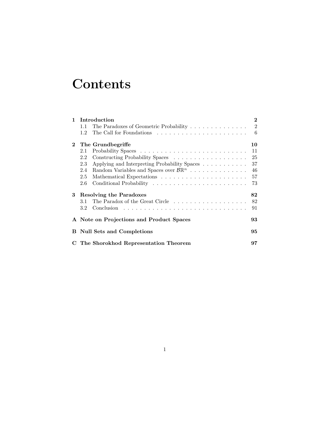# **Contents**

| $\mathbf{1}$ | Introduction                                                                               | $\boldsymbol{2}$ |
|--------------|--------------------------------------------------------------------------------------------|------------------|
|              | The Paradoxes of Geometric Probability 2<br>1.1                                            |                  |
|              | 1.2                                                                                        | $-6$             |
| $\mathbf{2}$ | The Grundbegriffe                                                                          | 10               |
|              | 2.1                                                                                        | 11               |
|              | 2.2                                                                                        | 25               |
|              | Applying and Interpreting Probability Spaces<br>2.3                                        | 37               |
|              | Random Variables and Spaces over $\mathcal{B} \mathbb{R}^n \dots \dots \dots \dots$<br>2.4 | 46               |
|              | 2.5                                                                                        | 57               |
|              | 2.6                                                                                        | 73               |
| 3            | <b>Resolving the Paradoxes</b>                                                             | 82               |
|              | 3.1                                                                                        | 82               |
|              | 3.2                                                                                        | 91               |
|              | A Note on Projections and Product Spaces                                                   | 93               |
|              | <b>B</b> Null Sets and Completions                                                         | 95               |
|              | C The Shorokhod Representation Theorem                                                     | 97               |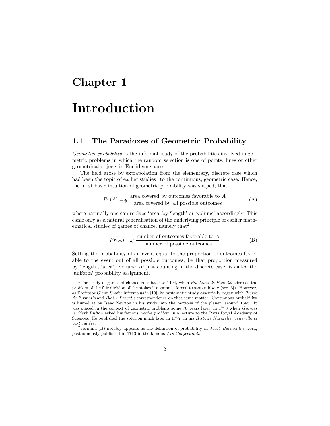## Chapter 1

# Introduction

## 1.1 The Paradoxes of Geometric Probability

Geometric probability is the informal study of the probabilities involved in geometric problems in which the random selection is one of points, lines or other geometrical objects in Euclidean space.

The field arose by extrapolation from the elementary, discrete case which had been the topic of earlier studies<sup>1</sup> to the continuous, geometric case. Hence, the most basic intuition of geometric probability was shaped, that

$$
Pr(A) =_{df} \frac{\text{area covered by outcomes favorable to } A}{\text{area covered by all possible outcomes}} \tag{A}
$$

where naturally one can replace 'area' by 'length' or 'volume' accordingly. This came only as a natural generalisation of the underlying principle of earlier mathematical studies of games of chance, namely that  $2^2$ 

$$
Pr(A) =_{df} \frac{\text{number of outcomes favorable to } A}{\text{number of possible outcomes}} \tag{B}
$$

Setting the probability of an event equal to the proportion of outcomes favorable to the event out of all possible outcomes, be that proportion measured by 'length', 'area', 'volume' or just counting in the discrete case, is called the 'uniform' probability assignment.

<sup>&</sup>lt;sup>1</sup>The study of games of chance goes back to 1494, when Fra Luca de Paciolli adresses the problem of the fair division of the stakes if a game is forced to stop midway (see [3]). However, as Professor Glenn Shafer informs us in [10], its systematic study essentially began with Pierre de Fermat's and Blaise Pascal's correspondence on that same matter. Continuous probability is hinted at by Isaac Newton in his study into the motions of the planet, around 1665. It was placed in the context of geometric problems some 70 years later, in 1773 when Georges le Clerk Buffon asked his famous needle problem in a lecture to the Paris Royal Academy of Sciences. He published the solution much later in 1777, in his Histoire Naturelle, generalle et particuliére.

 $2$ Formula (B) notably appears as the definition of probability in *Jacob Bernoulli's* work, posthumously published in 1713 in the famous Ars Conjectandi.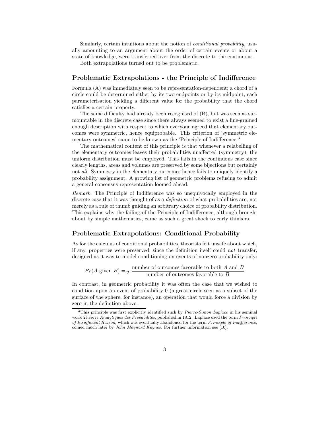Similarly, certain intuitions about the notion of *conditional probability*, usually amounting to an argument about the order of certain events or about a state of knowledge, were transferred over from the discrete to the continuous.

Both extrapolations turned out to be problematic.

#### Problematic Extrapolations - the Principle of Indifference

Formula (A) was immediately seen to be representation-dependent; a chord of a circle could be determined either by its two endpoints or by its midpoint, each parameterisation yielding a different value for the probability that the chord satisfies a certain property.

The same difficulty had already been recognised of (B), but was seen as surmountable in the discrete case since there always seemed to exist a fine-grained enough description with respect to which everyone agreed that elementary outcomes were symmetric, hence equiprobable. This criterion of 'symmetric elementary outcomes' came to be known as the 'Principle of Indifference'<sup>3</sup>.

The mathematical content of this principle is that whenever a relabelling of the elementary outcomes leaves their probabilities unaffected (symmetry), the uniform distribution must be employed. This fails in the continuous case since clearly lengths, areas and volumes are preserved by some bijections but certainly not all. Symmetry in the elementary outcomes hence fails to uniquely identify a probability assignment. A growing list of geometric problems refusing to admit a general consensus representation loomed ahead.

Remark. The Principle of Indifference was so unequivocally employed in the discrete case that it was thought of as a *definition* of what probabilities are, not merely as a rule of thumb guiding an arbitrary choice of probability distribution. This explains why the failing of the Principle of Indifference, although brought about by simple mathematics, came as such a great shock to early thinkers.

### Problematic Extrapolations: Conditional Probability

As for the calculus of conditional probabilities, theorists felt unsafe about which, if any, properties were preserved, since the definition itself could not transfer, designed as it was to model conditioning on events of nonzero probability only:

$$
Pr(A \text{ given } B) =_{df} \frac{\text{number of outcomes favorable to both } A \text{ and } B}{\text{number of outcomes favorable to } B}
$$

In contrast, in geometric probability it was often the case that we wished to condition upon an event of probability 0 (a great circle seen as a subset of the surface of the sphere, for instance), an operation that would force a division by zero in the definition above.

 $3$ This principle was first explicitly identified such by *Pierre-Simon Laplace* in his seminal work Théorie Analytiques des Probabilités, published in 1812. Laplace used the term Principle of Insufficient Reason, which was eventually abandoned for the term Principle of Indifference, coined much later by John Maynard Keynes. For further information see [10].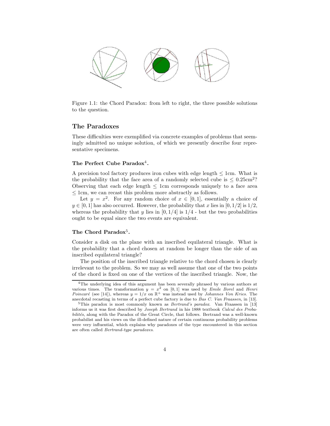

Figure 1.1: the Chord Paradox: from left to right, the three possible solutions to the question.

#### The Paradoxes

These difficulties were exemplified via concrete examples of problems that seemingly admitted no unique solution, of which we presently describe four representative specimens.

#### The Perfect Cube Paradox<sup>4</sup>.

A precision tool factory produces iron cubes with edge length  $\leq 1$ cm. What is the probability that the face area of a randomly selected cube is  $\leq 0.25 \text{cm}^2$ ? Observing that each edge length  $\leq$  1cm corresponds uniquely to a face area  $\leq 1$ cm, we can recast this problem more abstractly as follows.

Let  $y = x^2$ . For any random choice of  $x \in [0,1]$ , essentially a choice of  $y \in [0, 1]$  has also occurred. However, the probability that x lies in  $[0, 1/2]$  is  $1/2$ , whereas the probability that y lies in  $[0, 1/4]$  is  $1/4$  - but the two probabilities ought to be equal since the two events are equivalent.

#### The Chord Paradox<sup>5</sup>.

Consider a disk on the plane with an inscribed equilateral triangle. What is the probability that a chord chosen at random be longer than the side of an inscribed equilateral triangle?

The position of the inscribed triangle relative to the chord chosen is clearly irrelevant to the problem. So we may as well assume that one of the two points of the chord is fixed on one of the vertices of the inscribed triangle. Now, the

<sup>&</sup>lt;sup>4</sup>The underlying idea of this argument has been severally phrased by various authors at various times. The transformation  $y = x^2$  on [0,1] was used by *Emile Borel* and *Henri* Poincaré (see [14]), whereas  $y = 1/x$  on  $\mathbb{R}^+$  was instead used by Johannes Von Kries. The anecdotal recasting in terms of a perfect cube factory is due to Bas C. Van Fraassen, in [13].

 $5$ This paradox is most commonly known as *Bertrand's paradox*. Van Fraassen in [13] informs us it was first described by Joseph Bertrand in his 1888 textbook Calcul des Probabilités, along with the Paradox of the Great Circle, that follows. Bertrand was a well-known probabilist and his views on the ill-defined nature of certain continuous probability problems were very influential, which explains why paradoxes of the type encountered in this section are often called Bertrand-type paradoxes.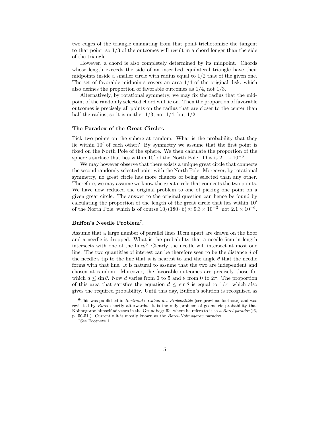two edges of the triangle emanating from that point trichotomize the tangent to that point, so 1/3 of the outcomes will result in a chord longer than the side of the triangle.

However, a chord is also completely determined by its midpoint. Chords whose length exceeds the side of an inscribed equilateral triangle have their midpoints inside a smaller circle with radius equal to 1/2 that of the given one. The set of favorable midpoints covers an area 1/4 of the original disk, which also defines the proportion of favorable outcomes as 1/4, not 1/3.

Alternatively, by rotational symmetry, we may fix the radius that the midpoint of the randomly selected chord will lie on. Then the proportion of favorable outcomes is precisely all points on the radius that are closer to the center than half the radius, so it is neither  $1/3$ , nor  $1/4$ , but  $1/2$ .

#### The Paradox of the Great Circle<sup>6</sup>.

Pick two points on the sphere at random. What is the probability that they lie within  $10'$  of each other? By symmetry we assume that the first point is fixed on the North Pole of the sphere. We then calculate the proportion of the sphere's surface that lies within 10' of the North Pole. This is  $2.1 \times 10^{-6}$ .

We may however observe that there exists a unique great circle that connects the second randomly selected point with the North Pole. Moreover, by rotational symmetry, no great circle has more chances of being selected than any other. Therefore, we may assume we know the great circle that connects the two points. We have now reduced the original problem to one of picking one point on a given great circle. The answer to the original question can hence be found by calculating the proportion of the length of the great circle that lies within  $10<sup>′</sup>$ of the North Pole, which is of course  $10/(180 \cdot 6) \approx 9.3 \times 10^{-3}$ , not  $2.1 \times 10^{-6}$ .

#### Buffon's Needle Problem<sup>7</sup>.

Assume that a large number of parallel lines 10cm apart are drawn on the floor and a needle is dropped. What is the probability that a needle 5cm in length intersects with one of the lines? Clearly the needle will intersect at most one line. The two quantities of interest can be therefore seen to be the distance d of the needle's tip to the line that it is nearest to and the angle  $\theta$  that the needle forms with that line. It is natural to assume that the two are independent and chosen at random. Moreover, the favorable outcomes are precisely those for which  $d \leq \sin \theta$ . Now d varies from 0 to 5 and  $\theta$  from 0 to  $2\pi$ . The proportion of this area that satisfies the equation  $d \leq \sin \theta$  is equal to  $1/\pi$ , which also gives the required probability. Until this day, Buffon's solution is recognised as

 $6$ This was published in *Bertrand's Calcul des Probabilités* (see previous footnote) and was revisited by Borel shortly afterwards. It is the only problem of geometric probability that Kolmogorov himself adresses in the Grundbegriffe, where he refers to it as a Borel paradox( $[6,$ p. 50-51]). Currently it is mostly known as the Borel-Kolmogorov paradox.

<sup>&</sup>lt;sup>7</sup>See Footnote 1.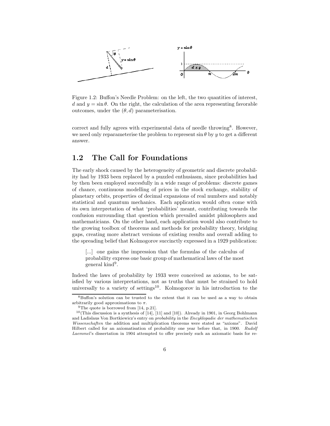

Figure 1.2: Buffon's Needle Problem: on the left, the two quantities of interest, d and  $y = \sin \theta$ . On the right, the calculation of the area representing favorable outcomes, under the (θ, d) parameterisation.

correct and fully agrees with experimental data of needle throwing<sup>8</sup>. However, we need only reparameterise the problem to represent  $\sin \theta$  by y to get a different answer.

## 1.2 The Call for Foundations

The early shock caused by the heterogeneity of geometric and discrete probability had by 1933 been replaced by a puzzled enthusiasm, since probabilities had by then been employed succesfully in a wide range of problems: discrete games of chance, continuous modelling of prices in the stock exchange, stability of planetary orbits, properties of decimal expansions of real numbers and notably statistical and quantum mechanics. Each application would often come with its own interpretation of what 'probabilities' meant, contributing towards the confusion surrounding that question which prevailed amidst philosophers and mathematicians. On the other hand, each application would also contribute to the growing toolbox of theorems and methods for probability theory, bridging gaps, creating more abstract versions of existing results and overall adding to the spreading belief that Kolmogorov succinctly expressed in a 1929 publication:

[...] one gains the impression that the formulas of the calculus of probability express one basic group of mathematical laws of the most  $\gamma$  general kind<sup>9</sup>.

Indeed the laws of probability by 1933 were conceived as axioms, to be satisfied by various interpretations, not as truths that must be strained to hold universally to a variety of settings<sup>10</sup>. Kolmogorov in his introduction to the

<sup>8</sup>Buffon's solution can be trusted to the extent that it can be used as a way to obtain arbitrarily good approximations to  $\pi$ .

<sup>&</sup>lt;sup>9</sup>The quote is borrowed from [14, p.21].

 $10$ (This discussion is a synthesis of [14], [11] and [10]). Already in 1901, in Georg Bohlmann and Ladislaus Von Bortkiewicz's entry on *probability* in the *Encyklopadie der mathematischen* Wissenschaften the addition and multiplication theorems were stated as "axioms". David Hilbert called for an axiomatisation of probability one year before that, in 1900. Rudolf Laemmel's dissertation in 1904 attempted to offer precisely such an axiomatic basis for re-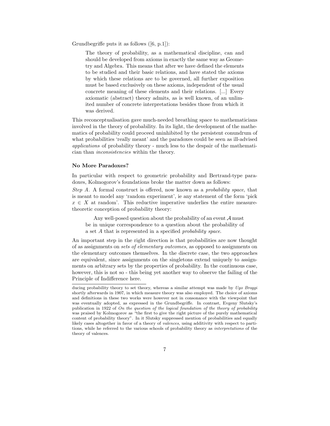Grundbegriffe puts it as follows ([6, p.1]):

The theory of probability, as a mathematical discipline, can and should be developed from axioms in exactly the same way as Geometry and Algebra. This means that after we have defined the elements to be studied and their basic relations, and have stated the axioms by which these relations are to be governed, all further exposition must be based exclusively on these axioms, independent of the usual concrete meaning of these elements and their relations. [...] Every axiomatic (abstract) theory admits, as is well known, of an unlimited number of concrete interpretations besides those from which it was derived.

This reconceptualisation gave much-needed breathing space to mathematicians involved in the theory of probability. In its light, the development of the mathematics of probability could proceed uninhibited by the persistent conundrum of what probabilities 'really meant' and the paradoxes could be seen as ill-advised applications of probability theory - much less to the despair of the mathematician than inconsistencies within the theory.

#### No More Paradoxes?

In particular with respect to geometric probability and Bertrand-type paradoxes, Kolmogorov's foundations broke the matter down as follows:

Step A. A formal construct is offered, now known as a *probability space*, that is meant to model any 'random experiment', ie any statement of the form 'pick  $x \in X$  at random'. This reductive imperative underlies the entire measuretheoretic conception of probability theory:

Any well-posed question about the probability of an event  $A$  must be in unique correspondence to a question about the probability of a set A that is represented in a specified probability space.

An important step in the right direction is that probabilities are now thought of as assignments on sets of elementary outcomes, as opposed to assignments on the elementary outcomes themselves. In the discrete case, the two approaches are equivalent, since assignments on the singletons extend uniquely to assignments on arbitrary sets by the properties of probability. In the continuous case, however, this is not so - this being yet another way to observe the failing of the Principle of Indifference here.

ducing probability theory to set theory, whereas a similar attempt was made by Ugo Broggi shortly afterwards in 1907, in which measure theory was also employed. The choice of axioms and definitions in these two works were however not in consonance with the viewpoint that was eventually adopted, as expressed in the Grundbegriffe. In contrast, Evgeny Slutsky's publication in 1922 of On the question of the logical foundation of the theory of probability was praised by Kolmogorov as "the first to give the right picture of the purely mathematical content of probability theory". In it Slutsky suppressed mention of probabilities and equally likely cases altogether in favor of a theory of valences, using additivity with respect to partitions, while he referred to the various schools of probability theory as interpretations of the theory of valences.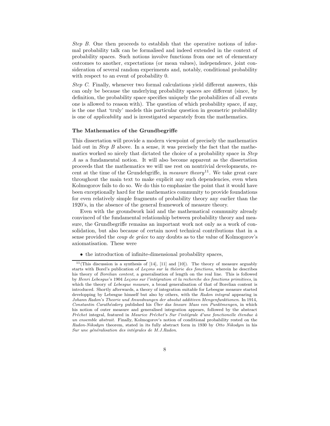Step B. One then proceeds to establish that the operative notions of informal probability talk can be formalised and indeed extended in the context of probability spaces. Such notions involve functions from one set of elementary outcomes to another, expectations (or mean values), independence, joint consideration of several random experiments and, notably, conditional probability with respect to an event of probability 0.

Step C. Finally, whenever two formal calculations yield different answers, this can only be because the underlying probability spaces are different (since, by definition, the probability space specifies uniquely the probabilities of all events one is allowed to reason with). The question of which probability space, if any, is the one that 'truly' models this particular question in geometric probability is one of applicability and is investigated separately from the mathematics.

#### The Mathematics of the Grundbegriffe

This dissertation will provide a modern viewpoint of precisely the mathematics laid out in *Step B* above. In a sense, it was precisely the fact that the mathematics worked so nicely that dictated the choice of a probability space in Step A as a fundamental notion. It will also become apparent as the dissertation proceeds that the mathematics we will use rest on nontrivial developments, recent at the time of the Grundebgriffe, in *measure theory*<sup>11</sup>. We take great care throughout the main text to make explicit any such dependencies, even when Kolmogorov fails to do so. We do this to emphasize the point that it would have been exceptionally hard for the mathematics community to provide foundations for even relatively simple fragments of probability theory any earlier than the 1920's, in the absence of the general framework of measure theory.

Even with the groundwork laid and the mathematical community already convinced of the fundamental relationship between probability theory and measure, the Grundbegriffe remains an important work not only as a work of consolidation, but also because of certain novel technical contributions that in a sense provided the *coup de grâce* to any doubts as to the value of Kolmogorov's axiomatisation. These were

• the introduction of infinite-dimensional probability spaces,

 $11$ (This discussion is a synthesis of [14], [11] and [10]). The theory of measure arguably starts with Borel's publication of Leçons sur la théorie des fonctions, wherein he describes his theory of Borelian content, a generalisation of length on the real line. This is followed by Henri Lebesgue's 1904 Leçons sur l'intégration et la recherche des fonctions primitives, in which the theory of Lebesgue measure, a broad generalisation of that of Borelian content is introduced. Shortly afterwards, a theory of integration suitable for Lebesgue measure started developping by Lebesgue himself but also by others, with the Radon integral appearing in Johann Radon's Theorie und Anwednungen der absolut additiven Mengenfunktionen. In 1914, Constantin Carathéodory published his Über das lineare Mass von Punktmengen, in which his notion of outer measure and generalised integration appears, followed by the abstract  $Frefchet$  integral, featured in Maurice Fréchet's Sur l'intégrale d'une fonctionelle étendue à un ensemble abstrait. Finally, Kolmogorov's notion of conditional probability rested on the Radon-Nikodym theorem, stated in its fully abstract form in 1930 by Otto Nikodym in his Sur une généralisation des intégrales de M.J.Radon.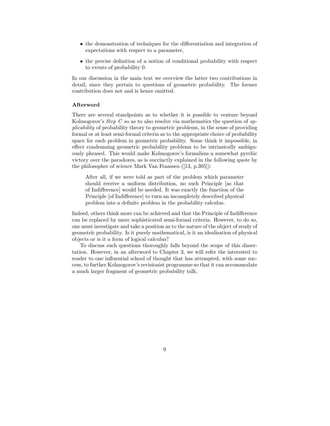- the demonstration of techniques for the differentiation and integration of expectations with respect to a parameter,
- the precise definition of a notion of conditional probability with respect to events of probability 0.

In our discussion in the main text we overview the latter two contributions in detail, since they pertain to questions of geometric probability. The former contribution does not and is hence omitted.

#### Afterword

There are several standpoints as to whether it is possible to venture beyond Kolmogorov's *Step C* so as to also resolve via mathematics the question of  $ap$ plicability of probability theory to geometric problems, in the sense of providing formal or at least semi-formal criteria as to the appropriate choice of probability space for each problem in geometric probability. Some think it impossible, in effect condemning geometric probability problems to be intrinsically ambiguously phrased. This would make Kolmogorov's formalism a somewhat pyrrhic victory over the paradoxes, as is succinctly explained in the following quote by the philosopher of science Mark Van Fraassen ([13, p.305]):

After all, if we were told as part of the problem which parameter should receive a uniform distribution, no such Principle [as that of Indifference] would be needed. It was exactly the function of the Principle [of Indifference] to turn an incompletely described physical problem into a definite problem in the probability calculus.

Indeed, others think more can be achieved and that the Principle of Indifference can be replaced by more sophisticated semi-formal criteria. However, to do so, one must investigate and take a position as to the nature of the object of study of geometric probability. Is it purely mathematical, is it an idealisation of physical objects or is it a form of logical calculus?

To discuss such questions thoroughly falls beyond the scope of this dissertation. However, in an afterword to Chapter 3, we will refer the interested to reader to one influential school of thought that has attempted, with some success, to further Kolmogorov's revisionist programme so that it can accommodate a much larger fragment of geometric probability talk.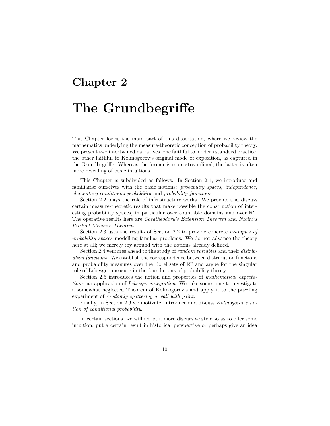## Chapter 2

# The Grundbegriffe

This Chapter forms the main part of this dissertation, where we review the mathematics underlying the measure-theoretic conception of probability theory. We present two intertwined narratives, one faithful to modern standard practice, the other faithful to Kolmogorov's original mode of exposition, as captured in the Grundbegriffe. Whereas the former is more streamlined, the latter is often more revealing of basic intuitions.

This Chapter is subdivided as follows. In Section 2.1, we introduce and familiarise ourselves with the basic notions: probability spaces, independence, elementary conditional probability and probability functions.

Section 2.2 plays the role of infrastructure works. We provide and discuss certain measure-theoretic results that make possible the construction of interesting probability spaces, in particular over countable domains and over  $\mathbb{R}^n$ . The operative results here are *Carathéodory's Extension Theorem* and Fubini's Product Measure Theorem.

Section 2.3 uses the results of Section 2.2 to provide concrete examples of probability spaces modelling familiar problems. We do not advance the theory here at all; we merely toy around with the notions already defined.

Section 2.4 ventures ahead to the study of random variables and their distribution functions. We establish the correspondence between distribution functions and probability measures over the Borel sets of  $\mathbb{R}^n$  and argue for the singular role of Lebesgue measure in the foundations of probability theory.

Section 2.5 introduces the notion and properties of mathematical expectations, an application of Lebesgue integration. We take some time to investigate a somewhat neglected Theorem of Kolmogorov's and apply it to the puzzling experiment of randomly spattering a wall with paint.

Finally, in Section 2.6 we motivate, introduce and discuss Kolmogorov's notion of conditional probability.

In certain sections, we will adopt a more discursive style so as to offer some intuition, put a certain result in historical perspective or perhaps give an idea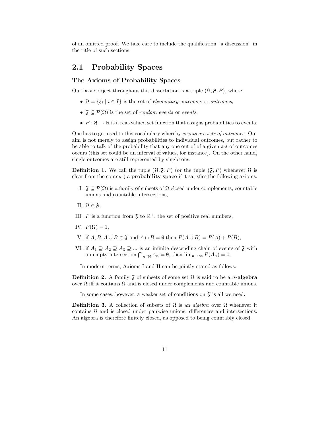of an omitted proof. We take care to include the qualification "a discussion" in the title of such sections.

## 2.1 Probability Spaces

#### The Axioms of Probability Spaces

Our basic object throughout this dissertation is a triple  $(\Omega, \mathfrak{F}, P)$ , where

- $\Omega = \{\xi_i \mid i \in I\}$  is the set of *elementary outcomes* or *outcomes*,
- $\mathfrak{F} \subseteq \mathcal{P}(\Omega)$  is the set of *random events* or *events*,
- $P : \mathfrak{F} \to \mathbb{R}$  is a real-valued set function that assigns probabilities to events.

One has to get used to this vocabulary whereby events are sets of outcomes. Our aim is not merely to assign probabilities to individual outcomes, but rather to be able to talk of the probability that any one out of of a given set of outcomes occurs (this set could be an interval of values, for instance). On the other hand, single outcomes are still represented by singletons.

**Definition 1.** We call the tuple  $(\Omega, \mathfrak{F}, P)$  (or the tuple  $(\mathfrak{F}, P)$  whenever  $\Omega$  is clear from the context) a probability space if it satisfies the following axioms:

- I.  $\mathfrak{F} \subseteq \mathcal{P}(\Omega)$  is a family of subsets of  $\Omega$  closed under complements, countable unions and countable intersections,
- II.  $\Omega \in \mathfrak{F}$ ,
- III. P is a function from  $\mathfrak{F}$  to  $\mathbb{R}^+$ , the set of positive real numbers,
- IV.  $P(\Omega) = 1$ ,
- V. if  $A, B, A \cup B \in \mathfrak{F}$  and  $A \cap B = \emptyset$  then  $P(A \cup B) = P(A) + P(B)$ ,
- VI. if  $A_1 \supseteq A_2 \supseteq A_3 \supseteq \dots$  is an infinite descending chain of events of  $\mathfrak{F}$  with an empty intersection  $\bigcap_{n\in\mathbb{N}} A_n = \emptyset$ , then  $\lim_{n\to\infty} P(A_n) = 0$ .

In modern terms, Axioms I and II can be jointly stated as follows:

**Definition 2.** A family  $\mathfrak F$  of subsets of some set  $\Omega$  is said to be a  $\sigma$ -algebra over  $\Omega$  iff it contains  $\Omega$  and is closed under complements and countable unions.

In some cases, however, a weaker set of conditions on  $\mathfrak{F}$  is all we need:

**Definition 3.** A collection of subsets of  $\Omega$  is an *algebra* over  $\Omega$  whenever it contains  $\Omega$  and is closed under pairwise unions, differences and intersections. An algebra is therefore finitely closed, as opposed to being countably closed.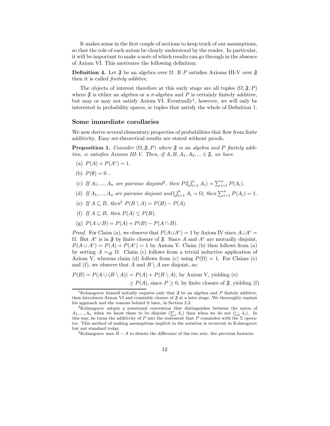It makes sense in the first couple of sections to keep track of our assumptions, so that the role of each axiom be clearly understood by the reader. In particular, it will be important to make a note of which results can go through in the absence of Axiom VI. This motivates the following definition:

**Definition 4.** Let  $\mathfrak{F}$  be an algebra over  $\Omega$ . If P satisfies Axioms III-V over  $\mathfrak{F}$ then it is called finitely additive.

The objects of interest therefore at this early stage are all tuples  $(\Omega, \mathfrak{F}, P)$ where  $\mathfrak F$  is either an algebra or a  $\sigma$ -algebra and P is certainly finitely additive, but may or may not satisfy Axiom VI. Eventually<sup>1</sup>, however, we will only be interested in probability spaces, ie tuples that satisfy the whole of Definition 1.

#### Some immediate corollaries

We now derive several elementary properties of probabilities that flow from finite additivity. Easy set-theoretical results are stated without proofs.

**Proposition 1.** Consider  $(\Omega, \mathfrak{F}, P)$  where  $\mathfrak{F}$  is an algebra and P finitely additive, ie satisfies Axioms III-V. Then, if  $A, B, A_1, A_2, \ldots \in \mathfrak{F}$ , we have

- (a)  $P(A) + P(A^c) = 1$ .
- (b)  $P(\emptyset) = 0$ .
- (c) If  $A_1, ..., A_n$  are pairwise disjoint<sup>2</sup>, then  $P(\bigcup_{i=1}^n A_i) = \sum_{i=1}^n P(A_i)$ .
- (d) If  $A_1, ..., A_n$  are pairwise disjoint and  $\bigcup_{i=1}^n A_i = \Omega$ , then  $\sum_{i=1}^n P(A_i) = 1$ .
- (e) If  $A \subseteq B$ , then<sup>3</sup>  $P(B \setminus A) = P(B) P(A)$ .
- (f) If  $A \subseteq B$ , then  $P(A) \leq P(B)$ .
- (g)  $P(A \cup B) = P(A) + P(B) P(A \cap B)$ .

*Proof.* For Claim (a), we observe that  $P(A \cup A^c) = 1$  by Axiom IV since  $A \cup A^c =$ Ω. But  $A^c$  is in  $\mathfrak F$  by finite closure of  $\mathfrak F$ . Since A and  $A^c$  are mutually disjoint,  $P(A \cup A^c) = P(A) + P(A^c) = 1$  by Axiom V. Claim (b) then follows from (a) by setting  $A =_{df} \Omega$ . Claim (c) follows from a trivial inductive application of Axiom V, whereas claim (d) follows from (c) using  $P(\Omega) = 1$ . For Claims (e) and (f), we observe that A and  $B \setminus A$  are disjoint, so:

$$
P(B) = P(A \cup (B \setminus A)) = P(A) + P(B \setminus A)
$$
, by Axiom V, yielding (e)  

$$
\ge P(A)
$$
, since  $P \ge 0$ , by finite closure of  $\mathfrak{F}$ , yielding (f)

<sup>&</sup>lt;sup>1</sup>Kolmogorov himself initially requires only that  $\mathfrak F$  be an algebra and P finitely additive, then introduces Axiom VI and countable closure of  $\mathfrak F$  at a later stage. We thoroughly explain his approach and the reasons behind it later, in Section 2.2.

<sup>2</sup>Kolmogorov adopts a notational convention that distinguishes between the union of  $A_1, ..., A_n$  when we know these to be disjoint  $(\sum_i A_i)$  than when we do not  $(\bigcup_i A_i)$ . In this way, he turns the additivity of P into the statement that P commutes with the  $\Sigma$  operator. This method of making assumptions implicit in the notation is recurrent in Kolmogorov but not standard today.

<sup>&</sup>lt;sup>3</sup>Kolmogorov uses  $B - A$  to denote the difference of the two sets. See previous footnote.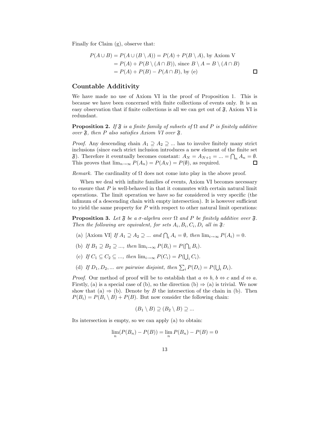Finally for Claim (g), observe that:

$$
P(A \cup B) = P(A \cup (B \setminus A)) = P(A) + P(B \setminus A), \text{ by Axiom V}
$$
  
=  $P(A) + P(B \setminus (A \cap B)), \text{ since } B \setminus A = B \setminus (A \cap B)$   
=  $P(A) + P(B) - P(A \cap B), \text{ by (e)}$ 

#### Countable Additivity

We have made no use of Axiom VI in the proof of Proposition 1. This is because we have been concerned with finite collections of events only. It is an easy observation that if finite collections is all we can get out of  $\mathfrak{F}$ , Axiom VI is redundant.

**Proposition 2.** If  $\mathfrak F$  is a finite family of subsets of  $\Omega$  and P is finitely additive over  $\mathfrak{F}$ , then P also satisfies Axiom VI over  $\mathfrak{F}$ .

*Proof.* Any descending chain  $A_1 \supseteq A_2 \supseteqeq ...$  has to involve finitely many strict inclusions (since each strict inclusion introduces a new element of the finite set  $\mathfrak{F}$ ). Therefore it eventually becomes constant:  $A_N = A_{N+1} = ... = \bigcap_n A_n = \emptyset$ . This proves that  $\lim_{n\to\infty} P(A_n) = P(A_N) = P(\emptyset)$ , as required.

Remark. The cardinality of  $\Omega$  does not come into play in the above proof.

When we deal with infinite families of events, Axiom VI becomes necessary to ensure that  $P$  is well-behaved in that it commutes with certain natural limit operations. The limit operation we have so far considered is very specific (the infimum of a descending chain with empty intersection). It is however sufficient to yield the same property for  $P$  with respect to other natural limit operations:

**Proposition 3.** Let  $\mathfrak{F}$  be a  $\sigma$ -algebra over  $\Omega$  and P be finitely additive over  $\mathfrak{F}$ . Then the following are equivalent, for sets  $A_i, B_i, C_i, D_i$  all in  $\mathfrak{F}$ :

- (a) [Axiom VI] If  $A_1 \supseteq A_2 \supseteqeq ...$  and  $\bigcap_i A_i = \emptyset$ , then  $\lim_{i \to \infty} P(A_i) = 0$ .
- (b) If  $B_1 \supseteq B_2 \supseteq ...$ , then  $\lim_{i \to \infty} P(B_i) = P(\bigcap_i B_i)$ .
- (c) If  $C_1 \subseteq C_2 \subseteq ...$ , then  $\lim_{i \to \infty} P(C_i) = P(\bigcup_i C_i)$ .
- (d) If  $D_1, D_2, ...$  are pairwise disjoint, then  $\sum_i P(D_i) = P(\bigcup_i D_i)$ .

*Proof.* Our method of proof will be to establish that  $a \Leftrightarrow b, b \Leftrightarrow c$  and  $d \Leftrightarrow a$ . Firstly, (a) is a special case of (b), so the direction (b)  $\Rightarrow$  (a) is trivial. We now show that (a)  $\Rightarrow$  (b). Denote by B the intersection of the chain in (b). Then  $P(B_i) = P(B_i \setminus B) + P(B)$ . But now consider the following chain:

$$
(B_1 \setminus B) \supseteq (B_2 \setminus B) \supseteq \dots
$$

Its intersection is empty, so we can apply (a) to obtain:

$$
\lim_{n} (P(B_n) - P(B)) = \lim_{n} P(B_n) - P(B) = 0
$$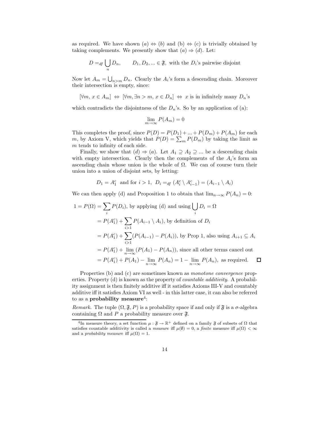as required. We have shown  $(a) \Leftrightarrow (b)$  and  $(b) \Leftrightarrow (c)$  is trivially obtained by taking complements. We presently show that  $(a) \Rightarrow (d)$ . Let:

$$
D =_{df} \bigcup_{n} D_n, \qquad D_1, D_2, \dots \in \mathfrak{F}, \text{ with the } D_i \text{'s pairwise disjoint}
$$

Now let  $A_m = \bigcup_{n>m} D_n$ . Clearly the  $A_i$ 's form a descending chain. Moreover their intersection is empty, since:

$$
[\forall m, x \in A_m] \Leftrightarrow [\forall m, \exists n > m, x \in D_n] \Leftrightarrow x \text{ is in infinitely many } D_n\text{'s}
$$

which contradicts the disjointness of the  $D_n$ 's. So by an application of (a):

$$
\lim_{m \to \infty} P(A_m) = 0
$$

This completes the proof, since  $P(D) = P(D_1) + ... + P(D_m) + P(A_m)$  for each m, by Axiom V, which yields that  $P(D) = \sum_{m} P(D_m)$  by taking the limit as m tends to infinity of each side.

Finally, we show that  $(d) \Rightarrow (a)$ . Let  $A_1 \supseteq A_2 \supseteq ...$  be a descending chain with empty intersection. Clearly then the complements of the  $A_i$ 's form an ascending chain whose union is the whole of  $\Omega$ . We can of course turn their union into a union of disjoint sets, by letting:

$$
D_1 = A_1^c
$$
 and for  $i > 1$ ,  $D_i =_{df} (A_i^c \setminus A_{i-1}^c) = (A_{i-1} \setminus A_i)$ 

We can then apply (d) and Proposition 1 to obtain that  $\lim_{n\to\infty} P(A_n) = 0$ :

$$
1 = P(\Omega) = \sum_{i} P(D_i)
$$
, by applying (d) and using  $\bigcup_{i} D_i = \Omega$   
=  $P(A_1^c) + \sum_{i>1} P(A_{i-1} \setminus A_i)$ , by definition of  $D_i$   
=  $P(A_1^c) + \sum_{i>1} (P(A_{i-1}) - P(A_i))$ , by Prop 1, also using  $A_{i+1} \subseteq A_i$   
=  $P(A_1^c) + \lim_{n \to \infty} (P(A_1) - P(A_n))$ , since all other terms cancel out  
=  $P(A_1^c) + P(A_1) - \lim_{n \to \infty} P(A_n) = 1 - \lim_{n \to \infty} P(A_n)$ , as required.  $\square$ 

Properties (b) and (c) are sometimes known as monotone convergence properties. Property (d) is known as the property of countable additivity. A probability assignment is then finitely additive iff it satisfies Axioms III-V and countably additive iff it satisfies Axiom VI as well - in this latter case, it can also be referred to as a **probability measure**<sup>4</sup>:

Remark. The tuple  $(\Omega, \mathfrak{F}, P)$  is a probability space if and only if  $\mathfrak{F}$  is a  $\sigma$ -algebra containing  $\Omega$  and P a probability measure over  $\mathfrak{F}$ .

<sup>&</sup>lt;sup>4</sup>In measure theory, a set function  $\mu : \mathfrak{F} \to \mathbb{R}^+$  defined on a family  $\mathfrak{F}$  of subsets of  $\Omega$  that satisfies countable additivity is called a *measure* iff  $\mu(\emptyset) = 0$ , a *finite* measure iff  $\mu(\Omega) < \infty$ and a *probability measure* iff  $\mu(\Omega) = 1$ .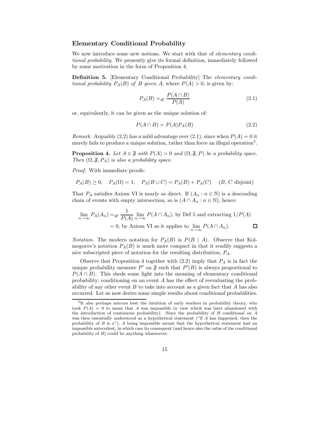#### Elementary Conditional Probability

We now introduce some new notions. We start with that of *elementary condi*tional probability. We presently give its formal definition, immediately followed by some motivation in the form of Proposition 4.

Definition 5. [Elementary Conditional Probability] The elementary conditional probability  $P_A(B)$  of B given A, where  $P(A) > 0$ , is given by:

$$
P_A(B) =_{df} \frac{P(A \cap B)}{P(A)}\tag{2.1}
$$

or, equivalently, it can be given as the unique solution of:

$$
P(A \cap B) = P(A)P_A(B)
$$
\n<sup>(2.2)</sup>

*Remark.* Arguably (2.2) has a mild advantage over (2.1), since when  $P(A) = 0$  it merely fails to produce a unique solution, rather than force an illegal operation<sup>5</sup>.

**Proposition 4.** Let  $A \in \mathfrak{F}$  with  $P(A) > 0$  and  $(\Omega, \mathfrak{F}, P)$  be a probability space. Then  $(\Omega, \mathfrak{F}, P_A)$  is also a probability space.

Proof. With immediate proofs:

$$
P_A(B) \ge 0, \quad P_A(\Omega) = 1, \quad P_A(B \cup C) = P_A(B) + P_A(C) \quad (B, C \text{ disjoint})
$$

That  $P_A$  satisfies Axiom VI is nearly as direct. If  $(A_n : n \in \mathbb{N})$  is a descending chain of events with empty intersection, so is  $(A \cap A_n : n \in \mathbb{N})$ , hence:

$$
\lim_{n \to \infty} P_A(A_n) =_{df} \frac{1}{P(A)} \lim_{n \to \infty} P(A \cap A_n)
$$
, by Def 5 and extracting  $1/P(A)$   
= 0, by Axiom VI as it applies to  $\lim_{n \to \infty} P(A \cap A_n)$ .

*Notation.* The modern notation for  $P_A(B)$  is  $P(B \mid A)$ . Observe that Kolmogorov's notation  $P_A(B)$  is much more compact in that it readily suggests a nice subscripted piece of notation for the resulting distribution,  $P_A$ .

Observe that Proposition 4 together with  $(2.2)$  imply that  $P_A$  is in fact the unique probability measure P' on  $\mathfrak F$  such that  $P'(B)$  is always proportional to  $P(A \cap B)$ . This sheds some light into the meaning of elementary conditional probability; conditioning on an event A has the effect of reevaluating the probability of any other event  $B$  to take into account as a given fact that  $A$  has also occurred. Let us now derive some simple results about conditional probabilities.

<sup>&</sup>lt;sup>5</sup>It also perhaps mirrors best the intuition of early workers in probability theory, who took  $P(A) = 0$  to mean that A was impossible (a view which was later abandoned with the introduction of continuous probability). Since the probability of  $B$  conditional on  $A$ was then essentially understood as a hypothetical statement ("if A has happened, then the probability of  $B$  is  $x$ "),  $A$  being impossible meant that the hypothetical statement had an impossible antecedent, in which case its consequent (and hence also the value of the conditional probability of  $B$ ) could be anything whatsoever.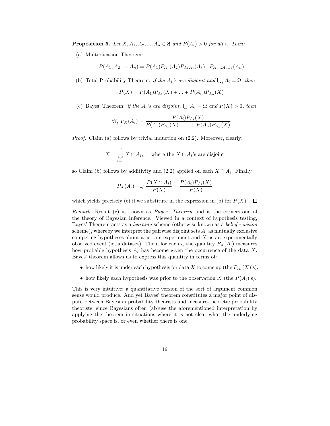**Proposition 5.** Let  $X, A_1, A_2, ..., A_n \in \mathfrak{F}$  and  $P(A_i) > 0$  for all i. Then:

(a) Multiplication Theorem:

 $P(A_1, A_2, ..., A_n) = P(A_1)P_{A_1}(A_2)P_{A_1A_2}(A_3)...P_{A_1...A_{n-1}}(A_n)$ 

(b) Total Probability Theorem: if the  $A_i$ 's are disjoint and  $\bigcup_i A_i = \Omega$ , then

$$
P(X) = P(A_1)P_{A_1}(X) + \dots + P(A_n)P_{A_n}(X)
$$

(c) Bayes' Theorem: if the  $A_i$ 's are disjoint,  $\bigcup_i A_i = \Omega$  and  $P(X) > 0$ , then

$$
\forall i, P_X(A_i) = \frac{P(A_i)P_{A_i}(X)}{P(A_1)P_{A_1}(X) + \dots + P(A_n)P_{A_n}(X)}
$$

Proof. Claim (a) follows by trivial induction on  $(2.2)$ . Moreover, clearly:

$$
X = \bigcup_{i=1}^{n} X \cap A_i, \quad \text{where the } X \cap A_i\text{'s are disjoint}
$$

so Claim (b) follows by additivity and  $(2.2)$  applied on each  $X \cap A_i$ . Finally,

$$
P_X(A_i) =_{df} \frac{P(X \cap A_i)}{P(X)} = \frac{P(A_i)P_{A_i}(X)}{P(X)}
$$

which yields precisely (c) if we substitute in the expression in (b) for  $P(X)$ .  $\Box$ 

Remark. Result (c) is known as Bayes' Theorem and is the cornerstone of the theory of Bayesian Inference. Viewed in a context of hypothesis testing, Bayes' Theorem acts as a learning scheme (otherwise known as a belief revision scheme), whereby we interpret the pairwise disjoint sets  $A_i$  as mutually exclusive competing hypotheses about a certain experiment and  $X$  as an experimentally observed event (ie, a dataset). Then, for each i, the quantity  $P_X(A_i)$  measures how probable hypothesis  $A_i$  has become given the occurrence of the data X. Bayes' theorem allows us to express this quantity in terms of:

- how likely it is under each hypothesis for data X to come up (the  $P_{A_i}(X)$ 's).
- how likely each hypothesis was prior to the observation X (the  $P(A_i)$ 's).

This is very intuitive; a quantitative version of the sort of argument common sense would produce. And yet Bayes' theorem constitutes a major point of dispute between Bayesian probability theorists and measure-theoretic probability theorists, since Bayesians often (ab)use the aforementioned interpretation by applying the theorem in situations where it is not clear what the underlying probability space is, or even whether there is one.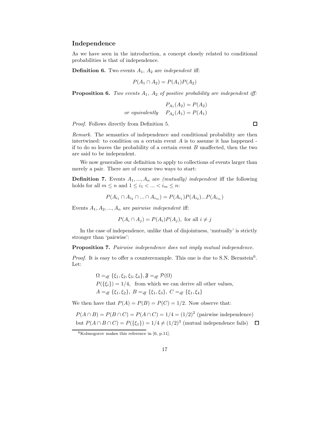#### Independence

As we have seen in the introduction, a concept closely related to conditional probabilities is that of independence.

**Definition 6.** Two events  $A_1$ ,  $A_2$  are *independent* iff:

$$
P(A_1 \cap A_2) = P(A_1)P(A_2)
$$

**Proposition 6.** Two events  $A_1$ ,  $A_2$  of positive probability are independent iff:

$$
P_{A_1}(A_2) = P(A_2)
$$
  
or equivalently 
$$
P_{A_2}(A_1) = P(A_1)
$$

Proof. Follows directly from Definition 5.

Remark. The semantics of independence and conditional probability are then intertwined: to condition on a certain event  $A$  is to assume it has happened if to do so leaves the probability of a certain event  $B$  unaffected, then the two are said to be independent.

We now generalise our definition to apply to collections of events larger than merely a pair. There are of course two ways to start:

**Definition 7.** Events  $A_1, ..., A_n$  are *(mutually) independent* iff the following holds for all  $m \leq n$  and  $1 \leq i_1 < \ldots < i_m \leq n$ :

$$
P(A_{i_1} \cap A_{i_2} \cap ... \cap A_{i_m}) = P(A_{i_1})P(A_{i_2})...P(A_{i_m})
$$

Events  $A_1, A_2, ..., A_n$  are pairwise independent iff:

$$
P(A_i \cap A_j) = P(A_i)P(A_j)
$$
, for all  $i \neq j$ 

In the case of independence, unlike that of disjointness, 'mutually' is strictly stronger than 'pairwise':

Proposition 7. Pairwise independence does not imply mutual independence.

Proof. It is easy to offer a counterexample. This one is due to S.N. Bernstein<sup>6</sup>. Let:

> $\Omega =_{df} {\xi_1, \xi_2, \xi_3, \xi_4}, \mathfrak{F} =_{df} \mathcal{P}(\Omega)$  $P({\{\xi_i\}}) = 1/4$ , from which we can derive all other values,  $A =_{df} {\xi_1, \xi_2}, B =_{df} {\xi_1, \xi_3}, C =_{df} {\xi_1, \xi_4}$

We then have that  $P(A) = P(B) = P(C) = 1/2$ . Now observe that:

$$
P(A \cap B) = P(B \cap C) = P(A \cap C) = 1/4 = (1/2)^2
$$
 (pairwise independence)  
but 
$$
P(A \cap B \cap C) = P(\{\xi_1\}) = 1/4 \neq (1/2)^3
$$
 (mutual independence fails)  $\square$ 

 $\Box$ 

 $6$ Kolmogorov makes this reference in [6, p.11].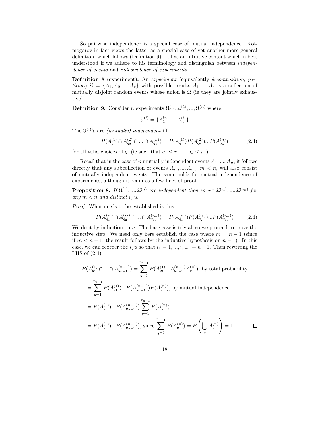So pairwise independence is a special case of mutual independence. Kolmogorov in fact views the latter as a special case of yet another more general definition, which follows (Definition 9). It has an intuitive content which is best understood if we adhere to his terminology and distinguish between independence of events and independence of experiments:

Definition 8 (experiment). An experiment (equivalently decomposition, partition)  $\mathfrak{U} = \{A_1, A_2, ..., A_r\}$  with possible results  $A_1, ..., A_r$  is a collection of mutually disjoint random events whose union is  $\Omega$  (ie they are jointly exhaustive).

**Definition 9.** Consider *n* experiments  $\mathfrak{U}^{(1)}, \mathfrak{U}^{(2)}, \dots, \mathfrak{U}^{(n)}$  where:

$$
\mathfrak{U}^{(i)} = \{A_1^{(i)}, ..., A_{r_i}^{(i)}\}
$$

The  $\mathfrak{U}^{(i)}$ 's are *(mutually)* independent iff:

$$
P(A_{q_1}^{(1)} \cap A_{q_2}^{(2)} \cap ... \cap A_{q_n}^{(n)}) = P(A_{q_1}^{(1)})P(A_{q_2}^{(2)})...P(A_{q_n}^{(n)})
$$
(2.3)

for all valid choices of  $q_i$  (ie such that  $q_1 \leq r_1, ..., q_n \leq r_n$ ).

Recall that in the case of n mutually independent events  $A_1, ..., A_n$ , it follows directly that any subcollection of events  $A_{i_1},..., A_{i_m}$ ,  $m < n$ , will also consist of mutually independent events. The same holds for mutual independence of experiments, although it requires a few lines of proof:

**Proposition 8.** If  $\mathfrak{U}^{(1)},...,\mathfrak{U}^{(n)}$  are independent then so are  $\mathfrak{U}^{(i_1)},...,\mathfrak{U}^{(i_m)}$  for any  $m < n$  and distinct  $i_j$ 's.

Proof. What needs to be established is this:

$$
P(A_{q_1}^{(i_1)} \cap A_{q_2}^{(i_2)} \cap ... \cap A_{q_m}^{(i_m)}) = P(A_{q_1}^{(i_1)}) P(A_{q_2}^{(i_2)}) ... P(A_{q_m}^{(i_m)}) \tag{2.4}
$$

We do it by induction on  $n$ . The base case is trivial, so we proceed to prove the inductive step. We need only here establish the case where  $m = n - 1$  (since if  $m < n-1$ , the result follows by the inductive hypothesis on  $n-1$ ). In this case, we can reorder the  $i_j$ 's so that  $i_1 = 1, ..., i_{n-1} = n-1$ . Then rewriting the LHS of  $(2.4)$ :

$$
P(A_{q_1}^{(1)} \cap ... \cap A_{q_{n-1}}^{(n-1)}) = \sum_{q=1}^{r_{n-1}} P(A_{q_1}^{(1)} ... A_{q_{n-1}}^{(n-1)} A_q^{(n)}), \text{ by total probability}
$$
  
\n
$$
= \sum_{q=1}^{r_{n-1}} P(A_{q_1}^{(1)}) ... P(A_{q_{n-1}}^{(n-1)}) P(A_q^{(n)}), \text{ by mutual independence}
$$
  
\n
$$
= P(A_{q_1}^{(1)}) ... P(A_{q_{n-1}}^{(n-1)}) \sum_{q=1}^{r_{n-1}} P(A_q^{(n)})
$$
  
\n
$$
= P(A_{q_1}^{(1)}) ... P(A_{q_{n-1}}^{(n-1)}), \text{ since } \sum_{q=1}^{r_{n-1}} P(A_q^{(n)}) = P\left(\bigcup_q A_q^{(n)}\right) = 1 \qquad \Box
$$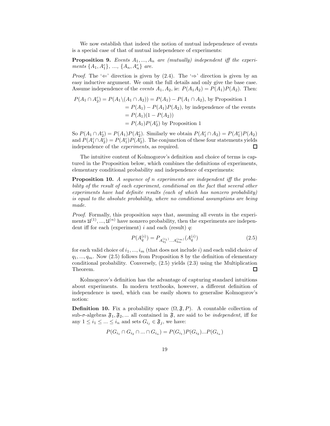We now establish that indeed the notion of mutual independence of events is a special case of that of mutual independence of experiments:

**Proposition 9.** Events  $A_1, ..., A_n$  are (mutually) independent iff the experiments  $\{A_1, A_1^c\}$ , ...,  $\{A_n, A_n^c\}$  are.

*Proof.* The ' $\Leftarrow$ ' direction is given by (2.4). The ' $\Rightarrow$ ' direction is given by an easy inductive argument. We omit the full details and only give the base case. Assume independence of the *events*  $A_1, A_2$ , ie:  $P(A_1A_2) = P(A_1)P(A_2)$ . Then:

$$
P(A_1 \cap A_2^c) = P(A_1 \setminus (A_1 \cap A_2)) = P(A_1) - P(A_1 \cap A_2),
$$
 by Proposition 1  
=  $P(A_1) - P(A_1)P(A_2)$ , by independence of the events  
=  $P(A_1)(1 - P(A_2))$   
=  $P(A_1)P(A_2^c)$  by Proposition 1

So  $P(A_1 \cap A_2^c) = P(A_1)P(A_2^c)$ . Similarly we obtain  $P(A_1^c \cap A_2) = P(A_1^c)P(A_2)$ and  $P(A_1^c \cap A_2^c) = P(A_1^c)P(A_2^c)$ . The conjunction of these four statements yields independence of the experiments, as required. □

The intuitive content of Kolmogorov's definition and choice of terms is captured in the Proposition below, which combines the definitions of experiments, elementary conditional probability and independence of experiments:

Proposition 10. A sequence of n experiments are independent iff the probability of the result of each experiment, conditional on the fact that several other experiments have had definite results (each of which has nonzero probability) is equal to the absolute probability, where no conditional assumptions are being made.

Proof. Formally, this proposition says that, assuming all events in the experiments  $\mathfrak{U}^{(1)},...,\mathfrak{U}^{(n)}$  have nonzero probability, then the experiments are independent iff for each (experiment)  $i$  and each (result)  $q$ :

$$
P(A_q^{(i)}) = P_{A_{q_1}^{(i_1)}\dots A_{q_m}^{(i_m)}}(A_q^{(i)})
$$
\n(2.5)

for each valid choice of  $i_1, ..., i_m$  (that does not include i) and each valid choice of  $q_1, ..., q_m$ . Now (2.5) follows from Proposition 8 by the definition of elementary conditional probability. Conversely, (2.5) yields (2.3) using the Multiplication Theorem. 囗

Kolmogorov's definition has the advantage of capturing standard intuitions about experiments. In modern textbooks, however, a different definition of independence is used, which can be easily shown to generalise Kolmogorov's notion:

**Definition 10.** Fix a probability space  $(\Omega, \mathfrak{F}, P)$ . A countable collection of sub- $\sigma$ -algebras  $\mathfrak{F}_1, \mathfrak{F}_2, \dots$  all contained in  $\mathfrak{F}$ , are said to be *independent*, iff for any  $1 \leq i_1 \leq \ldots \leq i_n$  and sets  $G_{i_j} \in \mathfrak{F}_j$ , we have:

$$
P(G_{i_1} \cap G_{i_2} \cap ... \cap G_{i_n}) = P(G_{i_1})P(G_{i_2})...P(G_{i_n})
$$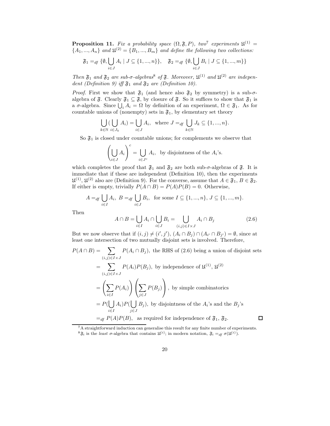**Proposition 11.** Fix a probability space  $(\Omega, \mathfrak{F}, P)$ , two<sup>7</sup> experiments  $\mathfrak{U}^{(1)}$  =  ${A_1, ..., A_n}$  and  $\mathfrak{U}^{(2)} = {B_1, ..., B_m}$  and define the following two collections:

$$
\mathfrak{F}_1 =_{df} \{ \emptyset, \bigcup_{i \in J} A_i \mid J \subseteq \{1, ..., n\} \}, \quad \mathfrak{F}_2 =_{df} \{ \emptyset, \bigcup_{i \in J} B_i \mid J \subseteq \{1, ..., m\} \}
$$

Then  $\mathfrak{F}_1$  and  $\mathfrak{F}_2$  are sub- $\sigma$ -algebras<sup>8</sup> of  $\mathfrak{F}$ . Moreover,  $\mathfrak{U}^{(1)}$  and  $\mathfrak{U}^{(2)}$  are independent (Definition 9) iff  $\mathfrak{F}_1$  and  $\mathfrak{F}_2$  are (Definition 10).

*Proof.* First we show that  $\mathfrak{F}_1$  (and hence also  $\mathfrak{F}_2$  by symmetry) is a sub- $\sigma$ algebra of  $\mathfrak{F}$ . Clearly  $\mathfrak{F}_1 \subseteq \mathfrak{F}$ , by closure of  $\mathfrak{F}$ . So it suffices to show that  $\mathfrak{F}_1$  is a  $\sigma$ -algebra. Since  $\bigcup_i A_i = \Omega$  by definition of an experiment,  $\Omega \in \mathfrak{F}_1$ . As for countable unions of (nonempty) sets in  $\mathfrak{F}_1$ , by elementary set theory

$$
\bigcup_{k \in \mathbb{N}} (\bigcup_{i \in J_k} A_i) = \bigcup_{i \in J} A_i, \text{ where } J =_{df} \bigcup_{k \in \mathbb{N}} J_k \subseteq \{1, ..., n\}.
$$

So  $\mathfrak{F}_1$  is closed under countable unions; for complements we observe that

$$
\left(\bigcup_{i\in J} A_i\right)^c = \bigcup_{i\in J^c} A_i
$$
, by disjointness of the  $A_i$ 's.

which completes the proof that  $\mathfrak{F}_1$  and  $\mathfrak{F}_2$  are both sub- $\sigma$ -algebras of  $\mathfrak{F}$ . It is immediate that if these are independent (Definition 10), then the experiments  $\mathfrak{U}^{(1)}$ ,  $\mathfrak{U}^{(2)}$  also are (Definition 9). For the converse, assume that  $A \in \mathfrak{F}_1, B \in \mathfrak{F}_2$ . If either is empty, trivially  $P(A \cap B) = P(A)P(B) = 0$ . Otherwise,

$$
A =_{df} \bigcup_{i \in I} A_i, \ B =_{df} \bigcup_{i \in J} B_i, \text{ for some } I \subseteq \{1, ..., n\}, J \subseteq \{1, ..., m\}.
$$

Then

$$
A \cap B = \bigcup_{i \in I} A_i \cap \bigcup_{i \in J} B_i = \bigcup_{(i,j) \in I \times J} A_i \cap B_j \tag{2.6}
$$

But we now observe that if  $(i, j) \neq (i', j')$ ,  $(A_i \cap B_j) \cap (A_{i'} \cap B_{j'}) = \emptyset$ , since at least one intersection of two mutually disjoint sets is involved. Therefore,

$$
P(A \cap B) = \sum_{(i,j) \in I \times J} P(A_i \cap B_j)
$$
, the RHS of (2.6) being a union of disjoint sets  
\n
$$
= \sum_{(i,j) \in I \times J} P(A_i)P(B_j)
$$
, by independence of  $\mathfrak{U}^{(1)}$ ,  $\mathfrak{U}^{(2)}$   
\n
$$
= \left(\sum_{i \in I} P(A_i)\right) \left(\sum_{j \in J} P(B_j)\right)
$$
, by simple combinatorics  
\n
$$
= P(\bigcup_{i \in I} A_i)P(\bigcup_{j \in J} B_j)
$$
, by disjointness of the  $A_i$ 's and the  $B_j$ 's  
\n
$$
=_{df} P(A)P(B)
$$
, as required for independence of  $\mathfrak{F}_1$ ,  $\mathfrak{F}_2$ .

<sup>&</sup>lt;sup>7</sup>A straightforward induction can generalise this result for any finite number of experiments.

<sup>&</sup>lt;sup>8</sup> $\mathfrak{F}_i$  is the least  $\sigma$ -algebra that contains  $\mathfrak{U}^{(i)}$ ; in modern notation,  $\mathfrak{F}_i =_{df} \sigma(\mathfrak{U}^{(i)})$ .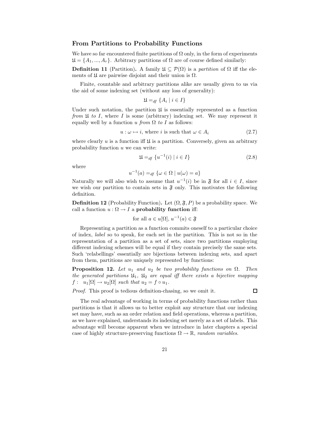#### From Partitions to Probability Functions

We have so far encountered finite partitions of  $\Omega$  only, in the form of experiments  $\mathfrak{U} = \{A_1, ..., A_r\}$ . Arbitrary partitions of  $\Omega$  are of course defined similarly:

**Definition 11** (Partition). A family  $\mathfrak{U} \subseteq \mathcal{P}(\Omega)$  is a partition of  $\Omega$  iff the elements of  $\mathfrak U$  are pairwise disjoint and their union is  $\Omega$ .

Finite, countable and arbitrary partitions alike are usually given to us via the aid of some indexing set (without any loss of generality):

$$
\mathfrak{U} =_{df} \{ A_i \mid i \in I \}
$$

Under such notation, the partition  $\mathfrak U$  is essentially represented as a function from  $\mathfrak U$  to I, where I is some (arbitrary) indexing set. We may represent it equally well by a function u from  $\Omega$  to I as follows:

$$
u: \omega \mapsto i, \text{ where } i \text{ is such that } \omega \in A_i \tag{2.7}
$$

where clearly  $u$  is a function iff  $\mathfrak U$  is a partition. Conversely, given an arbitrary probability function  $u$  we can write:

$$
\mathfrak{U} =_{df} \{ u^{-1}(i) \mid i \in I \}
$$
\n
$$
(2.8)
$$

where

$$
u^{-1}(a) =_{df} \{ \omega \in \Omega \mid u(\omega) = a \}
$$

Naturally we will also wish to assume that  $u^{-1}(i)$  be in  $\mathfrak{F}$  for all  $i \in I$ , since we wish our partition to contain sets in  $\mathfrak F$  only. This motivates the following definition.

**Definition 12** (Probability Function). Let  $(\Omega, \mathfrak{F}, P)$  be a probability space. We call a function  $u : \Omega \to I$  a probability function iff:

for all 
$$
a \in u[\Omega], u^{-1}(a) \in \mathfrak{F}
$$

Representing a partition as a function commits oneself to a particular choice of index, label so to speak, for each set in the partition. This is not so in the representation of a partition as a set of sets, since two partitions employing different indexing schemes will be equal if they contain precisely the same sets. Such 'relabellings' essentially are bijections between indexing sets, and apart from them, partitions are uniquely represented by functions:

**Proposition 12.** Let  $u_1$  and  $u_2$  be two probability functions on  $\Omega$ . Then the generated partitions  $\mathfrak{U}_1$ ,  $\mathfrak{U}_2$  are equal iff there exists a bijective mapping  $f: u_1[\Omega] \to u_2[\Omega]$  such that  $u_2 = f \circ u_1$ .

Proof. This proof is tedious definition-chasing, so we omit it.

□

The real advantage of working in terms of probability functions rather than partitions is that it allows us to better exploit any structure that our indexing set may have, such as an order relation and field operations, whereas a partition, as we have explained, understands its indexing set merely as a set of labels. This advantage will become apparent when we introduce in later chapters a special case of highly structure-preserving functions  $\Omega \to \mathbb{R}$ , random variables.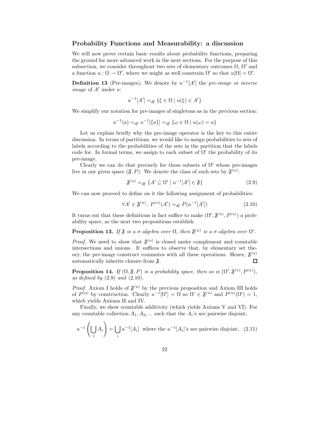#### Probability Functions and Measurability: a discussion

We will now prove certain basic results about probability functions, preparing the ground for more advanced work in the next sections. For the purpose of this subsection, we consider throughout two sets of elementary outcomes  $\Omega$ ,  $\Omega'$  and a function  $u : \Omega \to \Omega'$ , where we might as well constrain  $\Omega'$  so that  $u[\Omega] = \Omega'$ .

**Definition 13** (Pre-images). We denote by  $u^{-1}[A']$  the pre-image or inverse *image* of  $A'$  under  $u$ :

$$
u^{-1}[A'] =_{df} \{\xi \in \Omega \mid u(\xi) \in A'\}
$$

We simplify our notation for pre-images of singletons as in the previous section:

$$
u^{-1}(a) =_{df} u^{-1}[\{a\}] =_{df} \{\omega \in \Omega \mid u(\omega) = a\}
$$

Let us explain briefly why the pre-image operator is the key to this entire discussion. In terms of partitions, we would like to assign probabilities to sets of labels according to the probabilities of the sets in the partition that the labels code for. In formal terms, we assign to each subset of  $\Omega'$  the probability of its pre-image.

Clearly we can do that precisely for those subsets of  $\Omega'$  whose pre-images live in our given space  $(\mathfrak{F}, P)$ . We denote the class of such sets by  $\mathfrak{F}^{(u)}$ :

$$
\mathfrak{F}^{(u)} =_{df} \{ A' \subseteq \Omega' \mid u^{-1}[A'] \in \mathfrak{F} \}
$$
\n
$$
(2.9)
$$

We can now proceed to define on it the following assignment of probabilities:

$$
\forall A' \in \mathfrak{F}^{(u)}, \ P^{(u)}(A') =_{df} P(u^{-1}[A']) \tag{2.10}
$$

It turns out that these definitions in fact suffice to make  $(\Omega', \mathfrak{F}^{(u)}, P^{(u)})$  a probability space, as the next two propositions establish.

**Proposition 13.** If  $\mathfrak{F}$  is a  $\sigma$ -algebra over  $\Omega$ , then  $\mathfrak{F}^{(u)}$  is a  $\sigma$ -algebra over  $\Omega'$ .

*Proof.* We need to show that  $\mathfrak{F}^{(u)}$  is closed under complement and countable intersections and unions. It suffices to observe that, by elementary set theory, the pre-image construct commutes with all these operations. Hence,  $\mathfrak{F}^{(u)}$ automatically inherits closure from F.  $\Box$ 

**Proposition 14.** If  $(\Omega, \mathfrak{F}, P)$  is a probability space, then so is  $(\Omega', \mathfrak{F}^{(u)}, P^{(u)}),$ as defined by  $(2.9)$  and  $(2.10)$ .

*Proof.* Axiom I holds of  $\mathfrak{F}^{(u)}$  by the previous proposition and Axiom III holds of  $P^{(u)}$  by construction. Clearly  $u^{-1}[\Omega'] = \Omega$  so  $\Omega' \in \mathfrak{F}^{(u)}$  and  $P^{(u)}(\Omega') = 1$ , which yields Axioms II and IV.

Finally, we show countable additivity (which yields Axioms V and VI). For any countable collection  $A_1, A_2, \dots$  such that the  $A_i$ 's are pairwise disjoint,

$$
u^{-1}\left(\bigcup_{i} A_{i}\right) = \bigcup_{i} u^{-1}[A_{i}] \text{ where the } u^{-1}[A_{i}] \text{'s are pairwise disjoint, } (2.11)
$$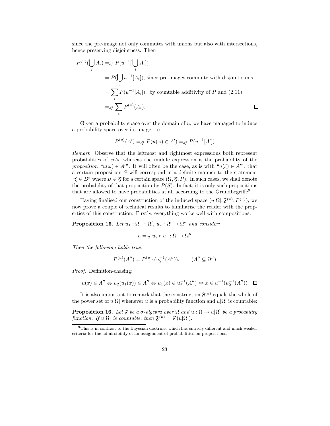since the pre-image not only commutes with unions but also with intersections, hence preserving disjointness. Then

$$
P^{(u)}(\bigcup_i A_i) =_{df} P(u^{-1}[\bigcup_i A_i])
$$
  
=  $P(\bigcup_i u^{-1}[A_i]),$  since pre-images commute with disjoint sums  
=  $\sum_i P(u^{-1}[A_i]),$  by countable additivity of P and (2.11)  
=  $_{df} \sum_i P^{(u)}(A_i).$ 

Given a probability space over the domain of  $u$ , we have managed to induce a probability space over its image, i.e.,

$$
P^{(u)}(A') =_{df} P(u(\omega) \in A') =_{df} P(u^{-1}[A'])
$$

Remark. Observe that the leftmost and rightmost expressions both represent probabilities of sets, whereas the middle expression is the probability of the proposition " $u(\omega) \in A$ ". It will often be the case, as is with " $u(\xi) \in A$ ", that a certain proposition S will correspond in a definite manner to the statement " $\xi \in B$ " where  $B \in \mathfrak{F}$  for a certain space  $(\Omega, \mathfrak{F}, P)$ . In such cases, we shall denote the probability of that proposition by  $P(S)$ . In fact, it is only such propositions that are allowed to have probabilities at all according to the Grundbegriffe<sup>9</sup> .

Having finalised our construction of the induced space  $(u[, we$ now prove a couple of technical results to familiarise the reader with the properties of this construction. Firstly, everything works well with compositions:

**Proposition 15.** Let  $u_1 : \Omega \to \Omega'$ ,  $u_2 : \Omega' \to \Omega''$  and consider:

$$
u =_{df} u_2 \circ u_1 : \Omega \to \Omega''
$$

Then the following holds true:

$$
P^{(u)}(A'') = P^{(u_1)}(u_2^{-1}(A'')), \qquad (A'' \subseteq \Omega'')
$$

Proof. Definition-chasing:

$$
u(x) \in A'' \Leftrightarrow u_2(u_1(x)) \in A'' \Leftrightarrow u_1(x) \in u_2^{-1}(A'') \Leftrightarrow x \in u_1^{-1}(u_2^{-1}(A'')) \quad \Box
$$

It is also important to remark that the construction  $\mathfrak{F}^{(u)}$  equals the whole of the power set of  $u[\Omega]$  whenever u is a probability function and  $u[\Omega]$  is countable:

**Proposition 16.** Let  $\mathfrak F$  be a  $\sigma$ -algebra over  $\Omega$  and  $u : \Omega \to u[\Omega]$  be a probability function. If  $u[\Omega]$  is countable, then  $\mathfrak{F}^{(u)} = \mathcal{P}(u[\Omega])$ .

<sup>&</sup>lt;sup>9</sup>This is in contrast to the Bayesian doctrine, which has entirely different and much weaker criteria for the admissibility of an assignment of probabilities on propositions.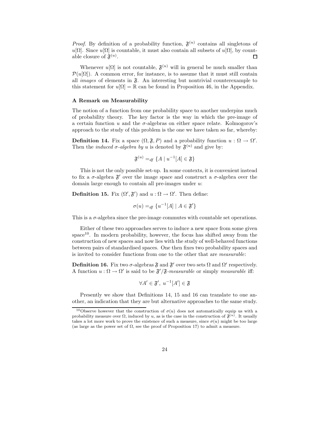*Proof.* By definition of a probability function,  $\mathfrak{F}^{(u)}$  contains all singletons of u[Ω]. Since u[Ω] is countable, it must also contain all subsets of u[Ω], by countable closure of  $\mathfrak{F}^{(u)}$ .  $\Box$ 

Whenever  $u[\Omega]$  is not countable,  $\mathfrak{F}^{(u)}$  will in general be much smaller than  $\mathcal{P}(u[\Omega])$ . A common error, for instance, is to assume that it must still contain all *images* of elements in  $\mathfrak{F}$ . An interesting but nontrivial counterexample to this statement for  $u[\Omega] = \mathbb{R}$  can be found in Proposition 46, in the Appendix.

#### A Remark on Measurability

The notion of a function from one probability space to another underpins much of probability theory. The key factor is the way in which the pre-image of a certain function u and the  $\sigma$ -algebras on either space relate. Kolmogorov's approach to the study of this problem is the one we have taken so far, whereby:

**Definition 14.** Fix a space  $(\Omega, \mathfrak{F}, P)$  and a probability function  $u : \Omega \to \Omega'$ . Then the *induced*  $\sigma$ -algebra by u is denoted by  $\mathfrak{F}^{(u)}$  and give by:

$$
\mathfrak{F}^{(u)} =_{df} \{A \mid u^{-1}[A] \in \mathfrak{F}\}\
$$

This is not the only possible set-up. In some contexts, it is convenient instead to fix a  $\sigma$ -algebra  $\mathfrak{F}'$  over the image space and construct a  $\sigma$ -algebra over the domain large enough to contain all pre-images under  $u$ :

**Definition 15.** Fix  $(\Omega', \mathfrak{F}')$  and  $u : \Omega \to \Omega'$ . Then define:

 $\sigma(u) =_{df} \{u^{-1}[A] \mid A \in \mathfrak{F}'\}$ 

This is a  $\sigma$ -algebra since the pre-image commutes with countable set operations.

Either of these two approaches serves to induce a new space from some given space<sup>10</sup>. In modern probability, however, the focus has shifted away from the construction of new spaces and now lies with the study of well-behaved functions between pairs of standardised spaces. One then fixes two probability spaces and is invited to consider functions from one to the other that are measurable:

**Definition 16.** Fix two  $\sigma$ -algebras  $\mathfrak{F}$  and  $\mathfrak{F}'$  over two sets  $\Omega$  and  $\Omega'$  respectively. A function  $u : \Omega \to \Omega'$  is said to be  $\mathfrak{F}'/\mathfrak{F}$ -measurable or simply measurable iff:

$$
\forall A' \in \mathfrak{F}', \ u^{-1}[A'] \in \mathfrak{F}
$$

Presently we show that Definitions 14, 15 and 16 can translate to one another, an indication that they are but alternative approaches to the same study.

<sup>&</sup>lt;sup>10</sup>Observe however that the construction of  $\sigma(u)$  does not automatically equip us with a probability measure over  $\Omega$ , induced by u, as is the case in the construction of  $\mathfrak{F}^{(u)}$ . It usually takes a lot more work to prove the existence of such a measure, since  $\sigma(u)$  might be too large (as large as the power set of  $\Omega$ , see the proof of Proposition 17) to admit a measure.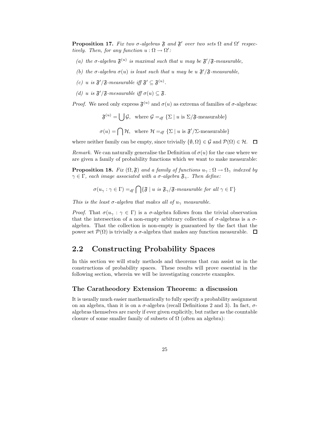**Proposition 17.** Fix two  $\sigma$ -algebras  $\mathfrak{F}$  and  $\mathfrak{F}'$  over two sets  $\Omega$  and  $\Omega'$  respectively. Then, for any function  $u : \Omega \to \Omega'$ :

- (a) the  $\sigma$ -algebra  $\mathfrak{F}^{(u)}$  is maximal such that u may be  $\mathfrak{F}'/\mathfrak{F}$ -measurable,
- (b) the  $\sigma$ -algebra  $\sigma(u)$  is least such that u may be u  $\mathfrak{F}'/\mathfrak{F}$ -measurable,
- (c) u is  $\mathfrak{F}'/\mathfrak{F}$ -measurable iff  $\mathfrak{F}' \subseteq \mathfrak{F}^{(u)}$ .
- (d) u is  $\mathfrak{F}'/\mathfrak{F}$ -mesaurable iff  $\sigma(u) \subseteq \mathfrak{F}$ .

*Proof.* We need only express  $\mathfrak{F}^{(u)}$  and  $\sigma(u)$  as extrema of families of  $\sigma$ -algebras:

 $\mathfrak{F}^{(u)} = \begin{bmatrix} \ \end{bmatrix} \mathcal{G}, \ \ \text{where } \mathcal{G} =_{df} \{\Sigma \mid u \text{ is } \Sigma / \mathfrak{F} \text{-measurable}\}\$  $\sigma(u) = \bigcap \mathcal{H}$ , where  $\mathcal{H} =_{df} {\Sigma | u \text{ is } \mathfrak{F}'/\Sigma\text{-measurable}}$ 

where neither family can be empty, since trivially  $\{\emptyset, \Omega\} \in \mathcal{G}$  and  $\mathcal{P}(\Omega) \in \mathcal{H}$ .  $\Box$ 

Remark. We can naturally generalise the Definition of  $\sigma(u)$  for the case where we are given a family of probability functions which we want to make measurable:

**Proposition 18.** Fix  $(\Omega, \mathfrak{F})$  and a family of functions  $u_{\gamma}: \Omega \to \Omega_{\gamma}$  indexed by  $\gamma \in \Gamma$ , each image associated with a  $\sigma$ -algebra  $\mathfrak{F}_{\gamma}$ . Then define:

$$
\sigma(u_{\gamma} : \gamma \in \Gamma) =_{df} \bigcap \{\mathfrak{F} \mid u \text{ is } \mathfrak{F}_{\gamma}/\mathfrak{F}\text{-}measurable for all } \gamma \in \Gamma\}
$$

This is the least  $\sigma$ -algebra that makes all of  $u_\gamma$  measurable.

Proof. That  $\sigma(u_\gamma : \gamma \in \Gamma)$  is a  $\sigma$ -algebra follows from the trivial observation that the intersection of a non-empty arbitrary collection of  $\sigma$ -algebras is a  $\sigma$ algebra. That the collection is non-empty is guaranteed by the fact that the power set  $\mathcal{P}(\Omega)$  is trivially a  $\sigma$ -algebra that makes any function measurable.  $\Box$ 

## 2.2 Constructing Probability Spaces

In this section we will study methods and theorems that can assist us in the constructions of probability spaces. These results will prove essential in the following section, wherein we will be investigating concrete examples.

#### The Caratheodory Extension Theorem: a discussion

It is usually much easier mathematically to fully specify a probability assignment on an algebra, than it is on a  $\sigma$ -algebra (recall Definitions 2 and 3). In fact,  $\sigma$ algebras themselves are rarely if ever given explicitly, but rather as the countable closure of some smaller family of subsets of  $\Omega$  (often an algebra):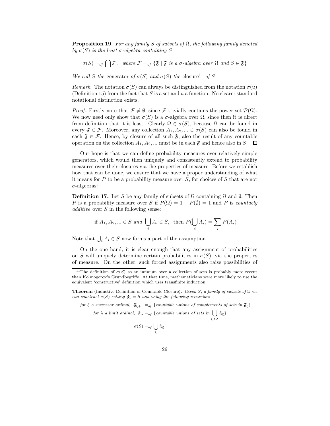**Proposition 19.** For any family S of subsets of  $\Omega$ , the following family denoted by  $\sigma(S)$  is the least  $\sigma$ -algebra containing S:

$$
\sigma(S) =_{df} \bigcap \mathcal{F}
$$
, where  $\mathcal{F} =_{df} \{\mathfrak{F} | \mathfrak{F} \text{ is a } \sigma\text{-algebra over } \Omega \text{ and } S \in \mathfrak{F}\}\$ 

We call S the generator of  $\sigma(S)$  and  $\sigma(S)$  the closure<sup>11</sup> of S.

Remark. The notation  $\sigma(S)$  can always be distinguished from the notation  $\sigma(u)$ (Definition 15) from the fact that S is a set and u a function. No clearer standard notational distinction exists.

*Proof.* Firstly note that  $\mathcal{F} \neq \emptyset$ , since F trivially contains the power set  $\mathcal{P}(\Omega)$ . We now need only show that  $\sigma(S)$  is a  $\sigma$ -algebra over  $\Omega$ , since then it is direct from definition that it is least. Clearly  $\Omega \in \sigma(S)$ , because  $\Omega$  can be found in every  $\mathfrak{F} \in \mathcal{F}$ . Moreover, any collection  $A_1, A_2, \dots \in \sigma(S)$  can also be found in each  $\mathfrak{F} \in \mathcal{F}$ . Hence, by closure of all such  $\mathfrak{F}$ , also the result of any countable operation on the collection  $A_1, A_2, ...$  must be in each  $\mathfrak{F}$  and hence also in S.  $\Box$ 

Our hope is that we can define probability measures over relatively simple generators, which would then uniquely and consistently extend to probability measures over their closures via the properties of measure. Before we establish how that can be done, we ensure that we have a proper understanding of what it means for  $P$  to be a probability measure over  $S$ , for choices of  $S$  that are not  $\sigma$ -algebras:

**Definition 17.** Let S be any family of subsets of  $\Omega$  containing  $\Omega$  and  $\emptyset$ . Then P is a probability measure over S if  $P(\Omega) = 1 - P(\emptyset) = 1$  and P is countably *additive* over  $S$  in the following sense:

if 
$$
A_1, A_2, ... \in S
$$
 and  $\bigcup_i A_i \in S$ , then  $P(\bigcup_i A_i) = \sum_i P(A_i)$ 

Note that  $\bigcup_i A_i \in S$  now forms a part of the assumption.

On the one hand, it is clear enough that any assignment of probabilities on S will uniquely determine certain probabilities in  $\sigma(S)$ , via the properties of measure. On the other, such forced assignments also raise possibilities of

for  $\xi$  a successor ordinal,  $\mathfrak{F}_{\xi+1} =_{df} \{\text{countable unions of complements of sets in } \mathfrak{F}_{\xi}\}\$ 

for  $\lambda$  a limit ordinal,  $\mathfrak{F}_{\lambda} =_{df} \{countable \ unions \ of \ sets \ in \ \ \ \ \}$  $\xi<\lambda$  $\mathfrak{F}_\xi\}$ 

$$
\sigma(S) =_{df} \bigcup_{\xi} \mathfrak{F}_{\xi}
$$

<sup>&</sup>lt;sup>11</sup>The definition of  $\sigma(S)$  as an infimum over a collection of sets is probably more recent than Kolmogorov's Grundbegriffe. At that time, mathematicians were more likely to use the equivalent 'constructive' definition which uses transfinite induction:

**Theorem** (Inductive Definition of Countable Closure). Given S, a family of subsets of  $\Omega$  we can construct  $\sigma(S)$  setting  $\mathfrak{F}_1 = S$  and using the following recursion: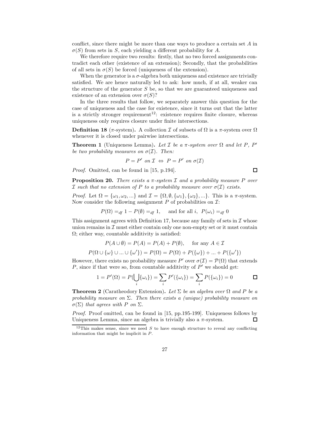conflict, since there might be more than one ways to produce a certain set A in  $\sigma(S)$  from sets in S, each yielding a different probability for A.

We therefore require two results: firstly, that no two forced assignments contradict each other (existence of an extension); Secondly, that the probabilities of all sets in  $\sigma(S)$  be forced (uniqueness of the extension).

When the generator is a  $\sigma$ -algebra both uniqueness and existence are trivially satisfied. We are hence naturally led to ask: how much, if at all, weaker can the structure of the generator  $S$  be, so that we are guaranteed uniqueness and existence of an extension over  $\sigma(S)$ ?

In the three results that follow, we separately answer this question for the case of uniqueness and the case for existence, since it turns out that the latter is a strictly stronger requirement<sup>12</sup>: existence requires finite closure, whereas uniqueness only requires closure under finite intersections.

Definition 18 ( $\pi$ -system). A collection  $\mathcal I$  of subsets of  $\Omega$  is a  $\pi$ -system over  $\Omega$ whenever it is closed under pairwise intersections.

**Theorem 1** (Uniqueness Lemma). Let  $\mathcal I$  be a  $\pi$ -system over  $\Omega$  and let  $P$ ,  $P'$ be two probability measures on  $\sigma(\mathcal{I})$ . Then:

$$
P = P' \text{ on } \mathcal{I} \Leftrightarrow P = P' \text{ on } \sigma(\mathcal{I})
$$

Proof. Omitted, can be found in [15, p.194].

**Proposition 20.** There exists a  $\pi$ -system  $\mathcal I$  and a probability measure P over I such that no extension of P to a probability measure over  $\sigma(\mathcal{I})$  exists.

 $\Box$ 

*Proof.* Let  $\Omega = {\omega_1, \omega_2, ...}$  and  $\mathcal{I} = {\Omega, \emptyset, {\omega_1}, {\omega_2}, ...}$ . This is a  $\pi$ -system. Now consider the following assignment  $P$  of probabilities on  $\mathcal{I}$ :

$$
P(\Omega) =_{df} 1 - P(\emptyset) =_{df} 1, \quad \text{and for all } i, \ P(\omega_i) =_{df} 0
$$

This assignment agrees with Definition 17, because any family of sets in  $\mathcal I$  whose union remains in  $\mathcal I$  must either contain only one non-empty set or it must contain  $\Omega$ ; either way, countable additivity is satisfied:

$$
P(A \cup \emptyset) = P(A) = P(A) + P(\emptyset), \quad \text{for any } A \in \mathcal{I}
$$

$$
P(\Omega \cup \{\omega\} \cup \ldots \cup \{\omega'\}) = P(\Omega) = P(\Omega) + P(\{\omega\}) + \ldots + P(\{\omega'\})
$$

However, there exists no probability measure P' over  $\sigma(\mathcal{I}) = \mathcal{P}(\Omega)$  that extends P, since if that were so, from countable additivity of  $P'$  we should get:

$$
1 = P'(\Omega) = P(\bigcup_i \{\omega_i\}) = \sum_i P'(\{\omega_i\}) = \sum_i P(\{\omega_i\}) = 0
$$

**Theorem 2** (Caratheodory Extension). Let  $\Sigma$  be an algebra over  $\Omega$  and P be a probability measure on  $\Sigma$ . Then there exists a (unique) probability measure on σ(Σ) that agrees with P on  $\Sigma$ .

Proof. Proof omitted, can be found in [15, pp.195-199]. Uniqueness follows by Uniqueness Lemma, since an algebra is trivially also a  $\pi$ -system.  $\Box$ 

 $12$ This makes sense, since we need  $S$  to have enough structure to reveal any conflicting information that might be implicit in P.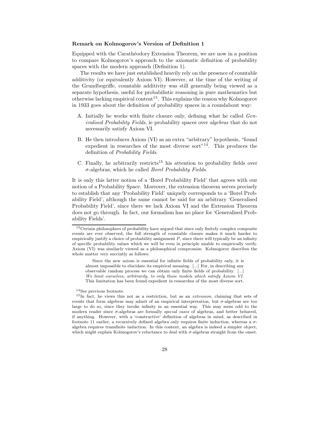#### Remark on Kolmogorov's Version of Definition 1

Equipped with the Carathéodory Extension Theorem, we are now in a position to compare Kolmogorov's approach to the axiomatic definition of probability spaces with the modern approach (Definition 1).

The results we have just established heavily rely on the presence of countable additivity (or equivalently Axiom VI). However, at the time of the writing of the Grundbegriffe, countable additivity was still generally being viewed as a separate hypothesis, useful for probabilistic reasoning in pure mathematics but otherwise lacking empirical content<sup>13</sup>. This explains the reason why Kolmogorov in 1933 goes about the definition of probability spaces in a roundabout way:

- A. Initially he works with finite closure only, defining what he called Generalised Probability Fields, ie probability spaces over algebras that do not necessarily satisfy Axiom VI.
- B. He then introduces Axiom (VI) as an extra "arbitrary" hypothesis, "found expedient in researches of the most diverse sort"<sup>14</sup>. This produces the definition of Probability Fields.
- C. Finally, he arbitrarily restricts<sup>15</sup> his attention to probability fields over  $\sigma$ -algebras, which he called *Borel Probability Fields*.

It is only this latter notion of a 'Borel Probability Field' that agrees with our notion of a Probability Space. Moreover, the extension theorem serves precisely to establish that any 'Probability Field' uniquely corresponds to a 'Borel Probability Field', although the same cannot be said for an arbitrary 'Generalised Probability Field', since there we lack Axiom VI and the Extension Theorem does not go through. In fact, our formalism has no place for 'Generalised Probability Fields'.

<sup>14</sup>See previous footnote.

<sup>&</sup>lt;sup>13</sup> Certain philosophers of probability have argued that since only finitely complex composite events are ever observed, the full strength of countable closure makes it much harder to empirically justify a choice of probability assignment  $P$ , since there will typically be an infinity of specific probability values which we will be even in principle unable to empirically verify. Axiom (VI) was similarly viewed as a philosophical compromise. Kolmogorov describes the whole matter very succintly as follows:

Since the new axiom is essential for infinite fields of probability only, it is almost impossible to elucidate its empirical meaning. [...] For, in describing any observable random process we can obtain only finite fields of probability. [...] We limit ourselves, arbitrarily, to only those models which satisfy Axiom VI. This limitation has been found expedient in researches of the most diverse sort.

<sup>&</sup>lt;sup>15</sup>In fact, he views this not as a restriction, but as an *extension*, claiming that sets of events that form algebras may admit of an empirical interpretation, but  $\sigma$ -algebras are too large to do so, since they invoke infinity in an essential way. This may seem odd to the modern reader since  $\sigma$ -algebras are formally special cases of algebras, and better behaved, if anything. However, with a 'constructive' definition of algebras in mind, as described in footnote 11 earlier, a recursively defined algebra only requires finite induction, whereas a  $\sigma$ algebra requires transfinite induction. In this context, an algebra is indeed a simpler object, which might explain Kolmogorov's reluctance to deal with  $\sigma$ -algebras straight from the onset.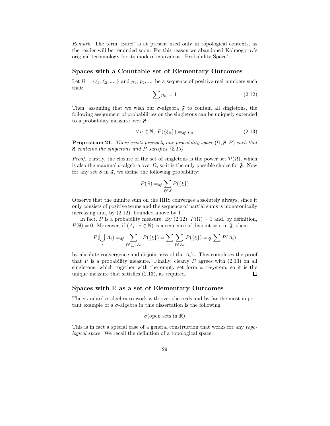Remark. The term 'Borel' is at present used only in topological contexts, as the reader will be reminded soon. For this reason we abandoned Kolmogorov's original terminology for its modern equivalent, 'Probability Space'.

#### Spaces with a Countable set of Elementary Outcomes

Let  $\Omega = \{\xi_1, \xi_2, \dots\}$  and  $p_1, p_2, \dots$  be a sequence of positive real numbers such that:

$$
\sum_{n} p_n = 1 \tag{2.12}
$$

Then, assuming that we wish our  $\sigma$ -algebra  $\mathfrak{F}$  to contain all singletons, the following assignment of probabilities on the singletons can be uniquely extended to a probability measure over  $\mathfrak{F}$ :

$$
\forall n \in \mathbb{N}, \ P(\{\xi_n\}) =_{df} p_n \tag{2.13}
$$

**Proposition 21.** There exists precisely one probability space  $(\Omega, \mathfrak{F}, P)$  such that  $\mathfrak F$  contains the singletons and P satisfies (2.13).

*Proof.* Firstly, the closure of the set of singletons is the power set  $\mathcal{P}(\Omega)$ , which is also the maximal  $\sigma$ -algebra over  $\Omega$ , so it is the only possible choice for  $\mathfrak{F}$ . Now for any set S in  $\mathfrak{F}$ , we define the following probability:

$$
P(S) =_{df} \sum_{\xi \in S} P(\{\xi\})
$$

Observe that the infinite sum on the RHS converges absolutely always, since it only consists of positive terms and the sequence of partial sums is monotonically increasing and, by (2.12), bounded above by 1.

In fact, P is a probability measure. By  $(2.12)$ ,  $P(\Omega) = 1$  and, by definition,  $P(\emptyset) = 0$ . Moreover, if  $(A_i : i \in \mathbb{N})$  is a sequence of disjoint sets in  $\mathfrak{F}$ , then:

$$
P(\bigcup_{i} A_{i}) =_{df} \sum_{\xi \in \bigcup_{i} A_{i}} P(\{\xi\}) = \sum_{i} \sum_{\xi \in A_{i}} P(\{\xi\}) =_{df} \sum_{i} P(A_{i})
$$

by absolute convergence and disjointness of the  $A_i$ 's. This completes the proof that P is a probability measure. Finally, clearly P agrees with  $(2.13)$  on all singletons, which together with the empty set form a  $\pi$ -system, so it is the unique measure that satisfies (2.13), as required.  $\Box$ 

#### Spaces with  $\mathbb R$  as a set of Elementary Outcomes

The standard  $\sigma$ -algebra to work with over the reals and by far the most important example of a  $\sigma$ -algebra in this dissertation is the following:

$$
\sigma
$$
(open sets in R)

This is in fact a special case of a general construction that works for any topological space. We recall the definition of a topological space: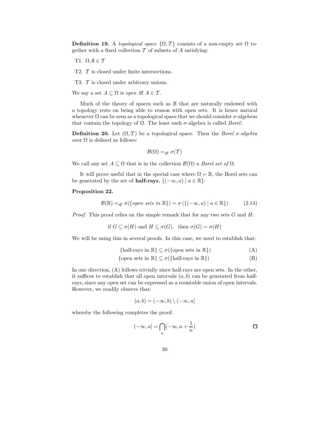Definition 19. A topological space  $\{\Omega, \mathcal{T}\}\)$  consists of a non-empty set  $\Omega$  together with a fixed collection  $\mathcal T$  of subsets of  $A$  satisfying:

- T1.  $\Omega, \emptyset \in \mathcal{T}$
- T2. T is closed under finite intersections.

T3. T is closed under arbitrary unions.

We say a set  $A \subseteq \Omega$  is open iff  $A \in \mathcal{T}$ .

Much of the theory of spaces such as  $\mathbb R$  that are naturally endowed with a topology rests on being able to reason with open sets. It is hence natural whenever  $\Omega$  can be seen as a topological space that we should consider  $\sigma$ -algebras that contain the topology of  $\Omega$ . The least such  $\sigma$ -algebra is called *Borel*:

**Definition 20.** Let  $(\Omega, \mathcal{T})$  be a topological space. Then the *Borel*  $\sigma$ *-algebra* over  $Ω$  is defined as follows:

$$
\mathcal{B}(\Omega) =_{df} \sigma(\mathcal{T})
$$

We call any set  $A \subseteq \Omega$  that is in the collection  $\mathcal{B}(\Omega)$  a *Borel set of*  $\Omega$ .

It will prove useful that in the special case where  $\Omega = \mathbb{R}$ , the Borel sets can be generated by the set of **half-rays**,  $\{(-\infty, a) | a \in \mathbb{R}\}$ :

#### Proposition 22.

$$
\mathcal{B}(\mathbb{R}) =_{df} \sigma(\{open\ sets\ in\ \mathbb{R}\}) = \sigma(\{(-\infty, a) \mid a \in \mathbb{R}\}) \tag{2.14}
$$

*Proof.* This proof relies on the simple remark that for any two sets  $G$  and  $H$ :

if  $G \subseteq \sigma(H)$  and  $H \subseteq \sigma(G)$ , then  $\sigma(G) = \sigma(H)$ 

We will be using this in several proofs. In this case, we need to establish that:

{half-rays in 
$$
\mathbb{R}
$$
}  $\subseteq \sigma$ ({open sets in  $\mathbb{R}$ }) (A)

$$
\{\text{open sets in } \mathbb{R}\} \subseteq \sigma(\{\text{half-rays in } \mathbb{R}\})\tag{B}
$$

In one direction, (A) follows trivially since half-rays are open sets. In the other, it suffices to establish that all open intervals  $(a, b)$  can be generated from halfrays, since any open set can be expressed as a countable union of open intervals. However, we readily observe that:

$$
(a, b) = (-\infty, b) \setminus (-\infty, a]
$$

whereby the following completes the proof:

$$
(-\infty,a] = \bigcap_n (-\infty,a+\frac{1}{n})
$$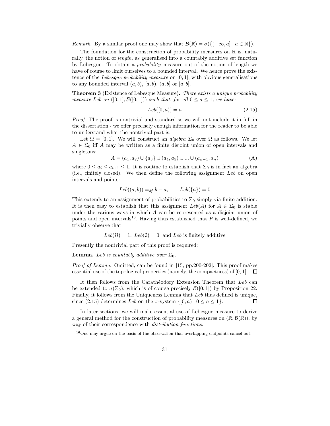Remark. By a similar proof one may show that  $\mathcal{B}(\mathbb{R}) = \sigma({(-\infty, a] | a \in \mathbb{R})})$ .

The foundation for the construction of probability measures on  $\mathbb R$  is, naturally, the notion of length, as generalised into a countably additive set function by Lebesgue. To obtain a probability measure out of the notion of length we have of course to limit ourselves to a bounded interval. We hence prove the existence of the Lebesgue probability measure on  $[0, 1]$ , with obvious generalisations to any bounded interval  $(a, b)$ ,  $[a, b)$ ,  $(a, b]$  or  $[a, b]$ .

**Theorem 3** (Existence of Lebesgue Measure). There exists a unique probability measure Leb on  $([0, 1], \mathcal{B}([0, 1]))$  such that, for all  $0 \le a \le 1$ , we have:

$$
Leb([0, a)) = a \tag{2.15}
$$

Proof. The proof is nontrivial and standard so we will not include it in full in the dissertation - we offer precisely enough information for the reader to be able to understand what the nontrivial part is.

Let  $\Omega = [0, 1]$ . We will construct an *algebra*  $\Sigma_0$  over  $\Omega$  as follows. We let  $A \in \Sigma_0$  iff A may be written as a finite disjoint union of open intervals and singletons:

$$
A = (a_1, a_2) \cup \{a_3\} \cup (a_4, a_5) \cup \dots \cup (a_{n-1}, a_n)
$$
\n(A)

where  $0 \le a_i \le a_{i+1} \le 1$ . It is routine to establish that  $\Sigma_0$  is in fact an algebra (i.e., finitely closed). We then define the following assignment Leb on open intervals and points:

$$
Leb((a,b)) =_{df} b - a, \qquad Leb({a}) = 0
$$

This extends to an assignment of probabilities to  $\Sigma_0$  simply via finite addition. It is then easy to establish that this assignment  $Leb(A)$  for  $A \in \Sigma_0$  is stable under the various ways in which A can be represented as a disjoint union of points and open intervals<sup>16</sup>. Having thus established that  $P$  is well-defined, we trivially observe that:

 $Leb(\Omega) = 1$ ,  $Leb(\emptyset) = 0$  and Leb is finitely additive

Presently the nontrivial part of this proof is required:

**Lemma.** Leb is countably additive over  $\Sigma_0$ .

Proof of Lemma. Omitted, can be found in [15, pp.200-202]. This proof makes essential use of the topological properties (namely, the compactness) of [0, 1].  $\Box$ 

It then follows from the Carathéodory Extension Theorem that  $Leb$  can be extended to  $\sigma(\Sigma_0)$ , which is of course precisely  $\mathcal{B}([0,1])$  by Proposition 22. Finally, it follows from the Uniqueness Lemma that Leb thus defined is unique, since (2.15) determines Leb on the  $\pi$ -system  $\{[0, a) | 0 \le a \le 1\}.$  $\Box$ 

In later sections, we will make essential use of Lebesgue measure to derive a general method for the construction of probability measures on  $(\mathbb{R}, \mathcal{B}(\mathbb{R}))$ , by way of their correspondence with distribution functions.

 $16$ One may argue on the basis of the observation that overlapping endpoints cancel out.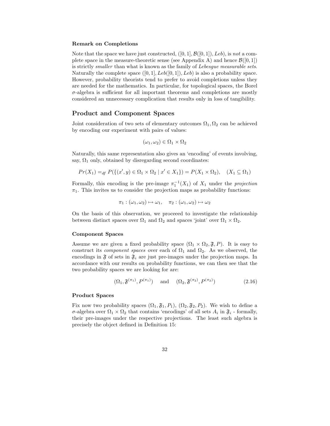#### Remark on Completions

Note that the space we have just constructed,  $([0, 1], \mathcal{B}([0, 1]), Leb)$ , is not a complete space in the measure-theoretic sense (see Appendix A) and hence  $\mathcal{B}([0, 1])$ is strictly *smaller* than what is known as the family of *Lebesgue measurable sets*. Naturally the complete space  $([0, 1], Leb([0, 1]), Leb)$  is also a probability space. However, probability theorists tend to prefer to avoid completions unless they are needed for the mathematics. In particular, for topological spaces, the Borel  $\sigma$ -algebra is sufficient for all important theorems and completions are mostly considered an unnecessary complication that results only in loss of tangibility.

#### Product and Component Spaces

Joint consideration of two sets of elementary outcomes  $\Omega_1, \Omega_2$  can be achieved by encoding our experiment with pairs of values:

$$
(\omega_1, \omega_2) \in \Omega_1 \times \Omega_2
$$

Naturally, this same representation also gives an 'encoding' of events involving, say,  $\Omega_1$  only, obtained by disregarding second coordinates:

$$
Pr(X_1) =_{df} P(\{(x', y) \in \Omega_1 \times \Omega_2 \mid x' \in X_1\}) = P(X_1 \times \Omega_2), \quad (X_1 \subseteq \Omega_1)
$$

Formally, this encoding is the pre-image  $\pi_1^{-1}(X_1)$  of  $X_1$  under the *projection*  $\pi_1$ . This invites us to consider the projection maps as probability functions:

$$
\pi_1 : (\omega_1, \omega_2) \mapsto \omega_1, \quad \pi_2 : (\omega_1, \omega_2) \mapsto \omega_2
$$

On the basis of this observation, we proceeed to investigate the relationship between distinct spaces over  $\Omega_1$  and  $\Omega_2$  and spaces 'joint' over  $\Omega_1 \times \Omega_2$ .

#### Component Spaces

Assume we are given a fixed probability space  $(\Omega_1 \times \Omega_2, \mathfrak{F}, P)$ . It is easy to construct its *component spaces* over each of  $\Omega_1$  and  $\Omega_2$ . As we observed, the encodings in  $\mathfrak{F}$  of sets in  $\mathfrak{F}_i$  are just pre-images under the projection maps. In accordance with our results on probability functions, we can then see that the two probability spaces we are looking for are:

$$
(\Omega_1, \mathfrak{F}^{(\pi_1)}, P^{(\pi_1)}) \quad \text{and} \quad (\Omega_2, \mathfrak{F}^{(\pi_2)}, P^{(\pi_2)}) \tag{2.16}
$$

#### Product Spaces

Fix now two probability spaces  $(\Omega_1, \mathfrak{F}_1, P_1)$ ,  $(\Omega_2, \mathfrak{F}_2, P_2)$ . We wish to define a σ-algebra over  $\Omega_1 \times \Omega_2$  that contains 'encodings' of all sets  $A_i$  in  $\mathfrak{F}_i$  - formally, their pre-images under the respective projections. The least such algebra is precisely the object defined in Definition 15: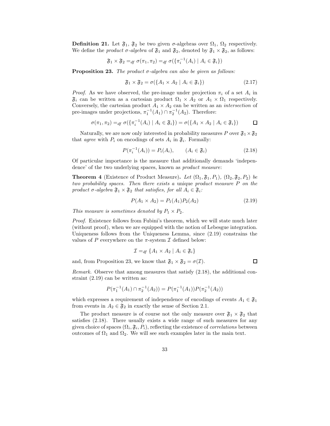**Definition 21.** Let  $\mathfrak{F}_1$ ,  $\mathfrak{F}_2$  be two given  $\sigma$ -algebras over  $\Omega_1$ ,  $\Omega_2$  respectively. We define the *product*  $\sigma$ -algebra of  $\mathfrak{F}_1$  and  $\mathfrak{F}_2$ , denoted by  $\mathfrak{F}_1 \times \mathfrak{F}_2$ , as follows:

$$
\mathfrak{F}_1 \times \mathfrak{F}_2 =_{df} \sigma(\pi_1, \pi_2) =_{df} \sigma(\{\pi_i^{-1}(A_i) \mid A_i \in \mathfrak{F}_i\})
$$

**Proposition 23.** The product  $\sigma$ -algebra can also be given as follows:

$$
\mathfrak{F}_1 \times \mathfrak{F}_2 = \sigma(\{A_1 \times A_2 \mid A_i \in \mathfrak{F}_i\})
$$
\n(2.17)

*Proof.* As we have observed, the pre-image under projection  $\pi_i$  of a set  $A_i$  in  $\mathfrak{F}_i$  can be written as a cartesian product  $\Omega_1 \times A_2$  or  $A_1 \times \Omega_1$  respectively. Conversely, the cartesian product  $A_1 \times A_2$  can be written as an *intersection* of pre-images under projections,  $\pi_1^{-1}(A_1) \cap \pi_2^{-1}(A_2)$ . Therefore:

$$
\sigma(\pi_1, \pi_2) =_{df} \sigma(\{\pi_i^{-1}(A_i) \mid A_i \in \mathfrak{F}_i\}) = \sigma(\{A_1 \times A_2 \mid A_i \in \mathfrak{F}_i\}) \qquad \Box
$$

Naturally, we are now only interested in probability measures P over  $\mathfrak{F}_1 \times \mathfrak{F}_2$ that *agree* with  $P_i$  on encodings of sets  $A_i$  in  $\mathfrak{F}_i$ . Formally:

$$
P(\pi_i^{-1}(A_i)) = P_i(A_i), \qquad (A_i \in \mathfrak{F}_i)
$$
\n(2.18)

Of particular importance is the measure that additionally demands 'independence' of the two underlying spaces, known as *product measure*:

**Theorem 4** (Existence of Product Measure). Let  $(\Omega_1, \mathfrak{F}_1, P_1)$ ,  $(\Omega_2, \mathfrak{F}_2, P_2)$  be two probability spaces. Then there exists a unique product measure P on the product  $\sigma$ -algebra  $\mathfrak{F}_1 \times \mathfrak{F}_2$  that satisfies, for all  $A_i \in \mathfrak{F}_i$ :

$$
P(A_1 \times A_2) = P_1(A_1) P_2(A_2)
$$
\n(2.19)

 $\Box$ 

This measure is sometimes denoted by  $P_1 \times P_2$ .

Proof. Existence follows from Fubini's theorem, which we will state much later (without proof), when we are equipped with the notion of Lebesgue integration. Uniqueness follows from the Uniqueness Lemma, since (2.19) constrains the values of P everywhere on the  $\pi$ -system I defined below:

$$
\mathcal{I} =_{df} \{A_1 \times A_2 \mid A_i \in \mathfrak{F}_i\}
$$

and, from Proposition 23, we know that  $\mathfrak{F}_1 \times \mathfrak{F}_2 = \sigma(\mathcal{I}).$ 

Remark. Observe that among measures that satisfy  $(2.18)$ , the additional constraint (2.19) can be written as:

$$
P(\pi_1^{-1}(A_1) \cap \pi_2^{-1}(A_2)) = P(\pi_1^{-1}(A_1))P(\pi_2^{-1}(A_2))
$$

which expresses a requirement of independence of encodings of events  $A_1 \in \mathfrak{F}_1$ from events in  $A_2 \in \mathfrak{F}_2$  in exactly the sense of Section 2.1.

The product measure is of course not the only measure over  $\mathfrak{F}_1 \times \mathfrak{F}_2$  that satisfies (2.18). There usually exists a wide range of such measures for any given choice of spaces  $(\Omega_i, \mathfrak{F}_i, P_i)$ , reflecting the existence of *correlations* between outcomes of  $\Omega_1$  and  $\Omega_2$ . We will see such examples later in the main text.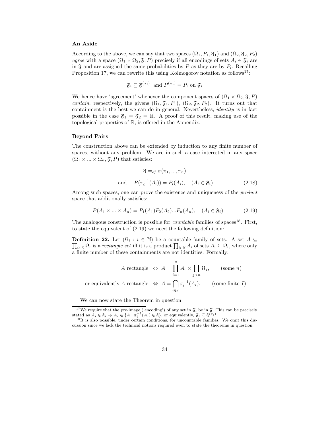#### An Aside

According to the above, we can say that two spaces  $(\Omega_1, P_1, \mathfrak{F}_1)$  and  $(\Omega_2, \mathfrak{F}_2, P_2)$ agree with a space  $(\Omega_1 \times \Omega_2, \mathfrak{F}, P)$  precisely if all encodings of sets  $A_i \in \mathfrak{F}_i$  are in  $\mathfrak F$  and are assigned the same probabilities by P as they are by  $P_i$ . Recalling Proposition 17, we can rewrite this using Kolmogorov notation as follows<sup>17</sup>:

$$
\mathfrak{F}_i \subseteq \mathfrak{F}^{(\pi_i)} \text{ and } P^{(\pi_i)} = P_i \text{ on } \mathfrak{F}_i
$$

We hence have 'agreement' whenever the component spaces of  $(\Omega_1 \times \Omega_2, \mathfrak{F}, P)$ *contain*, respectively, the givens  $(\Omega_1, \mathfrak{F}_1, P_1)$ ,  $(\Omega_2, \mathfrak{F}_2, P_2)$ . It turns out that containment is the best we can do in general. Nevertheless, identity is in fact possible in the case  $\mathfrak{F}_1 = \mathfrak{F}_2 = \mathbb{R}$ . A proof of this result, making use of the topological properties of R, is offered in the Appendix.

#### Beyond Pairs

The construction above can be extended by induction to any finite number of spaces, without any problem. We are in such a case interested in any space  $(\Omega_1 \times \ldots \times \Omega_n, \mathfrak{F}, P)$  that satisfies:

$$
\mathfrak{F} =_{df} \sigma(\pi_1, ..., \pi_n)
$$
  
and 
$$
P(\pi_i^{-1}(A_i)) = P_i(A_i), \quad (A_i \in \mathfrak{F}_i)
$$
 (2.18)

Among such spaces, one can prove the existence and uniqueness of the *product* space that additionally satisfies:

$$
P(A_1 \times ... \times A_n) = P_1(A_1) P_2(A_2) ... P_n(A_n), \quad (A_i \in \mathfrak{F}_i)
$$
 (2.19)

The analogous construction is possible for *countable* families of spaces<sup>18</sup>. First, to state the equivalent of (2.19) we need the following definition:

**Definition 22.** Let  $(\Omega_i : i \in \mathbb{N})$  be a countable family of sets. A set  $A \subseteq$ **Definition 22.** Let  $(\Omega_i : i \in \mathbb{N})$  be a countable family of sets. A set  $A \subseteq \prod_{i \in \mathbb{N}} \Omega_i$  is a rectangle set iff it is a product  $\prod_{i \in \mathbb{N}} A_i$  of sets  $A_i \subseteq \Omega_i$ , where only a finite number of these containments are not identities. Formally:

$$
A \text{ rectangle } \Leftrightarrow A = \prod_{i=1}^{n} A_i \times \prod_{j>n} \Omega_j, \qquad \text{(some } n\text{)}
$$
\n
$$
\text{or equivalently } A \text{ rectangle } \Leftrightarrow A = \bigcap_{i \in I} \pi_i^{-1}(A_i), \qquad \text{(some finite } I\text{)}
$$

We can now state the Theorem in question:

<sup>&</sup>lt;sup>17</sup>We require that the pre-image ('encoding') of any set in  $\mathfrak{F}_i$  be in  $\mathfrak{F}_i$ . This can be precisely stated as  $A_i \in \mathfrak{F}_i \Rightarrow A_i \in \{A \mid \pi_i^{-1}(A_i) \in \mathfrak{F}\},\$  or equivalently,  $\mathfrak{F}_i \subseteq \mathfrak{F}^{(\pi_i)}$ .

<sup>&</sup>lt;sup>18</sup>It is also possible, under certain conditions, for uncountable families. We omit this discussion since we lack the technical notions required even to state the theorems in question.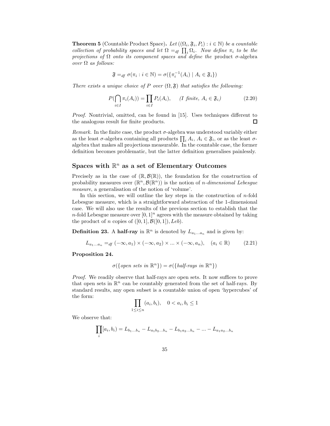**Theorem 5** (Countable Product Space). Let  $((\Omega_i, \mathfrak{F}_i, P_i) : i \in \mathbb{N})$  be a countable collection of probability spaces and let  $\Omega =_{df} \prod_i \Omega_i$ . Now define  $\pi_i$  to be the projections of  $\Omega$  onto its component spaces and define the product  $\sigma$ -algebra over  $\Omega$  as follows:

$$
\mathfrak{F} =_{df} \sigma(\pi_i : i \in \mathbb{N}) = \sigma(\{\pi_i^{-1}(A_i) \mid A_i \in \mathfrak{F}_i\})
$$

There exists a unique choice of P over  $(\Omega, \mathfrak{F})$  that satisfies the following:

$$
P(\bigcap_{i \in I} \pi_i(A_i)) = \prod_{i \in I} P_i(A_i), \qquad (I \text{ finite}, A_i \in \mathfrak{F}_i)
$$
\n
$$
(2.20)
$$

Proof. Nontrivial, omitted, can be found in [15]. Uses techniques different to the analogous result for finite products. П

Remark. In the finite case, the product  $\sigma$ -algebra was understood variably either as the least  $\sigma$ -algebra containing all products  $\prod_i A_i$ ,  $A_i \in \mathfrak{F}_i$ , or as the least  $\sigma$ algebra that makes all projections measurable. In the countable case, the former definition becomes problematic, but the latter definition generalises painlessly.

### Spaces with  $\mathbb{R}^n$  as a set of Elementary Outcomes

Precisely as in the case of  $(\mathbb{R}, \mathcal{B}(\mathbb{R}))$ , the foundation for the construction of probability measures over  $(\mathbb{R}^n, \mathcal{B}(\mathbb{R}^n))$  is the notion of *n*-dimensional Lebesgue measure, a generalisation of the notion of 'volume'.

In this section, we will outline the key steps in the construction of  $n$ -fold Lebesgue measure, which is a straightforward abstraction of the 1-dimensional case. We will also use the results of the previous section to establish that the n-fold Lebesgue measure over  $[0, 1]^n$  agrees with the measure obtained by taking the product of n copies of  $([0, 1], \mathcal{B}([0, 1]), \text{Leb}).$ 

**Definition 23.** A half-ray in  $\mathbb{R}^n$  is denoted by  $L_{a_1...a_n}$  and is given by:

$$
L_{a_1...a_n} =_{df} (-\infty, a_1) \times (-\infty, a_2) \times ... \times (-\infty, a_n), \quad (a_i \in \mathbb{R}) \tag{2.21}
$$

Proposition 24.

$$
\sigma(\{open\ sets\ in\ \mathbb{R}^n\}) = \sigma(\{half-rays\ in\ \mathbb{R}^n\})
$$

*Proof.* We readily observe that half-rays are open sets. It now suffices to prove that open sets in  $\mathbb{R}^n$  can be countably generated from the set of half-rays. By standard results, any open subset is a countable union of open 'hypercubes' of the form:

$$
\prod_{1 \le i \le n} (a_i, b_i), \quad 0 < a_i, b_i \le 1
$$

We observe that:

$$
\prod_i [a_i, b_i] = L_{b_1...b_n} - L_{a_1b_2...b_n} - L_{b_1a_2...b_n} - ... - L_{a_1a_2...b_n}
$$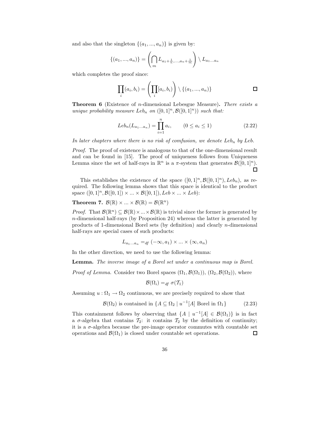and also that the singleton  $\{(a_1, ..., a_n)\}\)$  is given by:

$$
\{(a_1, ..., a_n)\} = \left(\bigcap_m L_{a_1 + \frac{1}{n}, ..., a_n + \frac{1}{m}}\right) \setminus L_{a_1...a_n}
$$

which completes the proof since:

$$
\prod_i (a_i, b_i) = \left(\prod_i [a_i, b_i)\right) \setminus \{(a_1, ..., a_n)\}\qquad \qquad \Box
$$

**Theorem 6** (Existence of *n*-dimensional Lebesgue Measure). There exists a unique probability measure Leb<sub>n</sub> on  $([0,1]^n, \mathcal{B}([0,1]^n))$  such that:

$$
Leb_n(L_{a_1...a_n}) = \prod_{i=1}^n a_i, \qquad (0 \le a_i \le 1)
$$
 (2.22)

In later chapters where there is no risk of comfusion, we denote  $Leb_n$  by Leb.

Proof. The proof of existence is analogous to that of the one-dimensional result and can be found in [15]. The proof of uniqueness follows from Uniqueness Lemma since the set of half-rays in  $\mathbb{R}^n$  is a  $\pi$ -system that generates  $\mathcal{B}([0,1]^n)$ .  $\Box$ 

This establishes the existence of the space  $([0, 1]^n, \mathcal{B}([0, 1]^n), \text{Leb}_n)$ , as required. The following lemma shows that this space is identical to the product space  $([0, 1]^n, \mathcal{B}([0, 1]) \times ... \times \mathcal{B}([0, 1]), Leb \times ... \times Leb)$ :

## **Theorem 7.**  $\mathcal{B}(\mathbb{R}) \times ... \times \mathcal{B}(\mathbb{R}) = \mathcal{B}(\mathbb{R}^n)$

*Proof.* That  $\mathcal{B}(\mathbb{R}^n) \subseteq \mathcal{B}(\mathbb{R}) \times ... \times \mathcal{B}(\mathbb{R})$  is trivial since the former is generated by  $n$ -dimensional half-rays (by Proposition 24) whereas the latter is generated by products of 1-dimensional Borel sets (by definition) and clearly n-dimensional half-rays are special cases of such products:

$$
L_{a_1...a_n} =_{df} (-\infty, a_1) \times ... \times (\infty, a_n)
$$

In the other direction, we need to use the following lemma:

Lemma. The inverse image of a Borel set under a continuous map is Borel.

*Proof of Lemma.* Consider two Borel spaces  $(\Omega_1, \mathcal{B}(\Omega_1)), (\Omega_2, \mathcal{B}(\Omega_2))$ , where

$$
\mathcal{B}(\Omega_i) =_{df} \sigma(\mathcal{T}_1)
$$

Assuming  $u : \Omega_1 \to \Omega_2$  continuous, we are precisely required to show that

$$
\mathcal{B}(\Omega_2) \text{ is contained in } \{A \subseteq \Omega_2 \mid u^{-1}[A] \text{ Borel in } \Omega_1\} \tag{2.23}
$$

This containment follows by observing that  $\{A \mid u^{-1}[A] \in \mathcal{B}(\Omega_1)\}$  is in fact a  $\sigma$ -algebra that contains  $\mathcal{T}_2$ : it contains  $\mathcal{T}_2$  by the definition of continuity; it is a  $\sigma$ -algebra because the pre-image operator commutes with countable set operations and  $\mathcal{B}(\Omega_1)$  is closed under countable set operations.  $\Box$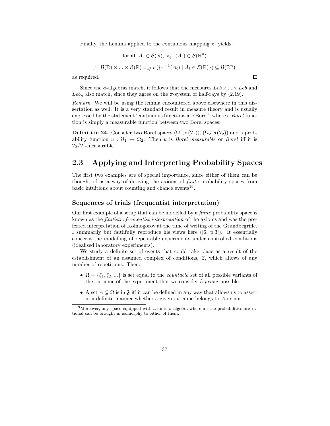Finally, the Lemma applied to the continuous mapping  $\pi_i$  yields:

for all 
$$
A_i \in \mathcal{B}(\mathbb{R}), \pi_i^{-1}(A_i) \in \mathcal{B}(\mathbb{R}^n)
$$
  
\n
$$
\therefore \mathcal{B}(\mathbb{R}) \times \dots \times \mathcal{B}(\mathbb{R}) =_{df} \sigma(\{\pi_i^{-1}(A_i) \mid A_i \in \mathcal{B}(\mathbb{R})\}) \subseteq \mathcal{B}(\mathbb{R}^n)
$$

as required.

Since the  $\sigma$ -algebras match, it follows that the measures  $Leb \times ... \times Leb$  and  $Leb_n$  also match, since they agree on the  $\pi$ -system of half-rays by (2.19).

Remark. We will be using the lemma encountered above elsewhere in this dissertation as well. It is a very standard result in measure theory and is usually expressed by the statement 'continuous functions are Borel', where a Borel function is simply a measurable function between two Borel spaces:

**Definition 24.** Consider two Borel spaces  $(\Omega_1, \sigma(\mathcal{T}_1)), (\Omega_2, \sigma(\mathcal{T}_2))$  and a probability function  $u : \Omega_1 \to \Omega_2$ . Then u is *Borel measurable* or *Borel* iff it is  $\mathcal{T}_2/\mathcal{T}_1$ -measurable.

# 2.3 Applying and Interpreting Probability Spaces

The first two examples are of special importance, since either of them can be thought of as a way of deriving the axioms of finite probability spaces from basic intuitions about counting and chance events<sup>19</sup>.

### Sequences of trials (frequentist interpretation)

Our first example of a setup that can be modelled by a finite probability space is known as the finitistic frequentist interpretation of the axioms and was the preferred interpretation of Kolmogorov at the time of writing of the Grundbegriffe. I summarily but faithfully reproduce his views here ([6, p.3]). It essentially concerns the modelling of repeatable experiments under controlled conditions (idealised laboratory experiments).

We study a definite set of events that could take place as a result of the establishment of an assumed complex of conditions,  $\mathfrak{C}$ , which allows of any number of repetitions. Then:

- $\Omega = \{\xi_1, \xi_2, ...\}$  is set equal to the *countable* set of all possible variants of the outcome of the experiment that we consider  $\dot{a}$  priori possible.
- A set  $A \subseteq \Omega$  is in  $\mathfrak{F}$  iff it can be defined in any way that allows us to assert in a definite manner whether a given outcome belongs to A or not.

 $\Box$ 

<sup>&</sup>lt;sup>19</sup>Moreover, any space equipped with a finite  $\sigma$ -algebra where all the probabilities are rational can be brought in isomorphy to either of them.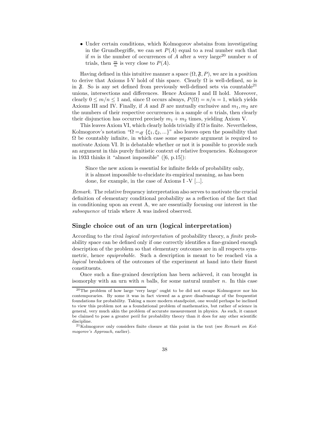• Under certain conditions, which Kolmogorov abstains from investigating in the Grundbegriffe, we can set  $P(A)$  equal to a real number such that if m is the number of occurrences of A after a very large<sup>20</sup> number n of trials, then  $\frac{m}{n}$  is very close to  $P(A)$ .

Having defined in this intuitive manner a space  $(\Omega, \mathfrak{F}, P)$ , we are in a position to derive that Axioms I-V hold of this space. Clearly  $\Omega$  is well-defined, so is in  $\mathfrak{F}$ . So is any set defined from previously well-defined sets via countable<sup>21</sup> unions, intersections and differences. Hence Axioms I and II hold. Moreover, clearly  $0 \leq m/n \leq 1$  and, since  $\Omega$  occurs always,  $P(\Omega) = n/n = 1$ , which yields Axioms III and IV. Finally, if A and B are mutually exclusive and  $m_1, m_2$  are the numbers of their respective occurrences in a sample of  $n$  trials, then clearly their disjunction has occurred precisely  $m_1 + m_2$  times, yielding Axiom V.

This leaves Axiom VI, which clearly holds trivially if  $\Omega$  is finite. Nevertheless, Kolmogorov's notation " $\Omega =_{df} {\xi_1, \xi_2, ...}$ " also leaves open the possibility that  $\Omega$  be countably infinite, in which case some separate argument is required to motivate Axiom VI. It is debatable whether or not it is possible to provide such an argument in this purely finitistic context of relative frequencies. Kolmogorov in 1933 thinks it "almost impossible" ([6, p.15]):

Since the new axiom is essential for infinite fields of probability only, it is almost impossible to elucidate its empirical meaning, as has been done, for example, in the case of Axioms I -V [...].

Remark. The relative frequency interpretation also serves to motivate the crucial definition of elementary conditional probability as a reflection of the fact that in conditioning upon an event A, we are essentially focusing our interest in the subsequence of trials where A was indeed observed.

### Single choice out of an urn (logical interpretation)

According to the rival logical interpretation of probability theory, a finite probability space can be defined only if one correctly identifies a fine-grained enough description of the problem so that elementary outcomes are in all respects symmetric, hence equiprobable. Such a description is meant to be reached via a logical breakdown of the outcomes of the experiment at hand into their finest constituents.

Once such a fine-grained description has been achieved, it can brought in isomorphy with an urn with  $n$  balls, for some natural number  $n$ . In this case

<sup>20</sup>The problem of how large 'very large' ought to be did not escape Kolmogorov nor his contemporaries. By some it was in fact viewed as a grave disadvantage of the frequentist foundations for probability. Taking a more modern standpoint, one would perhaps be inclined to view this problem not as a foundational problem of mathematics, but rather of science in general, very much akin the problem of accurate measurement in physics. As such, it cannot be claimed to pose a greater peril for probability theory than it does for any other scientific discipline.

 $21K$ olmogorov only considers finite closure at this point in the text (see Remark on Kolmogorov's Approach, earlier).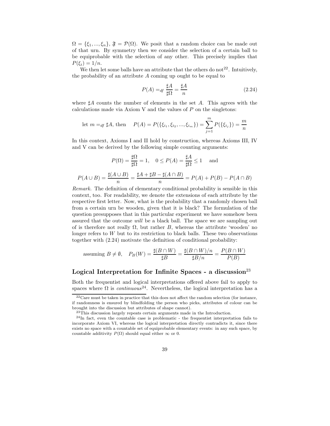$\Omega = {\xi_1, ..., \xi_n}, \mathfrak{F} = \mathcal{P}(\Omega)$ . We posit that a random choice can be made out of that urn. By symmetry then we consider the selection of a certain ball to be equiprobable with the selection of any other. This precisely implies that  $P(\xi_i)=1/n$ .

We then let some balls have an attribute that the others do not<sup>22</sup>. Intuitively, the probability of an attribute A coming up ought to be equal to

$$
P(A) =_{df} \frac{\sharp A}{\sharp \Omega} = \frac{\sharp A}{n}
$$
 (2.24)

where  $\sharp A$  counts the number of elements in the set A. This agrees with the calculations made via Axiom V and the values of  $P$  on the singletons:

let 
$$
m =_{df} \sharp A
$$
, then  $P(A) = P(\{\xi_{i_1}, \xi_{i_2}, ..., \xi_{i_m}\}) = \sum_{j=1}^{m} P(\{\xi_{i_j}\}) = \frac{m}{n}$ 

In this context, Axioms I and II hold by construction, whereas Axioms III, IV and V can be derived by the following simple counting arguments:

$$
P(\Omega) = \frac{\sharp\Omega}{\sharp\Omega} = 1, \quad 0 \le P(A) = \frac{\sharp A}{\sharp\Omega} \le 1 \quad \text{ and}
$$

$$
P(A \cup B) = \frac{\sharp(A \cup B)}{n} = \frac{\sharp A + \sharp B - \sharp(A \cap B)}{n} = P(A) + P(B) - P(A \cap B)
$$

 $\overline{n}$ 

Remark. The definition of elementary conditional probability is sensible in this context, too. For readability, we denote the extensions of each attribute by the respective first letter. Now, what is the probability that a randomly chosen ball from a certain urn be wooden, given that it is black? The formulation of the question presupposes that in this particular experiment we have somehow been assured that the outcome will be a black ball. The space we are sampling out of is therefore not really  $\Omega$ , but rather B, whereas the attribute 'wooden' no longer refers to  $W$  but to its restriction to black balls. These two observations together with (2.24) motivate the definition of conditional probability:

assuming 
$$
B \neq \emptyset
$$
,  $P_B(W) = \frac{\sharp(B \cap W)}{\sharp B} = \frac{\sharp(B \cap W)/n}{\sharp B/n} = \frac{P(B \cap W)}{P(B)}$ 

# Logical Interpretation for Infinite Spaces - a discussion<sup>23</sup>

Both the frequentist and logical interpretations offered above fail to apply to spaces where  $\Omega$  is *continuous*<sup>24</sup>. Nevertheless, the logical interpretation has a

 $22$ Care must be taken in practice that this does not affect the random selection (for instance, if randomness is ensured by blindfolding the person who picks, attributes of colour can be brought into the discussion but attributes of shape cannot).

<sup>&</sup>lt;sup>23</sup>This discussion largely repeats certain arguments made in the Introduction.

 $^{24}$ In fact, even the countable case is problematic - the frequentist interpretation fails to incorporate Axiom VI, whereas the logical interpretation directly contradicts it, since there exists no space with a countable set of equiprobable elementary events: in any such space, by countable additivity  $P(\Omega)$  should equal either  $\infty$  or 0.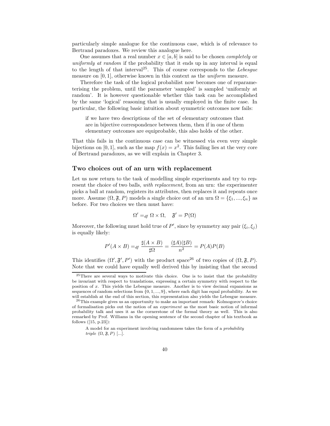particularly simple analogue for the continuous case, which is of relevance to Bertrand paradoxes. We review this analogue here.

One assumes that a real number  $x \in [a, b]$  is said to be chosen *completely* or uniformly at random if the probability that it ends up in any interval is equal to the length of that interval<sup>25</sup>. This of course corresponds to the Lebesque measure on [0, 1], otherwise known in this context as the *uniform* measure.

Therefore the task of the logical probabilist now becomes one of reparameterising the problem, until the parameter 'sampled' is sampled 'uniformly at random'. It is however questionable whether this task can be accomplished by the same 'logical' reasoning that is usually employed in the finite case. In particular, the following basic intuition about symmetric outcomes now fails:

if we have two descriptions of the set of elementary outcomes that are in bijective correspondence between them, then if in one of them elementary outcomes are equiprobable, this also holds of the other.

That this fails in the continuous case can be witnessed via even very simple bijections on [0, 1], such as the map  $f(x) = x^2$ . This failing lies at the very core of Bertrand paradoxes, as we will explain in Chapter 3.

## Two choices out of an urn with replacement

Let us now return to the task of modelling simple experiments and try to represent the choice of two balls, *with replacement*, from an urn: the experimenter picks a ball at random, registers its attributes, then replaces it and repeats once more. Assume  $(\Omega, \mathfrak{F}, P)$  models a single choice out of an urn  $\Omega = {\xi_1, ..., \xi_n}$  as before. For two choices we then must have:

$$
\Omega' =_{df} \Omega \times \Omega, \quad \mathfrak{F}' = \mathcal{P}(\Omega)
$$

Moreover, the following must hold true of  $P'$ , since by symmetry any pair  $(\xi_i, \xi_j)$ is equally likely:

$$
P'(A \times B) =_{df} \frac{\sharp(A \times B)}{\sharp\Omega} = \frac{(\sharp A)(\sharp B)}{n^2} = P(A)P(B)
$$

This identifies  $(\Omega', \mathfrak{F}', P')$  with the product space<sup>26</sup> of two copies of  $(\Omega, \mathfrak{F}, P)$ . Note that we could have equally well derived this by insisting that the second

<sup>25</sup>There are several ways to motivate this choice. One is to insist that the probability be invariant with respect to translations, expressing a certain symmetry with respect to the position of x. This yields the Lebesgue measure. Another is to view decimal expansions as sequences of random selections from  $\{0, 1, ..., 9\}$ , where each digit has equal probability. As we will establish at the end of this section, this representation also yields the Lebesgue measure.

<sup>26</sup>This example gives us an opportunity to make an important remark: Kolmogorov's choice of formalisation picks out the notion of an experiment as the most basic notion of informal probability talk and uses it as the cornerstone of the formal theory as well. This is also remarked by Prof. Williams in the opening sentence of the second chapter of his textbook as follows ([15, p.23]):

A model for an experiment involving randomness takes the form of a probability triple  $(\Omega, \mathfrak{F}, P)$  [...].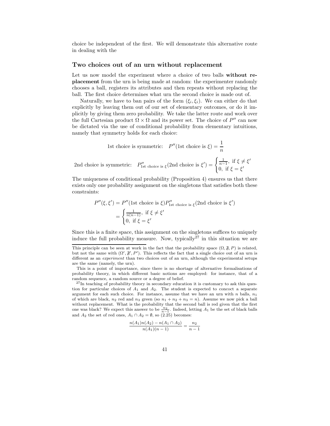choice be independent of the first. We will demonstrate this alternative route in dealing with the

#### Two choices out of an urn without replacement

Let us now model the experiment where a choice of two balls without replacement from the urn is being made at random: the experimenter randomly chooses a ball, registers its attributes and then repeats without replacing the ball. The first choice determines what urn the second choice is made out of.

Naturally, we have to ban pairs of the form  $(\xi_i, \xi_i)$ . We can either do that explicitly by leaving them out of our set of elementary outcomes, or do it implicitly by giving them zero probability. We take the latter route and work over the full Cartesian product  $\Omega \times \Omega$  and its power set. The choice of P'' can now be dictated via the use of conditional probability from elementary intuitions, namely that symmetry holds for each choice:

1st choice is symmetric: 
$$
P''(\text{1st choice is } \xi) = \frac{1}{n}
$$
  
2nd choice is symmetric:  $P''_{\text{1st choice is } \xi}(\text{2nd choice is } \xi') = \begin{cases} \frac{1}{n-1}, & \text{if } \xi \neq \xi' \\ 0, & \text{if } \xi = \xi' \end{cases}$ 

The uniqueness of conditional probability (Proposition 4) ensures us that there exists only one probability assignment on the singletons that satisfies both these constraints:

$$
P''(\xi, \xi') = P''(\text{1st choice is } \xi)P''_{\text{1st choice is } \xi}(\text{2nd choice is } \xi')
$$
  
= 
$$
\begin{cases} \frac{1}{n(n-1)}, \text{ if } \xi \neq \xi'\\ 0, \text{ if } \xi = \xi' \end{cases}
$$

Since this is a finite space, this assignment on the singletons suffices to uniquely induce the full probability measure. Now, typically<sup>27</sup> in this situation we are

$$
\frac{n(A_1)n(A_2) - n(A_1 \cap A_2)}{n(A_1)(n-1)} = \frac{n_2}{n-1}
$$

This principle can be seen at work in the fact that the probability space  $(\Omega, \mathfrak{F}, P)$  is related, but not the same with  $(\Omega', \mathfrak{F}', P')$ . This reflects the fact that a single choice out of an urn is different as an *experiment* than two choices out of an urn, although the experimental setups are the same (namely, the urn).

This is a point of importance, since there is no shortage of alternative formalisations of probability theory, in which different basic notions are employed: for instance, that of a random sequence, a random source or a degree of belief.

<sup>&</sup>lt;sup>27</sup>In teaching of probability theory in secondary education it is customary to ask this question for particular choices of  $A_1$  and  $A_2$ . The student is expected to concoct a separate argument for each such choice. For instance, assume that we have an urn with n balls,  $n_1$ of which are black,  $n_2$  red and  $n_3$  green (so  $n_1 + n_2 + n_3 = n$ ). Assume we now pick a ball without replacement. What is the probability that the second ball is red given that the first one was black? We expect this answer to be  $\frac{n_2}{n-1}$ . Indeed, letting  $A_1$  be the set of black balls and  $A_2$  the set of red ones,  $A_1 \cap A_2 = \emptyset$ , so (2.25) becomes: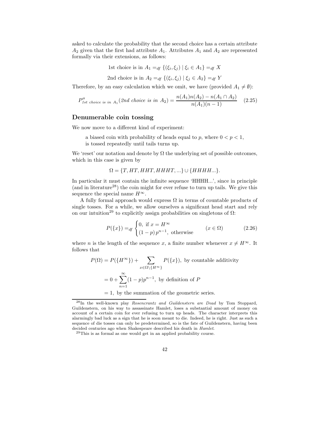asked to calculate the probability that the second choice has a certain attribute  $A_2$  given that the first had attribute  $A_1$ . Attributes  $A_1$  and  $A_2$  are represented formally via their extensions, as follows:

1st choice is in  $A_1 =_{df} \{(\xi_i, \xi_j) | \xi_i \in A_1\} =_{df} X$ 

2nd choice is in 
$$
A_2 =_{df} \{(\xi_i, \xi_j) | \xi_j \in A_2\} =_{df} Y
$$

Therefore, by an easy calculation which we omit, we have (provided  $A_1 \neq \emptyset$ ):

$$
P_{1st \text{ choice is in } A_1}^{\prime\prime}(2nd \text{ choice is in } A_2) = \frac{n(A_1)n(A_2) - n(A_1 \cap A_2)}{n(A_1)(n-1)} \quad (2.25)
$$

## Denumerable coin tossing

We now move to a different kind of experiment:

a biased coin with probability of heads equal to p, where  $0 < p < 1$ , is tossed repeatedly until tails turns up.

We 'reset' our notation and denote by  $\Omega$  the underlying set of possible outcomes, which in this case is given by

 $\Omega = \{T, HT, HHT, HHHT, ...\} \cup \{HHHH...\}.$ 

In particular it must contain the infinite sequence 'HHHH...', since in principle (and in literature<sup>28</sup>) the coin might for ever refuse to turn up tails. We give this sequence the special name  $H^{\infty}$ .

A fully formal approach would express  $\Omega$  in terms of countable products of single tosses. For a while, we allow ourselves a significant head start and rely on our intuition<sup>29</sup> to explicitly assign probabilities on singletons of  $\Omega$ :

$$
P({x}) =_{df} \begin{cases} 0, & \text{if } x = H^{\infty} \\ (1-p)p^{n-1}, & \text{otherwise} \end{cases} \qquad (x \in \Omega)
$$
 (2.26)

where *n* is the length of the sequence *x*, a finite number whenever  $x \neq H^{\infty}$ . It follows that

$$
P(\Omega) = P(\lbrace H^{\infty} \rbrace) + \sum_{x \in \Omega \setminus \lbrace H^{\infty} \rbrace} P(\lbrace x \rbrace), \text{ by countable additivity}
$$

$$
= 0 + \sum_{n=1}^{\infty} (1 - p)p^{n-1}, \text{ by definition of } P
$$

 $= 1$ , by the summation of the geometric series.

 $29$ This is as formal as one would get in an applied probability course.

<sup>28</sup>In the well-known play Rosencrantz and Guildenstern are Dead by Tom Stoppard, Guildenstern, on his way to assassinate Hamlet, loses a substantial amount of money on account of a certain coin for ever refusing to turn up heads. The character interprets this alarmingly bad luck as a sign that he is soon meant to die. Indeed, he is right. Just as such a sequence of die tosses can only be predetermined, so is the fate of Guildenstern, having been decided centuries ago when Shakespeare described his death in Hamlet.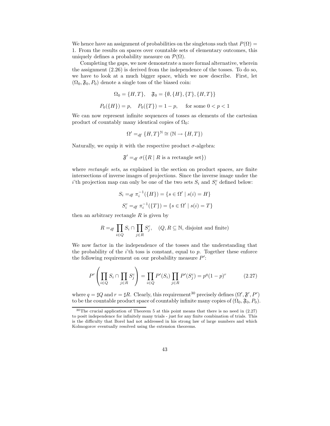We hence have an assignment of probabilities on the singletons such that  $P(\Omega) =$ 1. From the results on spaces over countable sets of elementary outcomes, this uniquely defines a probability measure on  $\mathcal{P}(\Omega)$ .

Completing the gaps, we now demonstrate a more formal alternative, wherein the assignment (2.26) is derived from the independence of the tosses. To do so, we have to look at a much bigger space, which we now describe. First, let  $(\Omega_0, \mathfrak{F}_0, P_0)$  denote a single toss of the biased coin:

$$
\Omega_0 = \{H, T\}, \quad \mathfrak{F}_0 = \{\emptyset, \{H\}, \{T\}, \{H, T\}\}
$$

$$
P_0(\{H\}) = p, \quad P_0(\{T\}) = 1 - p, \quad \text{for some } 0 < p < 1
$$

We can now represent infinite sequences of tosses as elements of the cartesian product of countably many identical copies of  $\Omega_0$ :

$$
\Omega' =_{df} \{H, T\}^{\mathbb{N}} \cong (\mathbb{N} \to \{H, T\})
$$

Naturally, we equip it with the respective product  $\sigma$ -algebra:

$$
\mathfrak{F}' =_{df} \sigma(\lbrace R \mid R \text{ is a rectangle set}\rbrace)
$$

where *rectangle sets*, as explained in the section on product spaces, are finite intersections of inverse images of projections. Since the inverse image under the *i*'th projection map can only be one of the two sets  $S_i$  and  $S_i^c$  defined below:

$$
S_i =_{df} \pi_i^{-1}(\{H\}) = \{s \in \Omega' \mid s(i) = H\}
$$
  

$$
S_i^c =_{df} \pi_i^{-1}(\{T\}) = \{s \in \Omega' \mid s(i) = T\}
$$

then an arbitrary rectangle  $R$  is given by

$$
R =_{df} \prod_{i \in Q} S_i \cap \prod_{j \in R} S_j^c, \quad (Q, R \subseteq \mathbb{N}, \text{ disjoint and finite})
$$

We now factor in the independence of the tosses and the understanding that the probability of the  $i$ 'th toss is constant, equal to  $p$ . Together these enforce the following requirement on our probability measure  $P'$ :

$$
P'\left(\prod_{i\in Q} S_i \cap \prod_{j\in R} S_j^c\right) = \prod_{i\in Q} P'(S_i) \prod_{j\in R} P'(S_j^c) = p^q (1-p)^r \tag{2.27}
$$

where  $q = \sharp Q$  and  $r = \sharp R$ . Clearly, this requirement<sup>30</sup> precisely defines  $(\Omega', \mathfrak{F}', P')$ to be the countable product space of countably infinite many copies of  $(\Omega_0, \mathfrak{F}_0, P_0)$ .

 $30$ The crucial application of Theorem 5 at this point means that there is no need in  $(2.27)$ to posit independence for infinitely many trials - just for any finite combination of trials. This is the difficulty that Borel had not addressed in his strong law of large numbers and which Kolmogorov eventually resolved using the extension theorems.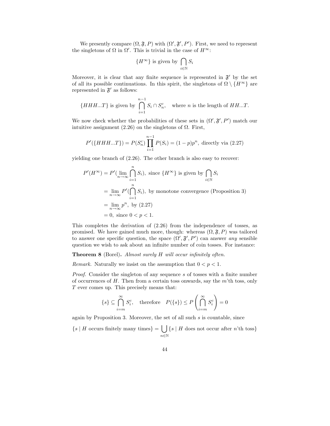We presently compare  $(\Omega, \mathfrak{F}, P)$  with  $(\Omega', \mathfrak{F}', P')$ . First, we need to represent the singletons of  $\Omega$  in  $\Omega'$ . This is trivial in the case of  $H^{\infty}$ :

$$
{H^{\infty}}
$$
 is given by  $\bigcap_{i \in \mathbb{N}} S_i$ 

Moreover, it is clear that any finite sequence is represented in  $\mathfrak{F}'$  by the set of all its possible continuations. In this spirit, the singletons of  $\Omega \setminus \{H^{\infty}\}\$ are represented in  $\mathfrak{F}'$  as follows:

$$
\{HHH...T\} \text{ is given by } \bigcap_{i=1}^{n-1} S_i \cap S_n^c, \quad \text{where } n \text{ is the length of } HH...T.
$$

We now check whether the probabilities of these sets in  $(\Omega', \mathfrak{F}', P')$  match our intuitive assignment  $(2.26)$  on the singletons of  $\Omega$ . First,

$$
P'(\lbrace HHH...T \rbrace) = P(S_n^c) \prod_{i=1}^{n-1} P(S_i) = (1-p)p^n, \text{ directly via (2.27)}
$$

yielding one branch of (2.26). The other branch is also easy to recover:

$$
P'(H^{\infty}) = P'(\lim_{n \to \infty} \bigcap_{i=1}^{n} S_i),
$$
 since  $\{H^{\infty}\}$  is given by  $\bigcap_{i \in \mathbb{N}} S_i$   
=  $\lim_{n \to \infty} P'(\bigcap_{i=1}^{n} S_i)$ , by monotone convergence (Proposition 3)  
=  $\lim_{n \to \infty} p^n$ , by (2.27)  
= 0, since  $0 < p < 1$ .

This completes the derivation of (2.26) from the independence of tosses, as promised. We have gained much more, though: whereas  $(\Omega, \mathfrak{F}, P)$  was tailored to answer one specific question, the space  $(\Omega', \mathfrak{F}', P')$  can answer any sensible question we wish to ask about an infinite number of coin tosses. For instance:

Theorem 8 (Borel). Almost surely H will occur infinitely often.

Remark. Naturally we insist on the assumption that  $0 < p < 1$ .

Proof. Consider the singleton of any sequence s of tosses with a finite number of occurrences of  $H$ . Then from a certain toss onwards, say the  $m$ 'th toss, only T ever comes up. This precisely means that:

$$
\{s\} \subseteq \bigcap_{i=m}^{\infty} S_i^c, \quad \text{therefore} \quad P(\{s\}) \le P\left(\bigcap_{i=m}^{\infty} S_i^c\right) = 0
$$

again by Proposition 3. Moreover, the set of all such s is countable, since

 $\{s \mid H \text{ occurs finitely many times}\} = \begin{bmatrix} 1 \end{bmatrix}$ n∈N  $\{s \mid H$  does not occur after n'th toss $\}$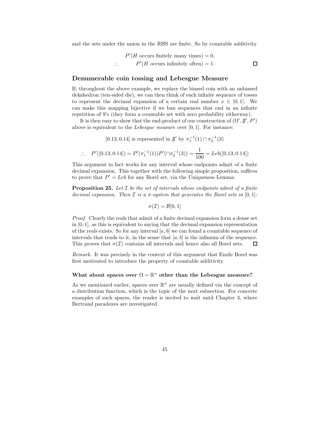and the sets under the union in the RHS are finite. So by countable additivity

 $P'(H \text{ occurs finitely many times}) = 0,$ ∴ P  $'(H \text{ occurs infinitely often}) = 1.$ 

 $\Box$ 

## Denumerable coin tossing and Lebesgue Measure

If, throughout the above example, we replace the biased coin with an unbiased dekahedron (ten-sided die), we can then think of each infinite sequence of tosses to represent the decimal expansion of a certain real number  $x \in [0,1]$ . We can make this mapping bijective if we ban sequences that end in an infinite repetition of 9's (they form a countable set with zero probability eitherway).

It is then easy to show that the end-product of our construction of  $(\Omega', \mathfrak{F}', P')$ above is equivalent to the *Lebesgue measure* over  $[0, 1]$ . For instance:

[0.13, 0.14] is represented in  $\mathfrak{F}'$  by  $\pi_1^{-1}(1) \cap \pi_2^{-1}(3)$ 

$$
\therefore P'([0.13, 0.14]) = P'(\pi_1^{-1}(1))P'(\cap \pi_2^{-1}(3)) = \frac{1}{100} = Leb([0.13, 0.14])
$$

This argument in fact works for any interval whose endpoints admit of a finite decimal expansion. This together with the following simple proposition, suffices to prove that  $P' = Leb$  for any Borel set, via the Uniqueness Lemma:

**Proposition 25.** Let  $I$  be the set of intervals whose endpoints admit of a finite decimal expansion. Then  $\mathcal I$  is a  $\pi$ -system that generates the Borel sets in [0,1]:

$$
\sigma(\mathcal{I}) = \mathcal{B}[0,1]
$$

Proof. Clearly the reals that admit of a finite decimal expansion form a dense set in  $[0, 1]$ , as this is equivalent to saying that the decimal expansion representation of the reals exists. So for any interval  $[a, b]$  we can found a countable sequence of intervals that tends to it, in the sense that  $[a, b]$  is the infimum of the sequence. This proves that  $\sigma(\mathcal{I})$  contains all intervals and hence also all Borel sets. П

Remark. It was precisely in the context of this argument that Emile Borel was first motivated to introduce the property of countable additivity.

## What about spaces over  $\Omega = \mathbb{R}^n$  other than the Lebesgue measure?

As we mentioned earlier, spaces over  $\mathbb{R}^n$  are usually defined via the concept of a distribution function, which is the topic of the next subsection. For concrete examples of such spaces, the reader is invited to wait until Chapter 3, where Bertrand paradoxes are investigated.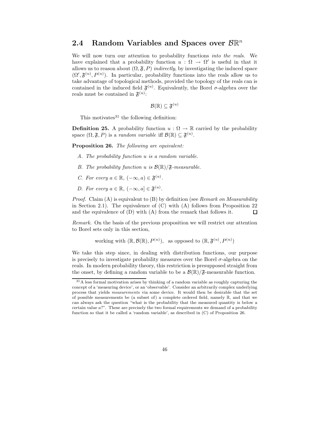# 2.4 Random Variables and Spaces over  $\mathcal{B} \mathbb{R}^n$

We will now turn our attention to probability functions *into the reals*. We have explained that a probability function  $u : \Omega \to \Omega'$  is useful in that it allows us to reason about  $(\Omega, \mathfrak{F}, P)$  *indirectly*, by investigating the induced space  $(\Omega', \mathfrak{F}^{(u)}, P^{(u)})$ . In particular, probability functions into the reals allow us to take advantage of topological methods, provided the topology of the reals can is contained in the induced field  $\mathfrak{F}^{(u)}$ . Equivalently, the Borel  $\sigma$ -algebra over the reals must be contained in  $\mathfrak{F}^{(u)}$ :

 $\mathcal{B}(\mathbb{R})\subseteq \mathfrak{F}^{(u)}$ 

This motivates $31$  the following definition:

**Definition 25.** A probability function  $u : \Omega \to \mathbb{R}$  carried by the probability space  $(\Omega, \mathfrak{F}, P)$  is a *random variable* iff  $\mathcal{B}(\mathbb{R}) \subseteq \mathfrak{F}^{(u)}$ .

Proposition 26. The following are equivalent:

- A. The probability function u is a random variable.
- B. The probability function u is  $\mathcal{B}(\mathbb{R})/\mathfrak{F}$ -measurable.
- C. For every  $a \in \mathbb{R}$ ,  $(-\infty, a) \in \mathfrak{F}^{(u)}$ .
- D. For every  $a \in \mathbb{R}$ ,  $(-\infty, a] \in \mathfrak{F}^{(u)}$ .

*Proof.* Claim  $(A)$  is equivalent to  $(B)$  by definition (see Remark on Measurability in Section 2.1). The equivalence of  $(C)$  with  $(A)$  follows from Proposition 22 and the equivalence of (D) with (A) from the remark that follows it. 口

Remark. On the basis of the previous proposition we will restrict our attention to Borel sets only in this section,

working with 
$$
(\mathbb{R}, \mathcal{B}(\mathbb{R}), P^{(u)})
$$
, as opposed to  $(\mathbb{R}, \mathfrak{F}^{(u)}, P^{(u)})$ 

We take this step since, in dealing with distribution functions, our purpose is precisely to investigate probability measures over the Borel  $\sigma$ -algebra on the reals. In modern probability theory, this restriction is presupposed straight from the onset, by defining a random variable to be a  $\mathcal{B}(\mathbb{R})/\mathfrak{F}$ -measurable function.

<sup>&</sup>lt;sup>31</sup>A less formal motivation arises by thinking of a random variable as roughly capturing the concept of a 'measuring device', or an 'observable'. Consider an arbitrarily complex underlying process that yields measurements via some device. It would then be desirable that the set of possible measurements be (a subset of) a complete ordered field, namely  $\mathbb{R}$ , and that we can always ask the question "what is the probability that the measured quantity is below a certain value a?". These are precisely the two formal requirements we demand of a probability function so that it be called a 'random variable', as described in (C) of Proposition 26.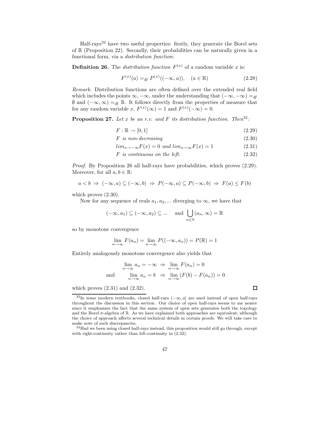Half-rays<sup>32</sup> have two useful properties: firstly, they generate the Borel sets of R (Proposition 22). Secondly, their probabilities can be naturally given in a functional form, via a distribution function:

**Definition 26.** The *distribution function*  $F^{(x)}$  of a random variable x is:

$$
F^{(x)}(a) =_{df} P^{(x)}((-\infty, a)), \quad (a \in \mathbb{R})
$$
\n(2.28)

Remark. Distribution functions are often defined over the extended real field which includes the points  $\infty, -\infty$ , under the understanding that  $(-\infty, -\infty) =_{df}$  $\emptyset$  and  $(-\infty,\infty) =_{df} \mathbb{R}$ . It follows directly from the properties of measure that for any random variable x,  $F^{(x)}(\infty) = 1$  and  $F^{(x)}(-\infty) = 0$ .

**Proposition 27.** Let x be an r.v. and F its distribution function. Then<sup>33</sup>:

$$
F: \mathbb{R} \to [0, 1] \tag{2.29}
$$

$$
F \text{ is non-decreasing} \tag{2.30}
$$

$$
lim_{x \to -\infty} F(x) = 0 \text{ and } lim_{x \to \infty} F(x) = 1 \tag{2.31}
$$

$$
F \text{ is continuous on the left.} \tag{2.32}
$$

Proof. By Proposition 26 all half-rays have probabilities, which proves (2.29). Moreover, for all  $a, b \in \mathbb{R}$ :

$$
a < b \Rightarrow (-\infty, a) \subseteq (-\infty, b) \Rightarrow P(-\infty, a) \subseteq P(-\infty, b) \Rightarrow F(a) \le F(b)
$$

which proves  $(2.30)$ .

Now for any sequence of reals  $a_1, a_2, \dots$  diverging to  $\infty$ , we have that

$$
(-\infty, a_1) \subseteq (-\infty, a_2) \subseteq \dots
$$
 and  $\bigcup_{n \in \mathbb{N}} (a_n, \infty) = \mathbb{R}$ 

so by monotone convergence

$$
\lim_{n \to \infty} F(a_n) = \lim_{n \to \infty} P((-\infty, a_n)) = P(\mathbb{R}) = 1
$$

Entirely analogously monotone convergence also yields that

$$
\lim_{n \to \infty} a_n = -\infty \implies \lim_{n \to \infty} F(a_n) = 0
$$
  
and 
$$
\lim_{n \to \infty} a_n = b \implies \lim_{n \to \infty} (F(b) - F(a_n)) = 0
$$

 $\Box$ 

which proves  $(2.31)$  and  $(2.32)$ .

<sup>32</sup>In some modern textbooks, closed half-rays (−∞, a] are used instead of open half-rays throughout the discussion in this section. Our choice of open half-rays seems to me neater since it emphasizes the fact that the same system of open sets generates both the topology and the Borel  $\sigma$ -algebra of R. As we have explained both approaches are equivalent, although the choice of approach affects several technical details in certain proofs. We will take care to make note of such discrepancies.

<sup>&</sup>lt;sup>33</sup>Had we been using closed half-rays instead, this proposition would still go through, except with right-continuity rather than left-continuity in (2.32).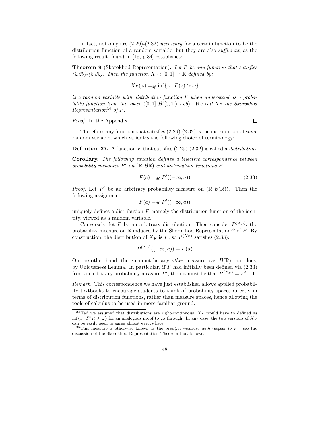In fact, not only are  $(2.29)-(2.32)$  necessary for a certain function to be the distribution function of a random variable, but they are also *sufficient*, as the following result, found in [15, p.34] establishes:

**Theorem 9** (Skorokhod Representation). Let F be any function that satisfies (2.29)-(2.32). Then the function  $X_F : [0,1] \to \mathbb{R}$  defined by:

$$
X_F(\omega) =_{df} \inf \{ z : F(z) > \omega \}
$$

is a random variable with distribution function  $F$  when understood as a probability function from the space  $([0, 1], \mathcal{B}([0, 1]), Leb)$ . We call  $X_F$  the Skorokhod Representation<sup>34</sup> of  $F$ .

Proof. In the Appendix.

Therefore, any function that satisfies  $(2.29)-(2.32)$  is the distribution of some random variable, which validates the following choice of terminology:

**Definition 27.** A function F that satisfies  $(2.29)-(2.32)$  is called a *distribution*.

Corollary. The following equation defines a bijective correspondence between probability measures  $P'$  on  $(\mathbb{R}, \mathcal{B}\mathbb{R})$  and distribution functions  $F$ :

$$
F(a) =_{df} P'((-\infty, a))
$$
\n
$$
(2.33)
$$

*Proof.* Let P' be an arbitrary probability measure on  $(\mathbb{R}, \mathcal{B}(\mathbb{R}))$ . Then the following assignment:

$$
F(a) =_{df} P'((-\infty, a))
$$

uniquely defines a distribution  $F$ , namely the distribution function of the identity, viewed as a random variable.

Conversely, let F be an arbitrary distribution. Then consider  $P^{(X_F)}$ , the probability measure on  $\mathbb R$  induced by the Skorokhod Representation<sup>35</sup> of F. By construction, the distribution of  $X_F$  is F, so  $P^{(X_F)}$  satisfies (2.33):

$$
P^{(X_F)}((-\infty, a)) = F(a)
$$

On the other hand, there cannot be any *other* measure over  $\mathcal{B}(\mathbb{R})$  that does, by Uniqueness Lemma. In particular, if  $F$  had initially been defined via  $(2.33)$ from an arbitrary probability measure P', then it must be that  $P^{(X_F)} = P'$ .

Remark. This correspondence we have just established allows applied probability textbooks to encourage students to think of probability spaces directly in terms of distribution functions, rather than measure spaces, hence allowing the tools of calculus to be used in more familiar ground.

 $\Box$ 

 $34$ Had we assumed that distributions are right-continuous,  $X_F$  would have to defined as inf{ $z : F(z) \ge \omega$ } for an analogous proof to go through. In any case, the two versions of  $X_F$ can be easily seen to agree almost everywhere.

 $35$ This measure is otherwise known as the *Stieltjes measure with respect to*  $F$  - see the discussion of the Skorokhod Representation Theorem that follows.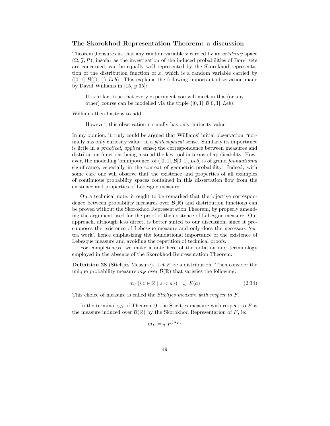#### The Skorokhod Representation Theorem: a discussion

Theorem 9 ensures us that any random variable  $x$  carried by an *arbitrary* space  $(\Omega, \mathfrak{F}, P)$ , insofar as the investigation of the induced probabilities of Borel sets are concerned, can be equally well represented by the Skorokhod representation of the distribution function of  $x$ , which is a random variable carried by  $([0, 1], \mathcal{B}([0, 1]), \text{Leb})$ . This explains the following important observation made by David Williams in [15, p.35]:

It is in fact true that every experiment you will meet in this (or any other) course can be modelled via the triple  $([0, 1], \mathcal{B}[0, 1], \text{Leb}).$ 

Williams then hastens to add:

However, this observation normally has only curiosity value.

In my opinion, it truly could be argued that Williams' initial observation "normally has only curiosity value" in a philosophical sense. Similarly its importance is little in a practical, applied sense; the correspondence between measures and distribution functions being instead the key tool in terms of applicability. However, the modelling 'omnipotence' of  $([0, 1], \mathcal{B}[0, 1], \text{Leb})$  is of grand foundational significance, especially in the context of geometric probability. Indeed, with some care one will observe that the existence and properties of all examples of continuous probability spaces contained in this dissertation flow from the existence and properties of Lebesgue measure.

On a technical note, it ought to be remarked that the bijective correspondence between probability measures over  $\mathcal{B}(\mathbb{R})$  and distribution functions can be proved without the Skorokhod Representation Theorem, by properly amending the argument used for the proof of the existence of Lebesgue measure. Our approach, although less direct, is better suited to our discussion, since it presupposes the existence of Lebesgue measure and only does the necessary 'extra work', hence emphasizing the foundational importance of the existence of Lebesgue measure and avoiding the repetition of technical proofs.

For completeness, we make a note here of the notation and terminology employed in the absence of the Skorokhod Representation Theorem:

**Definition 28** (Stieltjes Measure). Let  $F$  be a distribution. Then consider the unique probability measure  $m_F$  over  $\mathcal{B}(\mathbb{R})$  that satisfies the following:

$$
m_F(\lbrace z \in \mathbb{R} \mid z < a \rbrace) =_{df} F(a) \tag{2.34}
$$

This choice of measure is called the Stieltjes measure with respect to F.

In the terminology of Theorem 9, the Stieltjes measure with respect to  $F$  is the measure induced over  $\mathcal{B}(\mathbb{R})$  by the Skorokhod Representation of F, ie:

$$
m_F =_{df} P^{(X_F)}
$$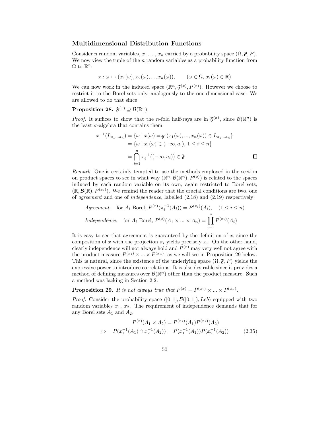#### Multidimensional Distribution Functions

Consider n random variables,  $x_1, ..., x_n$  carried by a probability space  $(\Omega, \mathfrak{F}, P)$ . We now view the tuple of the  $n$  random variables as a probability function from  $\Omega$  to  $\mathbb{R}^n$ :

$$
x : \omega \mapsto (x_1(\omega), x_2(\omega), ..., x_n(\omega)), \qquad (\omega \in \Omega, x_i(\omega) \in \mathbb{R})
$$

We can now work in the induced space  $(\mathbb{R}^n, \mathfrak{F}^{(x)}, P^{(x)})$ . However we choose to restrict it to the Borel sets only, analogously to the one-dimensional case. We are allowed to do that since

## $\text{Proposition 28.} \ \ \mathfrak{F}^{(x)} \supseteq \mathcal{B}(\mathbb{R}^n)$

*Proof.* It suffices to show that the *n*-fold half-rays are in  $\mathfrak{F}^{(x)}$ , since  $\mathcal{B}(\mathbb{R}^n)$  is the least  $\sigma$ -algebra that contains them.

$$
x^{-1}(L_{a_1...a_n}) = \{ \omega \mid x(\omega) =_{df} (x_1(\omega), ..., x_n(\omega)) \in L_{a_1...a_n} \}
$$
  
=  $\{ \omega \mid x_i(\omega) \in (-\infty, a_i), 1 \le i \le n \}$   
=  $\bigcap_{i=1}^n x_i^{-1}((-\infty, a_i)) \in \mathfrak{F}$ 

Remark. One is certainly tempted to use the methods employed in the section on product spaces to see in what way  $(\mathbb{R}^n, \mathcal{B}(\mathbb{R}^n), P^{(x)})$  is related to the spaces induced by each random variable on its own, again restricted to Borel sets,  $(\mathbb{R}, \mathcal{B}(\mathbb{R}), P^{(x_i)})$ . We remind the reader that the crucial conditions are two, one of *agreement* and one of *independence*, labelled  $(2.18)$  and  $(2.19)$  respectively:

*Agreement.* for 
$$
A_i
$$
 Borel,  $P^{(x)}(\pi_i^{-1}(A_i)) = P^{(x_i)}(A_i)$ ,  $(1 \le i \le n)$   
*Independence.* for  $A_i$  Borel,  $P^{(x)}(A_1 \times ... \times A_n) = \prod_{i=1}^n P^{(x_i)}(A_i)$ 

It is easy to see that agreement is guaranteed by the definition of  $x$ , since the composition of x with the projection  $\pi_i$  yields precisely  $x_i$ . On the other hand, clearly independence will not always hold and  $P^{(x)}$  may very well not agree with the product measure  $P^{(x_1)} \times ... \times P^{(x_n)}$ , as we will see in Proposition 29 below. This is natural, since the existence of the underlying space  $(\Omega, \mathfrak{F}, P)$  yields the expressive power to introduce correlations. It is also desirable since it provides a method of defining measures over  $\mathcal{B}(\mathbb{R}^n)$  other than the product measure. Such a method was lacking in Section 2.2.

**Proposition 29.** It is not always true that  $P^{(x)} = P^{(x_1)} \times ... \times P^{(x_n)}$ .

*Proof.* Consider the probability space  $([0, 1], \mathcal{B}([0, 1]), Leb)$  equipped with two random variables  $x_1, x_2$ . The requirement of independence demands that for any Borel sets  $A_1$  and  $A_2$ ,

$$
P^{(x)}(A_1 \times A_2) = P^{(x_1)}(A_1)P^{(x_2)}(A_2)
$$
  
\n
$$
\Leftrightarrow P(x_1^{-1}(A_1) \cap x_2^{-1}(A_2)) = P(x_1^{-1}(A_1))P(x_2^{-1}(A_2)) \qquad (2.35)
$$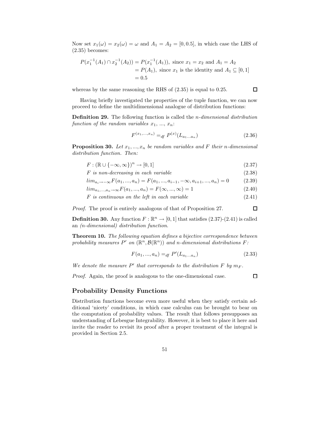Now set  $x_1(\omega) = x_2(\omega) = \omega$  and  $A_1 = A_2 = [0, 0.5]$ , in which case the LHS of (2.35) becomes:

$$
P(x_1^{-1}(A_1) \cap x_2^{-1}(A_2)) = P(x_1^{-1}(A_1)), \text{ since } x_1 = x_2 \text{ and } A_1 = A_2
$$
  
=  $P(A_1), \text{ since } x_1 \text{ is the identity and } A_1 \subseteq [0, 1]$   
= 0.5

whereas by the same reasoning the RHS of (2.35) is equal to 0.25.

Having briefly investigated the properties of the tuple function, we can now proceed to define the multidimensional analogue of distribution functions:

Definition 29. The following function is called the n-dimensional distribution function of the random variables  $x_1, ..., x_n$ :

$$
F^{(x_1,...,x_n)} =_{df} P^{(x)}(L_{a_1...a_n})
$$
\n(2.36)

**Proposition 30.** Let  $x_1, ..., x_n$  be random variables and F their n-dimensional distribution function. Then:

$$
F: (\mathbb{R} \cup \{-\infty, \infty\})^n \to [0, 1] \tag{2.37}
$$

$$
F \text{ is non-decreasing in each variable } \tag{2.38}
$$

$$
lim_{a_i \to -\infty} F(a_1, ..., a_n) = F(a_1, ..., a_{i-1}, -\infty, a_{i+1}, ..., a_n) = 0
$$
\n
$$
F(a_1, ..., a_n) = 0
$$
\n(2.39)

$$
lim_{a_1,...,a_n \to \infty} F(a_1,...,a_n) = F(\infty,...,\infty) = 1
$$
\n(2.40)

$$
F \text{ is continuous on the left in each variable} \tag{2.41}
$$

Proof. The proof is entirely analogous of that of Proposition 27.

**Definition 30.** Any function  $F : \mathbb{R}^n \to [0,1]$  that satisfies  $(2.37)-(2.41)$  is called an (n-dimensional) distribution function.

Theorem 10. The following equation defines a bijective correspondence between probability measures  $P'$  on  $(\mathbb{R}^n, \mathcal{B}(\mathbb{R}^n))$  and n-dimensional distributions  $F$ :

$$
F(a_1, ..., a_n) =_{df} P'(L_{a_1...a_n})
$$
\n(2.33)

We denote the measure  $P'$  that corresponds to the distribution  $F$  by  $m_F$ .

Proof. Again, the proof is analogous to the one-dimensional case.

 $\Box$ 

 $\Box$ 

#### Probability Density Functions

Distribution functions become even more useful when they satisfy certain additional 'nicety' conditions, in which case calculus can be brought to bear on the computation of probability values. The result that follows presupposes an understanding of Lebesgue Integrability. However, it is best to place it here and invite the reader to revisit its proof after a proper treatment of the integral is provided in Section 2.5.

 $\Box$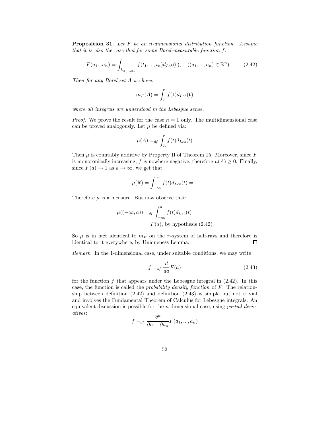Proposition 31. Let F be an n-dimensional distribution function. Assume that it is also the case that for some Borel-measurable function  $f$ :

$$
F(a_1...a_n) = \int_{L_{a_1...a_n}} f(t_1,...,t_n) d_{Leb}(\mathbf{t}), \quad ((a_1,...,a_n) \in \mathbb{R}^n)
$$
 (2.42)

Then for any Borel set A we have:

$$
m_F(A) = \int_A f(\mathbf{t}) d_{Leb}(\mathbf{t})
$$

where all integrals are understood in the Lebesgue sense.

*Proof.* We prove the result for the case  $n = 1$  only. The multidimensional case can be proved analogously. Let  $\mu$  be defined via:

$$
\mu(A) =_{df} \int_A f(t) d_{Leb}(t)
$$

Then  $\mu$  is countably additive by Property II of Theorem 15. Moreover, since  $F$ is monotonically increasing, f is nowhere negative, therefore  $\mu(A) \geq 0$ . Finally, since  $F(a) \to 1$  as  $a \to \infty$ , we get that:

$$
\mu(\mathbb{R}) = \int_{-\infty}^{\infty} f(t) d_{Leb}(t) = 1
$$

Therefore  $\mu$  is a measure. But now observe that:

$$
\mu((-\infty, a)) =_{df} \int_{-\infty}^{a} f(t) d_{Leb}(t)
$$

$$
= F(a), \text{ by hypothesis (2.42)}
$$

So  $\mu$  is in fact identical to  $m_F$  on the  $\pi$ -system of half-rays and therefore is identical to it everywhere, by Uniqueness Lemma. 口

Remark. In the 1-dimensional case, under suitable conditions, we may write

$$
f =_{df} \frac{d}{da} F(a)
$$
\n(2.43)

for the function  $f$  that appears under the Lebesgue integral in  $(2.42)$ . In this case, the function is called the probability density function of F. The relationship between definition (2.42) and definition (2.43) is simple but not trivial and involves the Fundamental Theorem of Calculus for Lebesgue integrals. An equivalent discussion is possible for the n-dimensional case, using partial derivatives:

$$
f =_{df} \frac{\partial^n}{\partial a_1 \dots \partial a_n} F(a_1, \dots, a_n)
$$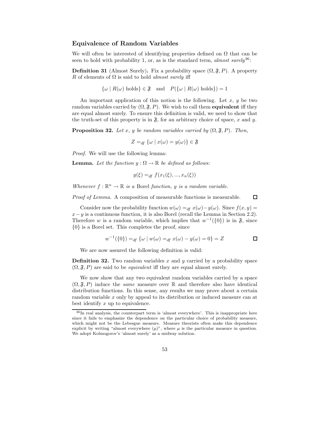## Equivalence of Random Variables

We will often be interested of identifying properties defined on  $\Omega$  that can be seen to hold with probability 1, or, as is the standard term, almost surely<sup>36</sup>:

**Definition 31** (Almost Surely). Fix a probability space  $(\Omega, \mathfrak{F}, P)$ . A property R of elements of  $\Omega$  is said to hold *almost surely* iff

 $\{\omega \mid R(\omega) \text{ holds}\}\in \mathfrak{F}$  and  $P(\{\omega \mid R(\omega) \text{ holds}\})=1$ 

An important application of this notion is the following. Let  $x, y$  be two random variables carried by  $(\Omega, \mathfrak{F}, P)$ . We wish to call them **equivalent** iff they are equal almost surely. To ensure this definition is valid, we need to show that the truth-set of this property is in  $\mathfrak{F}$ , for an arbitrary choice of space, x and y.

**Proposition 32.** Let x, y be random variables carried by  $(\Omega, \mathfrak{F}, P)$ . Then,

$$
Z =_{df} {\omega \mid x(\omega) = y(\omega)} \in \mathfrak{F}
$$

Proof. We will use the following lemma:

**Lemma.** Let the function  $y : \Omega \to \mathbb{R}$  be defined as follows:

$$
y(\xi) =_{df} f(x_1(\xi), ..., x_n(\xi))
$$

Whenever  $f : \mathbb{R}^n \to \mathbb{R}$  is a Borel function, y is a random variable.

Proof of Lemma. A composition of measurable functions is measurable.

Consider now the probability function  $w(\omega) =_{df} x(\omega) - y(\omega)$ . Since  $f(x, y) =$  $x-y$  is a continuous function, it is also Borel (recall the Lemma in Section 2.2). Therefore w is a random variable, which implies that  $w^{-1}(\{0\})$  is in  $\mathfrak{F}$ , since {0} is a Borel set. This completes the proof, since

$$
w^{-1}(\{0\}) =_{df} \{ \omega \mid w(\omega) =_{df} x(\omega) - y(\omega) = 0 \} = Z
$$

口

We are now assured the following definition is valid:

**Definition 32.** Two random variables x and y carried by a probability space  $(\Omega, \mathfrak{F}, P)$  are said to be *equivalent* iff they are equal almost surely.

We now show that any two equivalent random variables carried by a space  $(\Omega, \mathfrak{F}, P)$  induce the *same* measure over R and therefore also have identical distribution functions. In this sense, any results we may prove about a certain random variable x only by appeal to its distribution or induced measure can at best identify  $x$  up to equivalence.

 $36$ In real analysis, the counterpart term is 'almost everywhere'. This is inappropriate here since it fails to emphasize the dependence on the particular choice of probability measure, which might not be the Lebesgue measure. Measure theorists often make this dependence explicit by writing "almost everywhere  $(\mu)$ ", where  $\mu$  is the particular measure in question. We adopt Kolmogorov's 'almost surely' as a midway solution.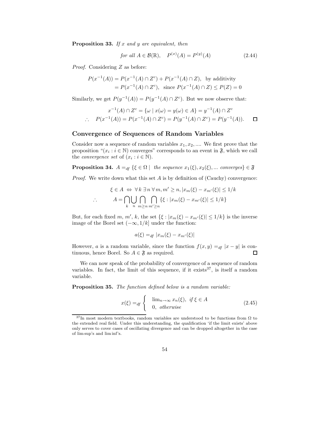**Proposition 33.** If  $x$  and  $y$  are equivalent, then

for all 
$$
A \in \mathcal{B}(\mathbb{R}), \quad P^{(x)}(A) = P^{(y)}(A)
$$
 (2.44)

Proof. Considering Z as before:

$$
P(x^{-1}(A)) = P(x^{-1}(A) \cap Z^c) + P(x^{-1}(A) \cap Z), \text{ by additivity}
$$
  
=  $P(x^{-1}(A) \cap Z^c)$ , since  $P(x^{-1}(A) \cap Z) \le P(Z) = 0$ 

Similarly, we get  $P(y^{-1}(A)) = P(y^{-1}(A) \cap Z^c)$ . But we now observe that:

$$
x^{-1}(A) \cap Z^{c} = \{ \omega \mid x(\omega) = y(\omega) \in A \} = y^{-1}(A) \cap Z^{c}
$$
  
 
$$
\therefore P(x^{-1}(A)) = P(x^{-1}(A) \cap Z^{c}) = P(y^{-1}(A) \cap Z^{c}) = P(y^{-1}(A)). \quad \Box
$$

## Convergence of Sequences of Random Variables

Consider now a sequence of random variables  $x_1, x_2, \dots$ . We first prove that the proposition " $(x_i : i \in \mathbb{N})$  converges" corresponds to an event in  $\mathfrak{F}$ , which we call the *convergence set* of  $(x_i : i \in \mathbb{N})$ .

**Proposition 34.**  $A =_{df} \{ \xi \in \Omega \mid \text{ the sequence } x_1(\xi), x_2(\xi), \dots \text{ converges} \} \in \mathfrak{F}$ 

*Proof.* We write down what this set  $\vec{A}$  is by definition of (Cauchy) convergence:

$$
\xi \in A \Leftrightarrow \forall k \exists n \,\forall m, m' \ge n, |x_m(\xi) - x_{m'}(\xi)| \le 1/k
$$
  
 
$$
\therefore \qquad A = \bigcap_{k} \bigcup_{n} \bigcap_{m \ge n} \bigcap_{m' \ge n} \{\xi : |x_m(\xi) - x_{m'}(\xi)| \le 1/k\}
$$

But, for each fixed m, m', k, the set  $\{\xi : |x_m(\xi) - x_{m'}(\xi)| \leq 1/k\}$  is the inverse image of the Borel set  $(-\infty, 1/k]$  under the function:

$$
a(\xi) =_{df} |x_m(\xi) - x_{m'}(\xi)|
$$

However, a is a random variable, since the function  $f(x, y) =_{df} |x - y|$  is continuous, hence Borel. So  $A \in \mathfrak{F}$  as required.  $\Box$ 

We can now speak of the probability of convergence of a sequence of random variables. In fact, the limit of this sequence, if it exists  $37$ , is itself a random variable.

Proposition 35. The function defined below is a random variable:

$$
x(\xi) =_{df} \begin{cases} \lim_{n \to \infty} x_n(\xi), & \text{if } \xi \in A \\ 0, & \text{otherwise} \end{cases}
$$
 (2.45)

 $37$ In most modern textbooks, random variables are understood to be functions from  $\Omega$  to the extended real field. Under this understanding, the qualification 'if the limit exists' above only serves to cover cases of oscillating divergence and can be dropped altogether in the case of lim sup's and lim inf's.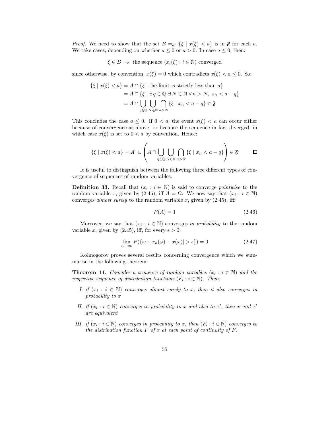*Proof.* We need to show that the set  $B =_{df} {\xi | x(\xi) < a}$  is in  $\mathfrak F$  for each a. We take cases, depending on whether  $a \leq 0$  or  $a > 0$ . In case  $a \leq 0$ , then:

$$
\xi \in B \implies
$$
 the sequence  $(x_i(\xi) : i \in \mathbb{N})$  converged

since otherwise, by convention,  $x(\xi) = 0$  which contradicts  $x(\xi) < a \leq 0$ . So:

$$
\{\xi \mid x(\xi) < a\} = A \cap \{\xi \mid \text{the limit is strictly less than } a\}
$$
\n
$$
= A \cap \{\xi \mid \exists q \in \mathbb{Q} \exists N \in \mathbb{N} \,\forall n > N, \, x_n < a - q\}
$$
\n
$$
= A \cap \bigcup_{q \in \mathbb{Q}} \bigcup_{N \in \mathbb{N}} \bigcap_{n > N} \{\xi \mid x_n < a - q\} \in \mathfrak{F}
$$

This concludes the case  $a \leq 0$ . If  $0 < a$ , the event  $x(\xi) < a$  can occur either because of convergence as above, or because the sequence in fact diverged, in which case  $x(\xi)$  is set to  $0 < a$  by convention. Hence:

$$
\{\xi \mid x(\xi) < a\} = A^c \cup \left(A \cap \bigcup_{q \in \mathbb{Q}} \bigcup_{N \in \mathbb{N}} \bigcap_{n > N} \{\xi \mid x_n < a - q\}\right) \in \mathfrak{F} \qquad \Box
$$

It is useful to distinguish between the following three different types of convergence of sequences of random variables.

**Definition 33.** Recall that  $(x_i : i \in \mathbb{N})$  is said to converge *pointwise* to the random variable x, given by (2.45), iff  $A = \Omega$ . We now say that  $(x_i : i \in \mathbb{N})$ converges *almost surely* to the random variable x, given by  $(2.45)$ , iff:

$$
P(A) = 1\tag{2.46}
$$

Moreover, we say that  $(x_i : i \in \mathbb{N})$  converges in probability to the random variable x, given by (2.45), iff, for every  $\epsilon > 0$ :

$$
\lim_{n \to \infty} P(\{\omega : |x_n(\omega) - x(\omega)| > \epsilon\}) = 0 \tag{2.47}
$$

Kolmogorov proves several results concerning convergence which we summarise in the following theorem:

**Theorem 11.** Consider a sequence of random variables  $(x_i : i \in \mathbb{N})$  and the respective sequence of distribution functions  $(F_i : i \in \mathbb{N})$ . Then:

- I. if  $(x_i : i \in \mathbb{N})$  converges almost surely to x, then it also converges in probability to x
- II. if  $(x_i : i \in \mathbb{N})$  converges in probability to x and also to x', then x and x' are equivalent
- III. if  $(x_i : i \in \mathbb{N})$  converges in probability to x, then  $(F_i : i \in \mathbb{N})$  converges to the distribution function  $F$  of  $x$  at each point of continuity of  $F$ .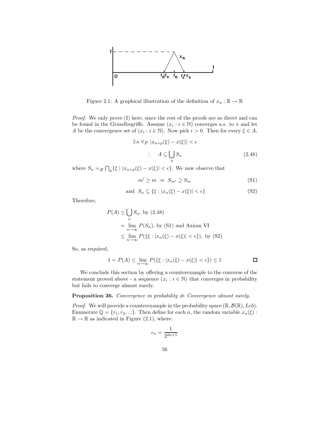

Figure 2.1: A graphical illustration of the definition of  $x_n : \mathbb{R} \to \mathbb{R}$ 

Proof. We only prove (I) here, since the rest of the proofs are as direct and can be found in the Grundbegriffe. Assume  $(x_i : i \in \mathbb{N})$  converges a.s. to x and let A be the convergence set of  $(x_i : i \in \mathbb{N})$ . Now pick  $\epsilon > 0$ . Then for every  $\xi \in A$ ,

$$
\exists n \,\forall p \, |x_{n+p}(\xi) - x(\xi)| < \epsilon
$$
\n
$$
\therefore A \subseteq \bigcup_{n} S_n \tag{2.48}
$$

where  $S_n =_{df} \bigcap_{p} \{\xi \mid |x_{n+p}(\xi) - x(\xi)| < \epsilon\}.$  We now observe that

$$
m' \ge m \implies S_{m'} \supseteq S_m \tag{S1}
$$

$$
\text{and } S_n \subseteq \{ \xi : |x_n(\xi) - x(\xi)| < \epsilon \} \tag{S2}
$$

Therefore,

$$
P(A) \le \bigcup_{n} S_n
$$
, by (2.48)  
=  $\lim_{n \to \infty} P(S_n)$ , by (S1) and Axiom VI  
 $\le \lim_{n \to \infty} P(\{\xi : |x_n(\xi) - x(\xi)| < \epsilon\})$ , by (S2)

So, as required,

$$
1 = P(A) \le \lim_{n \to \infty} P(\{\xi : |x_n(\xi) - x(\xi)| < \epsilon\}) \le 1 \qquad \Box
$$

We conclude this section by offering a counterexample to the converse of the statement proved above - a sequence  $(x_i : i \in \mathbb{N})$  that converges in probability but fails to converge almost surely.

**Proposition 36.** Convergence in probability  $\Rightarrow$  Convergence almost surely.

*Proof.* We will provide a counterexample in the probability space  $(\mathbb{R}, \mathcal{B}(\mathbb{R}), Leb)$ . Enumerate  $\mathbb{Q} = \{r_1, r_2, ...\}$ . Then define for each n, the random variable  $x_n(\xi)$ :  $\mathbb{R} \to \mathbb{R}$  as indicated in Figure (2.1), where:

$$
\epsilon_n = \frac{1}{2^{2n+1}}
$$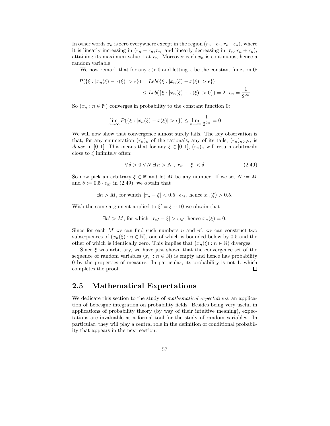In other words  $x_n$  is zero everywhere except in the region  $(r_n-\epsilon_n, r_n+\epsilon_n)$ , where it is linearly increasing in  $(r_n - \epsilon_n, r_n]$  and linearly decreasing in  $[r_n, r_n + \epsilon_n)$ , attaining its maximum value 1 at  $r_n$ . Moreover each  $x_n$  is continuous, hence a random variable.

We now remark that for any  $\epsilon > 0$  and letting x be the constant function 0:

$$
P(\{\xi : |x_n(\xi) - x(\xi)| > \epsilon\}) = Leb(\{\xi : |x_n(\xi) - x(\xi)| > \epsilon\})
$$
  

$$
\leq Leb(\{\xi : |x_n(\xi) - x(\xi)| > 0\}) = 2 \cdot \epsilon_n = \frac{1}{2^{2n}}
$$

So  $(x_n : n \in \mathbb{N})$  converges in probability to the constant function 0:

$$
\lim_{n \to \infty} P(\{\xi : |x_n(\xi) - x(\xi)| > \epsilon\}) \le \lim_{n \to \infty} \frac{1}{2^{2n}} = 0
$$

We will now show that convergence almost surely fails. The key observation is that, for any enumeration  $(r_n)_n$  of the rationals, any of its tails,  $(r_n)_{n>N}$ , is dense in [0, 1]. This means that for any  $\xi \in [0,1]$ ,  $(r_n)_n$  will return arbitrarily close to  $\xi$  infinitely often:

$$
\forall \delta > 0 \,\forall N \,\exists n > N \,, |r_m - \xi| < \delta \tag{2.49}
$$

So now pick an arbitrary  $\xi \in \mathbb{R}$  and let M be any number. If we set  $N := M$ and  $\delta := 0.5 \cdot \epsilon_M$  in (2.49), we obtain that

$$
\exists n > M, \text{ for which } |r_n - \xi| < 0.5 \cdot \epsilon_M, \text{ hence } x_n(\xi) > 0.5.
$$

With the same argument applied to  $\xi' = \xi + 10$  we obtain that

$$
\exists n' > M, \text{ for which } |r_{n'} - \xi| > \epsilon_M, \text{ hence } x_n(\xi) = 0.
$$

Since for each  $M$  we can find such numbers  $n$  and  $n'$ , we can construct two subsequences of  $(x_n(\xi): n \in \mathbb{N})$ , one of which is bounded below by 0.5 and the other of which is identically zero. This implies that  $(x_n(\xi) : n \in \mathbb{N})$  diverges.

Since  $\xi$  was arbitrary, we have just shown that the convergence set of the sequence of random variables  $(x_n : n \in \mathbb{N})$  is empty and hence has probability 0 by the properties of measure. In particular, its probability is not 1, which  $\Box$ completes the proof.

# 2.5 Mathematical Expectations

We dedicate this section to the study of *mathematical expectations*, an application of Lebesgue integration on probability fields. Besides being very useful in applications of probability theory (by way of their intuitive meaning), expectations are invaluable as a formal tool for the study of random variables. In particular, they will play a central role in the definition of conditional probability that appears in the next section.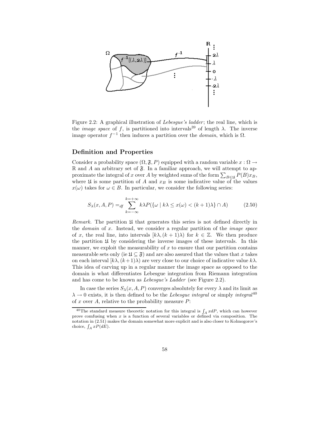

Figure 2.2: A graphical illustration of *Lebesgue's ladder*; the real line, which is the *image space* of f, is partitioned into intervals<sup>39</sup> of length  $\lambda$ . The inverse image operator  $f^{-1}$  then induces a partition over the *domain*, which is  $\Omega$ .

## Definition and Properties

Consider a probability space  $(\Omega, \mathfrak{F}, P)$  equipped with a random variable  $x : \Omega \rightarrow$  $\mathbb R$  and A an arbitrary set of  $\mathfrak F$ . In a familiar approach, we will attempt to approximate the integral of x over A by weighted sums of the form  $\sum_{B \in \mathfrak{U}} P(B)x_B$ , where  $\mathfrak U$  is some partition of A and  $x_B$  is some indicative value of the values  $x(\omega)$  takes for  $\omega \in B$ . In particular, we consider the following series:

$$
S_{\lambda}(x, A, P) =_{df} \sum_{k=-\infty}^{k=+\infty} k \lambda P(\{\omega \mid k\lambda \le x(\omega) < (k+1)\lambda\} \cap A) \tag{2.50}
$$

Remark. The partition  $\mathfrak U$  that generates this series is not defined directly in the domain of x. Instead, we consider a regular partition of the image space of x, the real line, into intervals  $[k\lambda,(k+1)\lambda)$  for  $k \in \mathbb{Z}$ . We then produce the partition  $\mathfrak U$  by considering the inverse images of these intervals. In this manner, we exploit the measurability of  $x$  to ensure that our partition contains measurable sets only (ie  $\mathfrak{U} \subseteq \mathfrak{F}$ ) and are also assured that the values that x takes on each interval  $[k\lambda,(k+1)\lambda)$  are very close to our choice of indicative value  $k\lambda$ . This idea of carving up in a regular manner the image space as opposed to the domain is what differentiates Lebesgue integration from Riemann integration and has come to be known as Lebesgue's Ladder (see Figure 2.2).

In case the series  $S_{\lambda}(x, A, P)$  converges absolutely for every  $\lambda$  and its limit as  $\lambda \rightarrow 0$  exists, it is then defined to be the *Lebesgue integral* or simply *integral*<sup>40</sup> of x over  $A$ , relative to the probability measure  $P$ :

<sup>&</sup>lt;sup>40</sup>The standard measure theoretic notation for this integral is  $\int_A x dP$ , which can however prove comfusing when  $x$  is a function of several variables or defined via composition. The notation in (2.51) makes the domain somewhat more explicit and is also closer to Kolmogorov's choice,  $\int_A x P(dE)$ .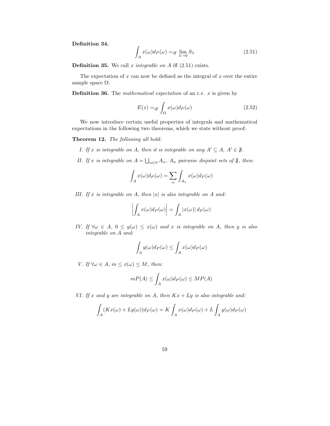Definition 34.

$$
\int_{A} x(\omega) dP(\omega) =_{df} \lim_{\lambda \to 0} S_{\lambda}
$$
\n(2.51)

**Definition 35.** We call x integrable on  $A$  iff (2.51) exists.

The expectation of  $x$  can now be defined as the integral of  $x$  over the entire sample space  $\Omega:$ 

**Definition 36.** The *mathematical expectation* of an r.v.  $x$  is given by

$$
E(x) =_{df} \int_{\Omega} x(\omega) d_P(\omega)
$$
 (2.52)

We now introduce certain useful properties of integrals and mathematical expectations in the following two theorems, which we state without proof:

Theorem 12. The following all hold:

- I. If x is integrable on A, then it is integrable on any  $A' \subseteq A$ ,  $A' \in \mathfrak{F}$ .
- II. If x is integrable on  $A = \bigcup_{n \in \mathbb{N}} A_n$ ,  $A_n$  pairwise disjoint sets of  $\mathfrak{F}$ , then:

$$
\int_A x(\omega) d_P(\omega) = \sum_n \int_{A_n} x(\omega) d_P(\omega)
$$

III. If x is integrable on A, then  $|x|$  is also integrable on A and:

$$
\left| \int_A x(\omega) d_P(\omega) \right| = \int_A |x(\omega)| d_P(\omega)
$$

IV. If  $\forall \omega \in A$ ,  $0 \le y(\omega) \le x(\omega)$  and x is integrable on A, then y is also integrable on A and:

$$
\int_A y(\omega) dP(\omega) \le \int_A x(\omega) dP(\omega)
$$

V. If  $\forall \omega \in A$ ,  $m \leq x(\omega) \leq M$ , then:

$$
mP(A) \le \int_A x(\omega) d_P(\omega) \le MP(A)
$$

VI. If x and y are integrable on A, then  $Kx + Ly$  is also integrable and:

$$
\int_{A} (Kx(\omega) + Ly(\omega))d_P(\omega) = K \int_{A} x(\omega)d_P(\omega) + L \int_{A} y(\omega)d_P(\omega)
$$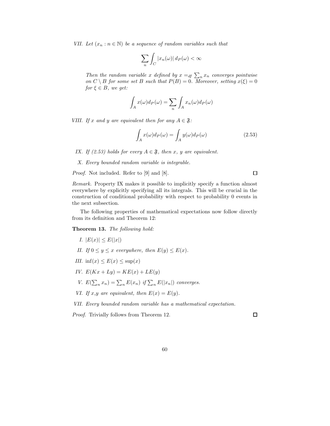VII. Let  $(x_n : n \in \mathbb{N})$  be a sequence of random variables such that

$$
\sum_{n} \int_{C} |x_{n}(\omega)| d P(\omega) < \infty
$$

Then the random variable x defined by  $x =_{df} \sum_{n} x_n$  converges pointwise on  $C \setminus B$  for some set B such that  $P(B) = 0$ . Moreover, setting  $x(\xi) = 0$ for  $\xi \in B$ , we get:

$$
\int_A x(\omega) d_P(\omega) = \sum_n \int_A x_n(\omega) d_P(\omega)
$$

VIII. If x and y are equivalent then for any  $A \in \mathfrak{F}$ :

$$
\int_{A} x(\omega) d_P(\omega) = \int_{A} y(\omega) d_P(\omega)
$$
\n(2.53)

IX. If (2.53) holds for every  $A \in \mathfrak{F}$ , then x, y are equivalent.

X. Every bounded random variable is integrable.

Proof. Not included. Refer to [9] and [8].

 $\Box$ 

Remark. Property IX makes it possible to implicitly specify a function almost everywhere by explicitly specifying all its integrals. This will be crucial in the construction of conditional probability with respect to probability 0 events in the next subsection.

The following properties of mathematical expectations now follow directly from its definition and Theorem 12:

Theorem 13. The following hold:

- I.  $|E(x)| \le E(|x|)$
- II. If  $0 \le y \le x$  everywhere, then  $E(y) \le E(x)$ .
- III. inf(x)  $\leq E(x) \leq \sup(x)$
- IV.  $E(Kx + Ly) = KE(x) + LE(y)$
- V.  $E(\sum_n x_n) = \sum_n E(x_n)$  if  $\sum_n E(|x_n|)$  converges.
- VI. If x,y are equivalent, then  $E(x) = E(y)$ .

VII. Every bounded random variable has a mathematical expectation.

Proof. Trivially follows from Theorem 12.

 $\Box$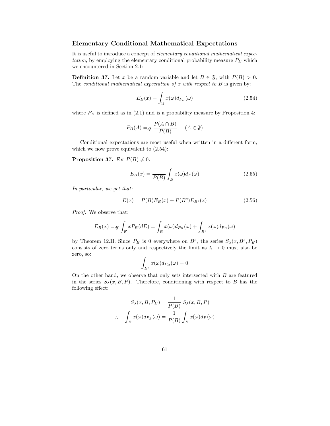### Elementary Conditional Mathematical Expectations

It is useful to introduce a concept of elementary conditional mathematical expectation, by employing the elementary conditional probability measure  $P_B$  which we encountered in Section 2.1:

**Definition 37.** Let x be a random variable and let  $B \in \mathfrak{F}$ , with  $P(B) > 0$ . The conditional mathematical expectation of x with respect to  $B$  is given by:

$$
E_B(x) = \int_{\Omega} x(\omega) d_{P_B}(\omega) \tag{2.54}
$$

where  $P_B$  is defined as in (2.1) and is a probability measure by Proposition 4:

$$
P_B(A) =_{df} \frac{P(A \cap B)}{P(B)}, \quad (A \in \mathfrak{F})
$$

Conditional expectations are most useful when written in a different form, which we now prove equivalent to (2.54):

**Proposition 37.** For  $P(B) \neq 0$ :

$$
E_B(x) = \frac{1}{P(B)} \int_B x(\omega) d_P(\omega)
$$
\n(2.55)

In particular, we get that:

$$
E(x) = P(B)E_B(x) + P(B^c)E_{B^c}(x)
$$
\n(2.56)

Proof. We observe that:

$$
E_B(x) =_{df} \int_E x P_B(dE) = \int_B x(\omega) d_{P_B}(\omega) + \int_{B^c} x(\omega) d_{P_B}(\omega)
$$

by Theorem 12.II. Since  $P_B$  is 0 everywhere on  $B^c$ , the series  $S_\lambda(x, B^c, P_B)$ consists of zero terms only and respectively the limit as  $\lambda \to 0$  must also be zero, so:

$$
\int_{B^c} x(\omega) d_{P_B}(\omega) = 0
$$

On the other hand, we observe that only sets intersected with  $B$  are featured in the series  $S_{\lambda}(x, B, P)$ . Therefore, conditioning with respect to B has the following effect:

$$
S_{\lambda}(x, B, P_B) = \frac{1}{P(B)} S_{\lambda}(x, B, P)
$$
  

$$
\therefore \int_{B} x(\omega) d_{P_B}(\omega) = \frac{1}{P(B)} \int_{B} x(\omega) d_{P}(\omega)
$$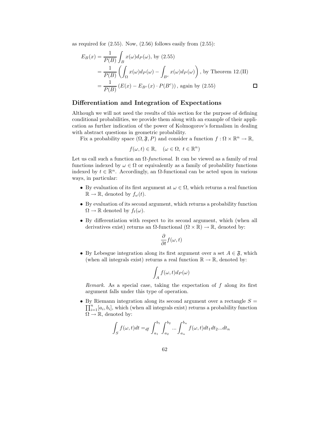as required for  $(2.55)$ . Now,  $(2.56)$  follows easily from  $(2.55)$ :

$$
E_B(x) = \frac{1}{P(B)} \int_B x(\omega) d_P(\omega), \text{ by (2.55)}
$$
  
=  $\frac{1}{P(B)} \left( \int_{\Omega} x(\omega) d_P(\omega) - \int_{B^c} x(\omega) d_P(\omega) \right)$ , by Theorem 12.(II)  
=  $\frac{1}{P(B)} (E(x) - E_{B^c}(x) \cdot P(B^c))$ , again by (2.55)

### Differentiation and Integration of Expectations

Although we will not need the results of this section for the purpose of defining conditional probabilities, we provide them along with an example of their application as further indication of the power of Kolmogorov's formalism in dealing with abstract questions in geometric probability.

Fix a probability space  $(\Omega, \mathfrak{F}, P)$  and consider a function  $f : \Omega \times \mathbb{R}^n \to \mathbb{R}$ ,

$$
f(\omega, t) \in \mathbb{R}, \quad (\omega \in \Omega, t \in \mathbb{R}^n)
$$

Let us call such a function an  $\Omega$ -functional. It can be viewed as a family of real functions indexed by  $\omega \in \Omega$  or equivalently as a family of probability functions indexed by  $t \in \mathbb{R}^n$ . Accordingly, an  $\Omega$ -functional can be acted upon in various ways, in particular:

- By evaluation of its first argument at  $\omega \in \Omega$ , which returns a real function  $\mathbb{R} \to \mathbb{R}$ , denoted by  $f_{\omega}(t)$ .
- By evaluation of its second argument, which returns a probability function  $\Omega \to \mathbb{R}$  denoted by  $f_t(\omega)$ .
- By differentiation with respect to its second argument, which (when all derivatives exist) returns an  $\Omega$ -functional  $(\Omega \times \mathbb{R}) \to \mathbb{R}$ , denoted by:

$$
\frac{\partial}{\partial t} f(\omega, t)
$$

• By Lebesgue integration along its first argument over a set  $A \in \mathfrak{F}$ , which (when all integrals exist) returns a real function  $\mathbb{R} \to \mathbb{R}$ , denoted by:

$$
\int_A f(\omega,t)d_P(\omega)
$$

Remark. As a special case, taking the expectation of f along its first argument falls under this type of operation.

• By Riemann integration along its second argument over a rectangle  $S =$  $\prod_{i=1}^n [a_i, b_i]$ , which (when all integrals exist) returns a probability function  $\Omega \to \mathbb{R}$ , denoted by:

$$
\int_{S} f(\omega, t)dt =_{df} \int_{a_1}^{b_1} \int_{a_2}^{b_2} \dots \int_{a_n}^{b_n} f(\omega, t)dt_1 dt_2 \dots dt_n
$$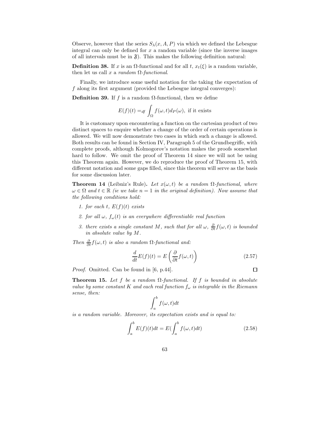Observe, however that the series  $S_{\lambda}(x, A, P)$  via which we defined the Lebesgue integral can only be defined for  $x$  a random variable (since the inverse images of all intervals must be in  $\mathfrak{F}$ ). This makes the following definition natural:

**Definition 38.** If x is an  $\Omega$ -functional and for all t,  $x_t(\xi)$  is a random variable, then let us call x a random  $\Omega$ -functional.

Finally, we introduce some useful notation for the taking the expectation of f along its first argument (provided the Lebesgue integral converges):

Definition 39. If f is a random  $\Omega$ -functional, then we define

$$
E(f)(t) =_{df} \int_{\Omega} f(\omega, t) d_P(\omega), \text{ if it exists}
$$

It is customary upon encountering a function on the cartesian product of two distinct spaces to enquire whether a change of the order of certain operations is allowed. We will now demonstrate two cases in which such a change is allowed. Both results can be found in Section IV, Paragraph 5 of the Grundbegriffe, with complete proofs, although Kolmogorov's notation makes the proofs somewhat hard to follow. We omit the proof of Theorem 14 since we will not be using this Theorem again. However, we do reproduce the proof of Theorem 15, with different notation and some gaps filled, since this theorem will serve as the basis for some discussion later.

**Theorem 14** (Leibniz's Rule). Let  $x(\omega, t)$  be a random  $\Omega$ -functional, where  $\omega \in \Omega$  and  $t \in \mathbb{R}$  (ie we take  $n = 1$  in the original definition). Now assume that the following conditions hold:

- 1. for each t,  $E(f)(t)$  exists
- 2. for all  $\omega$ ,  $f_{\omega}(t)$  is an everywhere differentiable real function
- 3. there exists a single constant M, such that for all  $\omega$ ,  $\frac{\partial}{\partial t} f(\omega, t)$  is bounded in absolute value by M.

Then  $\frac{\partial}{\partial t} f(\omega, t)$  is also a random  $\Omega$ -functional and:

$$
\frac{d}{dt}E(f)(t) = E\left(\frac{\partial}{\partial t}f(\omega, t)\right) \tag{2.57}
$$

 $\Box$ 

Proof. Omitted. Can be found in [6, p.44].

**Theorem 15.** Let f be a random  $\Omega$ -functional. If f is bounded in absolute value by some constant K and each real function  $f_{\omega}$  is integrable in the Riemann sense, then:

$$
\int_{a}^{b} f(\omega, t) dt
$$

is a random variable. Moreover, its expectation exists and is equal to:

$$
\int_{a}^{b} E(f)(t)dt = E(\int_{a}^{b} f(\omega, t)dt)
$$
\n(2.58)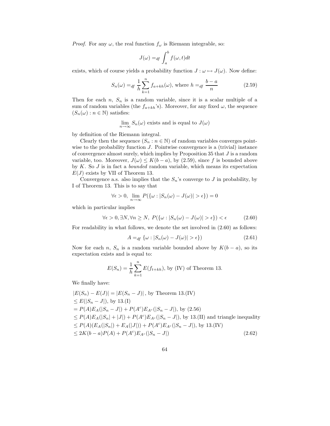*Proof.* For any  $\omega$ , the real function  $f_{\omega}$  is Riemann integrable, so:

$$
J(\omega) =_{df} \int_{a}^{b} f(\omega, t) dt
$$

exists, which of course yields a probability function  $J : \omega \mapsto J(\omega)$ . Now define:

$$
S_n(\omega) =_{df} \frac{1}{h} \sum_{k=1}^n f_{a+kh}(\omega), \text{ where } h =_{df} \frac{b-a}{n}
$$
 (2.59)

Then for each  $n, S_n$  is a random variable, since it is a scalar multiple of a sum of random variables (the  $f_{a+kh}$ 's). Moreover, for any fixed  $\omega$ , the sequence  $(S_n(\omega): n \in \mathbb{N})$  satisfies:

$$
\lim_{n \to \infty} S_n(\omega)
$$
 exists and is equal to  $J(\omega)$ 

by definition of the Riemann integral.

Clearly then the sequence  $(S_n : n \in \mathbb{N})$  of random variables converges pointwise to the probability function  $J$ . Pointwise convergence is a (trivial) instance of convergence almost surely, which implies by Proposition 35 that J is a random variable, too. Moreover,  $J(\omega) \leq K(b-a)$ , by (2.59), since f is bounded above by  $K$ . So  $J$  is in fact a *bounded* random variable, which means its expectation  $E(J)$  exists by VII of Theorem 13.

Convergence a.s. also implies that the  $S_n$ 's converge to J in probability, by I of Theorem 13. This is to say that

$$
\forall \epsilon > 0, \ \lim_{n \to \infty} P(\{\omega : |S_n(\omega) - J(\omega)| > \epsilon\}) = 0
$$

which in particular implies

$$
\forall \epsilon > 0, \exists N, \forall n \ge N, \ P(\{\omega : |S_n(\omega) - J(\omega)| > \epsilon\}) < \epsilon \tag{2.60}
$$

For readability in what follows, we denote the set involved in (2.60) as follows:

$$
A =_{df} \{ \omega : |S_n(\omega) - J(\omega)| > \epsilon \} \tag{2.61}
$$

Now for each n,  $S_n$  is a random variable bounded above by  $K(b - a)$ , so its expectation exists and is equal to:

$$
E(S_n) = \frac{1}{h} \sum_{k=1}^{n} E(f_{t+kh}),
$$
 by (IV) of Theorem 13.

We finally have:

$$
|E(S_n) - E(J)| = |E(S_n - J)|
$$
, by Theorem 13.(IV)  
\n
$$
\leq E(|S_n - J|)
$$
, by 13.(I)  
\n
$$
= P(A)E_A(|S_n - J|) + P(A^c)E_{A^c}(|S_n - J|)
$$
, by (2.56)  
\n
$$
\leq P(A)E_A(|S_n| + |J|) + P(A^c)E_{A^c}(|S_n - J|)
$$
, by 13.(II) and triangle inequality  
\n
$$
\leq P(A)(E_A(|S_n|) + E_A(|J|)) + P(A^c)E_{A^c}(|S_n - J|)
$$
, by 13.(IV)  
\n
$$
\leq 2K(b-a)P(A) + P(A^c)E_{A^c}(|S_n - J|)
$$
\n(2.62)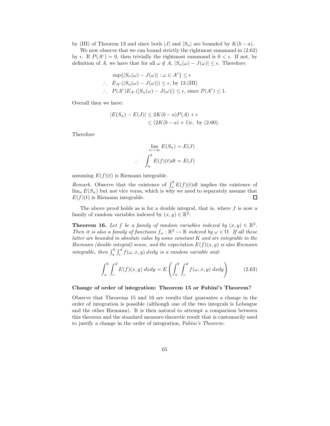by (III) of Theorem 13 and since both |J| and  $|S_n|$  are bounded by  $K(b-a)$ .

We now observe that we can bound strictly the rightmost summand in (2.62) by  $\epsilon$ . If  $P(A^c) = 0$ , then trivially the rightmost summand is  $0 < \epsilon$ . If not, by definition of A, we have that for all  $\omega \notin A$ ,  $|S_n(\omega) - J(\omega)| \leq \epsilon$ . Therefore:

$$
\sup\{|S_n(\omega) - J(\omega)| : \omega \in A^c\} \le \epsilon
$$
  
 
$$
\therefore E_{A^c}(|S_n(\omega) - J(\omega)|) \le \epsilon, \text{ by 13.(III)}
$$
  
 
$$
\therefore P(A^c)E_{A^c}(|S_n(\omega) - J(\omega)|) \le \epsilon, \text{ since } P(A^c) \le 1.
$$

Overall then we have:

$$
|E(S_n) - E(J)| \le 2K(b-a)P(A) + \epsilon
$$
  
\n
$$
\le (2K(b-a) + 1)\epsilon, \text{ by (2.60)}.
$$

Therefore

$$
\lim_{n \to \infty} E(S_n) = E(J)
$$

$$
\int_a^b E(f)(t)dt = E(J)
$$

assuming  $E(f)(t)$  is Riemann integrable.

∴

*Remark.* Observe that the existence of  $\int_a^b E(f)(t)dt$  implies the existence of  $\lim_{n} E(S_n)$  but not vice versa, which is why we need to separately assume that  $E(f)(t)$  is Riemann integrable.  $\Box$ 

The above proof holds as is for a double integral, that is, where  $f$  is now a family of random variables indexed by  $(x, y) \in \mathbb{R}^2$ :

**Theorem 16.** Let f be a family of random variables indexed by  $(x, y) \in \mathbb{R}^2$ . Then it is also a family of functions  $f_{\omega}: \mathbb{R}^2 \to \mathbb{R}$  indexed by  $\omega \in \Omega$ . If all these latter are bounded in absolute value by some constant  $K$  and are integrable in the Riemann (double integral) sense, and the expectation  $E(f)(x, y)$  is also Riemann integrable, then  $\int_a^b \int_c^d f(\omega, x, y) dx dy$  is a random variable and:

$$
\int_{a}^{b} \int_{c}^{d} E(f)(x, y) dx dy = E\left(\int_{a}^{b} \int_{c}^{d} f(\omega, x, y) dx dy\right)
$$
 (2.63)

#### Change of order of integration: Theorem 15 or Fubini's Theorem?

Observe that Theorems 15 and 16 are results that guarantee a change in the order of integration is possible (although one of the two integrals is Lebesgue and the other Riemann). It is then natural to attempt a comparison between this theorem and the standard measure-theoretic result that is customarily used to justify a change in the order of integration, Fubini's Theorem: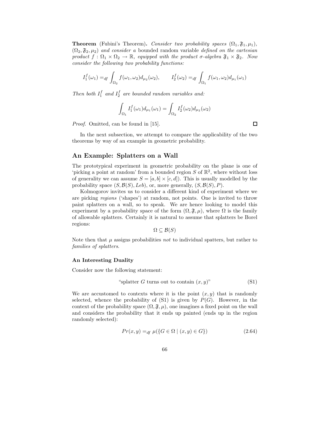**Theorem** (Fubini's Theorem). Consider two probability spaces  $(\Omega_1, \mathfrak{F}_1, \mu_1)$ ,  $(\Omega_2, \mathfrak{F}_2, \mu_2)$  and consider a bounded random variable defined on the cartesian product  $f : \Omega_1 \times \Omega_2 \to \mathbb{R}$ , equipped with the product  $\sigma$ -algebra  $\mathfrak{F}_1 \times \mathfrak{F}_2$ . Now consider the following two probability functions:

$$
I_1^f(\omega_1) =_{df} \int_{\Omega_2} f(\omega_1, \omega_2) d_{\mu_2}(\omega_2), \qquad I_2^f(\omega_2) =_{df} \int_{\Omega_1} f(\omega_1, \omega_2) d_{\mu_1}(\omega_1)
$$

Then both  $I_1^f$  and  $I_2^f$  are bounded random variables and:

$$
\int_{\Omega_1} I_1^f(\omega_1) d\mu_1(\omega_1) = \int_{\Omega_2} I_2^f(\omega_2) d\mu_2(\omega_2)
$$

Proof. Omitted, can be found in [15].

In the next subsection, we attempt to compare the applicability of the two theorems by way of an example in geometric probability.

## An Example: Splatters on a Wall

The prototypical experiment in geometric probability on the plane is one of 'picking a point at random' from a bounded region S of  $\mathbb{R}^2$ , where without loss of generality we can assume  $S = [a, b] \times [c, d]$ . This is usually modelled by the probability space  $(S, \mathcal{B}(S), Leb)$ , or, more generally,  $(S, \mathcal{B}(S), P)$ .

Kolmogorov invites us to consider a different kind of experiment where we are picking regions ('shapes') at random, not points. One is invited to throw paint splatters on a wall, so to speak. We are hence looking to model this experiment by a probability space of the form  $(\Omega, \mathfrak{F}, \mu)$ , where  $\Omega$  is the family of allowable splatters. Certainly it is natural to assume that splatters be Borel regions:

$$
\Omega \subseteq \mathcal{B}(S)
$$

Note then that  $\mu$  assigns probabilities not to individual spatters, but rather to families of splatters.

#### An Interesting Duality

Consider now the following statement:

"splatter 
$$
G
$$
 turns out to contain  $(x, y)$ " (S1)

We are accustomed to contexts where it is the point  $(x, y)$  that is randomly selected, whence the probability of  $(S1)$  is given by  $P(G)$ . However, in the context of the probability space  $(\Omega, \mathfrak{F}, \mu)$ , one imagines a fixed point on the wall and considers the probability that it ends up painted (ends up in the region randomly selected):

$$
Pr(x, y) =_{df} \mu(\{G \in \Omega \mid (x, y) \in G\})
$$
\n(2.64)

 $\Box$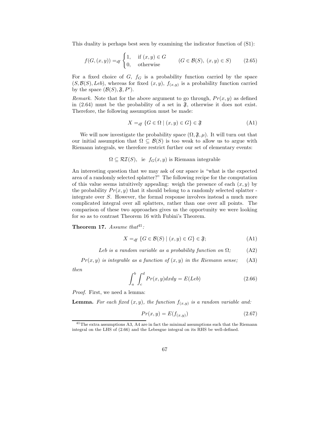This duality is perhaps best seen by examining the indicator function of (S1):

$$
f(G, (x, y)) =_{df} \begin{cases} 1, & \text{if } (x, y) \in G \\ 0, & \text{otherwise} \end{cases} \qquad (G \in \mathcal{B}(S), (x, y) \in S) \qquad (2.65)
$$

For a fixed choice of  $G, f_G$  is a probability function carried by the space  $(S, \mathcal{B}(S), Leb)$ , whereas for fixed  $(x, y)$ ,  $f_{(x, y)}$  is a probability function carried by the space  $(\mathcal{B}(S), \mathfrak{F}, P')$ .

Remark. Note that for the above argument to go through,  $Pr(x, y)$  as defined in  $(2.64)$  must be the probability of a set in  $\mathfrak{F}$ , otherwise it does not exist. Therefore, the following assumption must be made:

$$
X =_{df} \{ G \in \Omega \mid (x, y) \in G \} \in \mathfrak{F}
$$
\n
$$
(A1)
$$

We will now investigate the probability space  $(\Omega, \mathfrak{F}, \mu)$ . It will turn out that our initial assumption that  $\Omega \subseteq \mathcal{B}(S)$  is too weak to allow us to argue with Riemann integrals, we therefore restrict further our set of elementary events:

 $\Omega \subseteq \mathcal{RI}(S)$ , ie  $f_G(x, y)$  is Riemann integrable

An interesting question that we may ask of our space is "what is the expected area of a randomly selected splatter?" The following recipe for the computation of this value seems intuitively appealing: weigh the presence of each  $(x, y)$  by the probability  $Pr(x, y)$  that it should belong to a randomly selected splatter integrate over S. However, the formal response involves instead a much more complicated integral over all splatters, rather than one over all points. The comparison of these two approaches gives us the opportunity we were looking for so as to contrast Theorem 16 with Fubini's Theorem.

Theorem 17. Assume that  $4^{41}$ :

$$
X =_{df} \{ G \in \mathcal{B}(S) \mid (x, y) \in G \} \in \mathfrak{F};\tag{A1}
$$

Leb is a random variable as a probability function on  $\Omega$ ; (A2)

 $Pr(x, y)$  is integrable as a function of  $(x, y)$  in the Riemann sense; (A3)

then

$$
\int_{a}^{b} \int_{c}^{d} Pr(x, y) dx dy = E(Leb)
$$
\n(2.66)

Proof. First, we need a lemma:

**Lemma.** For each fixed  $(x, y)$ , the function  $f_{(x,y)}$  is a random variable and:

$$
Pr(x,y) = E(f_{(x,y)})\tag{2.67}
$$

<sup>41</sup>The extra assumptions A3, A4 are in fact the minimal assumptions such that the Riemann integral on the LHS of (2.66) and the Lebesgue integral on its RHS be well-defined.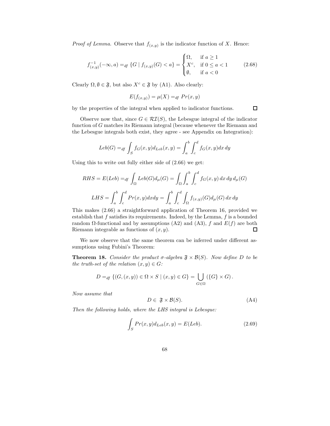*Proof of Lemma.* Observe that  $f(x,y)$  is the indicator function of X. Hence:

$$
f_{(x,y)}^{-1}(-\infty, a) =_{df} \{G \mid f_{(x,y)}(G) < a\} = \begin{cases} \Omega, & \text{if } a \ge 1 \\ X^c, & \text{if } 0 \le a < 1 \\ \emptyset, & \text{if } a < 0 \end{cases} \tag{2.68}
$$

Clearly  $\Omega, \emptyset \in \mathfrak{F}$ , but also  $X^c \in \mathfrak{F}$  by (A1). Also clearly:

$$
E(f_{(x,y)}) = \mu(X) =_{df} Pr(x,y)
$$

by the properties of the integral when applied to indicator functions.

 $\Box$ 

Observe now that, since  $G \in \mathcal{RI}(S)$ , the Lebesgue integral of the indicator function of G matches its Riemann integral (because whenever the Riemann and the Lebesgue integrals both exist, they agree - see Appendix on Integration):

$$
Leb(G) =_{df} \int_{S} f_G(x, y) d_{Leb}(x, y) = \int_{a}^{b} \int_{c}^{d} f_G(x, y) dx dy
$$

Using this to write out fully either side of (2.66) we get:

$$
RHS = E(Leb) =_{df} \int_{\Omega} Leb(G)d_{\mu}(G) = \int_{\Omega} \int_{a}^{b} \int_{c}^{d} f_G(x, y) dx dy d_{\mu}(G)
$$

$$
LHS = \int_{a}^{b} \int_{c}^{d} Pr(x, y) dx dy = \int_{a}^{b} \int_{c}^{d} \int_{\Omega} f_{(x, y)}(G) d_{\mu}(G) dx dy
$$

This makes (2.66) a straightforward application of Theorem 16, provided we establish that  $f$  satisfies its requirements. Indeed, by the Lemma,  $f$  is a bounded random  $\Omega$ -functional and by assumptions (A2) and (A3), f and  $E(f)$  are both Riemann integrable as functions of  $(x, y)$ .  $\Box$ 

We now observe that the same theorem can be inferred under different assumptions using Fubini's Theorem:

**Theorem 18.** Consider the product  $\sigma$ -algebra  $\mathfrak{F} \times \mathcal{B}(S)$ . Now define D to be the truth-set of the relation  $(x, y) \in G$ :

$$
D =_{df} \{ (G, (x, y)) \in \Omega \times S \mid (x, y) \in G \} = \bigcup_{G \in \Omega} (\{G\} \times G).
$$

Now assume that

$$
D \in \mathfrak{F} \times \mathcal{B}(S). \tag{A4}
$$

Then the following holds, where the LHS integral is Lebesgue:

$$
\int_{S} Pr(x, y) d_{Leb}(x, y) = E(Leb).
$$
\n(2.69)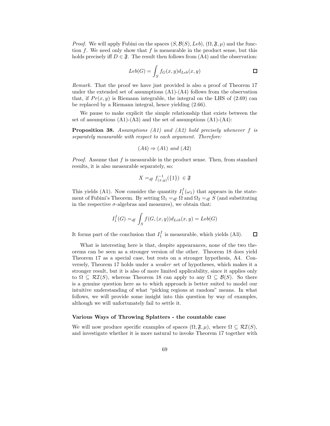*Proof.* We will apply Fubini on the spaces  $(S, \mathcal{B}(S), Leb)$ ,  $(\Omega, \mathfrak{F}, \mu)$  and the function  $f$ . We need only show that  $f$  is measurable in the product sense, but this holds precisely iff  $D \in \mathfrak{F}$ . The result then follows from (A4) and the observation:

$$
Leb(G) = \int_{S} f_G(x, y) d_{Leb}(x, y)
$$

Remark. That the proof we have just provided is also a proof of Theorem 17 under the extended set of assumptions  $(A1)-(A4)$  follows from the observation that, if  $Pr(x, y)$  is Riemann integrable, the integral on the LHS of (2.69) can be replaced by a Riemann integral, hence yielding (2.66).

We pause to make explicit the simple relationship that exists between the set of assumptions  $(A1)$ - $(A3)$  and the set of assumptions  $(A1)$ - $(A4)$ :

**Proposition 38.** Assumptions  $(A1)$  and  $(A2)$  hold precisely whenever f is separately measurable with respect to each argument. Therefore:

$$
(A4) \Rightarrow (A1)
$$
 and  $(A2)$ 

*Proof.* Assume that  $f$  is measurable in the product sense. Then, from standard results, it is also measurable separately, so:

$$
X =_{df} f^{-1}_{(x,y)}(\{1\}) \in \mathfrak{F}
$$

This yields (A1). Now consider the quantity  $I_1^f(\omega_1)$  that appears in the statement of Fubini's Theorem. By setting  $\Omega_1 =_{df} \Omega$  and  $\Omega_2 =_{df} S$  (and substituting in the respective  $\sigma$ -algebras and measures), we obtain that:

$$
I_1^f(G) =_{df} \int_S f(G, (x, y)) d_{Leb}(x, y) = Leb(G)
$$

It forms part of the conclusion that  $I_1^f$  is measurable, which yields (A3).  $\Box$ 

What is interesting here is that, despite appearances, none of the two theorems can be seen as a stronger version of the other. Theorem 18 does yield Theorem 17 as a special case, but rests on a stronger hypothesis, A4. Conversely, Theorem 17 holds under a weaker set of hypotheses, which makes it a stronger result, but it is also of more limited applicability, since it applies only to  $\Omega \subseteq \mathcal{RI}(S)$ , whereas Theorem 18 can apply to any  $\Omega \subseteq \mathcal{B}(S)$ . So there is a genuine question here as to which approach is better suited to model our intuitive understanding of what "picking regions at random" means. In what follows, we will provide some insight into this question by way of examples, although we will unfortunately fail to settle it.

#### Various Ways of Throwing Splatters - the countable case

We will now produce specific examples of spaces  $(\Omega, \mathfrak{F}, \mu)$ , where  $\Omega \subseteq \mathcal{RI}(S)$ , and investigate whether it is more natural to invoke Theorem 17 together with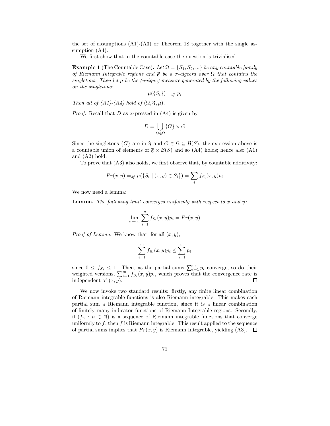the set of assumptions  $(A1)-(A3)$  or Theorem 18 together with the single assumption  $(A4)$ .

We first show that in the countable case the question is trivialised.

**Example 1** (The Countable Case). Let  $\Omega = \{S_1, S_2, ...\}$  be any countable family of Riemann Integrable regions and  $\mathfrak F$  be a  $\sigma$ -algebra over  $\Omega$  that contains the singletons. Then let  $\mu$  be the (unique) measure generated by the following values on the singletons:

$$
\mu({S_i}) =_{df} p_i
$$

Then all of  $(A1)$ - $(A4)$  hold of  $(\Omega, \mathfrak{F}, \mu)$ .

*Proof.* Recall that  $D$  as expressed in  $(A4)$  is given by

$$
D = \bigcup_{G \in \Omega} \{G\} \times G
$$

Since the singletons  $\{G\}$  are in  $\mathfrak{F}$  and  $G \in \Omega \subseteq \mathcal{B}(S)$ , the expression above is a countable union of elements of  $\mathfrak{F} \times \mathcal{B}(S)$  and so (A4) holds; hence also (A1) and (A2) hold.

To prove that (A3) also holds, we first observe that, by countable additivity:

$$
Pr(x, y) =_{df} \mu(\{S_i \mid (x, y) \in S_i\}) = \sum_i f_{S_i}(x, y) p_i
$$

We now need a lemma:

**Lemma.** The following limit converges uniformly with respect to x and y:

$$
\lim_{n \to \infty} \sum_{i=1}^{n} f_{S_i}(x, y) p_i = Pr(x, y)
$$

*Proof of Lemma.* We know that, for all  $(x, y)$ ,

$$
\sum_{i=1}^{m} f_{S_i}(x, y) p_i \le \sum_{i=1}^{m} p_i
$$

since  $0 \leq f_{S_i} \leq 1$ . Then, as the partial sums  $\sum_{i=1}^{m} p_i$  converge, so do their weighted versions,  $\sum_{i=1}^{m} f_{S_i}(x, y) p_i$ , which proves that the convergence rate is independent of  $(x, y)$ .  $\Box$ 

We now invoke two standard results: firstly, any finite linear combination of Riemann integrable functions is also Riemann integrable. This makes each partial sum a Riemann integrable function, since it is a linear combination of finitely many indicator functions of Riemann Integrable regions. Secondly, if  $(f_n : n \in \mathbb{N})$  is a sequence of Riemann integrable functions that converge uniformly to  $f$ , then  $f$  is Riemann integrable. This result applied to the sequence of partial sums implies that  $Pr(x, y)$  is Riemann Integrable, yielding (A3).  $\Box$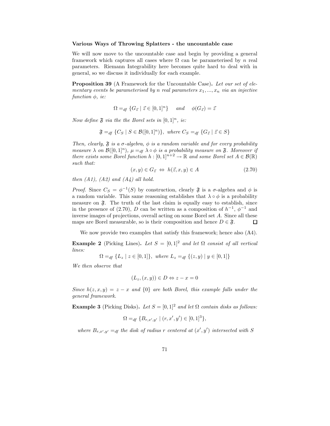#### Various Ways of Throwing Splatters - the uncountable case

We will now move to the uncountable case and begin by providing a general framework which captures all cases where  $\Omega$  can be parameterised by n real parameters. Riemann Integrability here becomes quite hard to deal with in general, so we discuss it individually for each example.

Proposition 39 (A Framework for the Uncountable Case). Let our set of elementary events be parameterised by n real parameters  $x_1, ..., x_n$  via an injective function  $\phi$ , ie:

$$
\Omega =_{df} \{ G_{\vec{z}} \mid \vec{z} \in [0,1]^n \} \quad and \quad \phi(G_{\vec{z}}) = \vec{z}
$$

Now define  $\mathfrak F$  via the the Borel sets in  $[0,1]^n$ , ie:

 $\mathfrak{F} =_{df} \{ C_S \mid S \in \mathcal{B}([0,1]^n) \},$  where  $C_S =_{df} \{ G_{\vec{z}} \mid \vec{z} \in S \}$ 

Then, clearly,  $\mathfrak F$  is a  $\sigma$ -algebra,  $\phi$  is a random variable and for every probability measure  $\lambda$  on  $\mathcal{B}([0,1]^n)$ ,  $\mu =_{df} \lambda \circ \phi$  is a probability measure on  $\mathfrak{F}$ . Moreover if there exists some Borel function  $h : [0,1]^{n+2} \to \mathbb{R}$  and some Borel set  $A \in \mathcal{B}(\mathbb{R})$ such that:

$$
(x, y) \in G_{\vec{z}} \iff h(\vec{z}, x, y) \in A \tag{2.70}
$$

then  $(A1)$ ,  $(A2)$  and  $(A4)$  all hold.

*Proof.* Since  $C_S = \phi^{-1}(S)$  by construction, clearly  $\mathfrak F$  is a  $\sigma$ -algebra and  $\phi$  is a random variable. This same reasoning establishes that  $\lambda \circ \phi$  is a probability measure on  $\mathfrak{F}$ . The truth of the last claim is equally easy to establish, since in the presence of (2.70), D can be written as a composition of  $h^{-1}$ ,  $\phi^{-1}$  and inverse images of projections, overall acting on some Borel set A. Since all these maps are Borel measurable, so is their composition and hence  $D \in \mathfrak{F}$ .  $\Box$ 

We now provide two examples that satisfy this framework; hence also  $(A4)$ .

Example 2 (Picking Lines). Let  $S = [0, 1]^2$  and let  $\Omega$  consist of all vertical lines:

 $\Omega =_{df} \{L_z \mid z \in [0,1]\},$  where  $L_z =_{df} \{(z,y) \mid y \in [0,1]\}$ 

We then observe that

$$
(L_z, (x, y)) \in D \Leftrightarrow z - x = 0
$$

Since  $h(z, x, y) = z - x$  and  $\{0\}$  are both Borel, this example falls under the general framework.

Example 3 (Picking Disks). Let  $S = [0, 1]^2$  and let  $\Omega$  contain disks as follows:

$$
\Omega =_{df} \{ B_{r,x',y'} \mid (r, x', y') \in [0, 1]^3 \},
$$

where  $B_{r,x',y'} =_{df}$  the disk of radius r centered at  $(x', y')$  intersected with S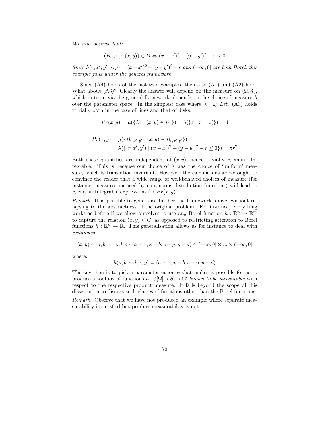We now observe that:

$$
(B_{r,x',y'}, (x,y)) \in D \Leftrightarrow (x-x')^{2} + (y-y')^{2} - r \le 0
$$

Since  $h(r, x', y', x, y) = (x - x')^{2} + (y - y')^{2} - r$  and  $(-\infty, 0]$  are both Borel, this example falls under the general framework.

Since  $(A4)$  holds of the last two examples, then also  $(A1)$  and  $(A2)$  hold. What about (A3)? Clearly the answer will depend on the measure on  $(\Omega, \mathfrak{F})$ , which in turn, via the general framework, depends on the choice of measure  $\lambda$ over the parameter space. In the simplest case where  $\lambda =_{df} Leb$ , (A3) holds trivially both in the case of lines and that of disks:

$$
Pr(x, y) = \mu(\{L_z \mid (x, y) \in L_z\}) = \lambda(\{z \mid x = z)\}) = 0
$$

$$
Pr(x, y) = \mu(\lbrace B_{r,x',y'} \mid (x, y) \in B_{r,x',y'} \rbrace)
$$
  
=  $\lambda(\lbrace (r, x', y') \mid (x - x')^{2} + (y - y')^{2} - r \le 0 \rbrace) = \pi r^{2}$ 

Both these quantities are independent of  $(x, y)$ , hence trivially Riemann Integrable. This is because our choice of  $\lambda$  was the choice of 'uniform' measure, which is translation invariant. However, the calculations above ought to convince the reader that a wide range of well-behaved choices of measure (for instance, measures induced by continuous distribution functions) will lead to Riemann Integrable expressions for  $Pr(x, y)$ .

Remark. It is possible to generalise further the framework above, without relapsing to the abstractness of the original problem. For instance, everything works as before if we allow ourselves to use *any* Borel function  $h : \mathbb{R}^n \to \mathbb{R}^m$ to capture the relation  $(x, y) \in G$ , as opposed to restricting attention to Borel functions  $h : \mathbb{R}^n \to \mathbb{R}$ . This generalisation allows us for instance to deal with rectangles:

$$
(x, y) \in [a, b] \times [c, d] \Leftrightarrow (a - x, x - b, c - y, y - d) \in (-\infty, 0] \times ... \times (-\infty, 0]
$$

where:

$$
h(a, b, c, d, x, y) = (a - x, x - b, c - y, y - d)
$$

The key then is to pick a parameterisation  $\phi$  that makes it possible for us to produce a toolbox of functions  $h : \phi[\Omega] \times S \to \Omega'$  known to be measurable with respect to the respective product measure. It falls beyond the scope of this dissertation to discuss such classes of functions other than the Borel functions.

Remark. Observe that we have not produced an example where separate measurability is satisfied but product measurability is not.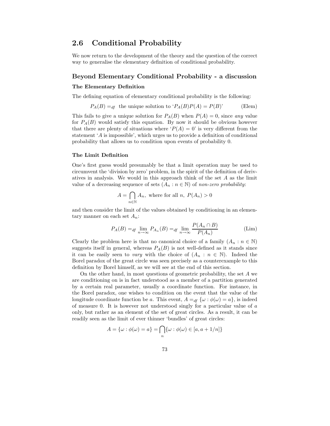#### 2.6 Conditional Probability

We now return to the development of the theory and the question of the correct way to generalise the elementary definition of conditional probability.

#### Beyond Elementary Conditional Probability - a discussion

#### The Elementary Definition

The defining equation of elementary conditional probability is the following:

$$
P_A(B) =_{df}
$$
 the unique solution to  $P_A(B)P(A) = P(B)$  (Elem)

This fails to give a unique solution for  $P_A(B)$  when  $P(A) = 0$ , since any value for  $P_A(B)$  would satisfy this equation. By now it should be obvious however that there are plenty of situations where ' $P(A) = 0$ ' is very different from the statement 'A is impossible', which urges us to provide a definition of conditional probability that allows us to condition upon events of probability 0.

#### The Limit Definition

One's first guess would presumably be that a limit operation may be used to circumvent the 'division by zero' problem, in the spirit of the definition of derivatives in analysis. We would in this approach think of the set A as the limit value of a decreasing sequence of sets  $(A_n : n \in \mathbb{N})$  of non-zero probability:

$$
A = \bigcap_{n \in \mathbb{N}} A_n
$$
, where for all  $n, P(A_n) > 0$ 

and then consider the limit of the values obtained by conditioning in an elementary manner on each set  $A_n$ :

$$
P_A(B) =_{df} \lim_{n \to \infty} P_{A_n}(B) =_{df} \lim_{n \to \infty} \frac{P(A_n \cap B)}{P(A_n)}
$$
(Lim)

Clearly the problem here is that no canonical choice of a family  $(A_n : n \in \mathbb{N})$ suggests itself in general, whereas  $P_A(B)$  is not well-defined as it stands since it can be easily seen to vary with the choice of  $(A_n : n \in \mathbb{N})$ . Indeed the Borel paradox of the great circle was seen precisely as a counterexample to this definition by Borel himself, as we will see at the end of this section.

On the other hand, in most questions of geometric probability, the set A we are conditioning on is in fact understood as a member of a partition generated by a certain real parameter, usually a coordinate function. For instance, in the Borel paradox, one wishes to condition on the event that the value of the longitude coordinate function be a. This event,  $A =_{df} {\omega : \phi(\omega) = a}$ , is indeed of measure 0. It is however not understood singly for a particular value of a only, but rather as an element of the set of great circles. As a result, it can be readily seen as the limit of ever thinner 'bundles' of great circles:

$$
A = \{\omega : \phi(\omega) = a\} = \bigcap_{n} \{\omega : \phi(\omega) \in [a, a + 1/n]\}
$$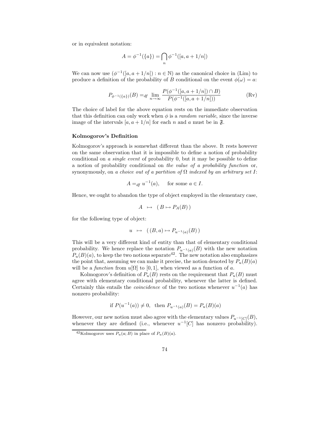or in equivalent notation:

$$
A = \phi^{-1}(\{a\}) = \bigcap_{n} \phi^{-1}([a, a + 1/n])
$$

We can now use  $(\phi^{-1}([a, a+1/n]) : n \in \mathbb{N})$  as the canonical choice in (Lim) to produce a definition of the probability of B conditional on the event  $\phi(\omega) = a$ :

$$
P_{\phi^{-1}(\{a\})}(B) =_{df} \lim_{n \to \infty} \frac{P(\phi^{-1}([a, a + 1/n]) \cap B)}{P(\phi^{-1}([a, a + 1/n]))}
$$
(Rv)

The choice of label for the above equation rests on the immediate observation that this definition can only work when  $\phi$  is a *random variable*, since the inverse image of the intervals  $[a, a + 1/n]$  for each n and a must be in  $\mathfrak{F}$ .

#### Kolmogorov's Definition

Kolmogorov's approach is somewhat different than the above. It rests however on the same observation that it is impossible to define a notion of probability conditional on a single event of probability 0, but it may be possible to define a notion of probability conditional on the value of a probability function or, synonymously, on a choice out of a partition of  $\Omega$  indexed by an arbitrary set I:

$$
A =_{df} u^{-1}(a), \quad \text{for some } a \in I.
$$

Hence, we ought to abandon the type of object employed in the elementary case,

$$
A \mapsto (B \mapsto P_A(B))
$$

for the following type of object:

$$
u \mapsto ((B, a) \mapsto P_{u^{-1}(a)}(B))
$$

This will be a very different kind of entity than that of elementary conditional probability. We hence replace the notation  $P_{u^{-1}(a)}(B)$  with the new notation  $P_u(B)(a)$ , to keep the two notions separate<sup>42</sup>. The new notation also emphasizes the point that, assuming we can make it precise, the notion denoted by  $P_u(B)(a)$ will be a function from  $u[\Omega]$  to [0, 1], when viewed as a function of a.

Kolmogorov's definition of  $P_u(B)$  rests on the requirement that  $P_u(B)$  must agree with elementary conditional probability, whenever the latter is defined. Certainly this entails the *coincidence* of the two notions whenever  $u^{-1}(a)$  has nonzero probability:

if 
$$
P(u^{-1}(a)) \neq 0
$$
, then  $P_{u^{-1}(a)}(B) = P_u(B)(a)$ 

However, our new notion must also agree with the elementary values  $P_{u^{-1}[C]}(B)$ , whenever they are defined (i.e., whenever  $u^{-1}[C]$  has nonzero probability).

<sup>&</sup>lt;sup>42</sup>Kolmogorov uses  $P_u(a; B)$  in place of  $P_u(B)(a)$ .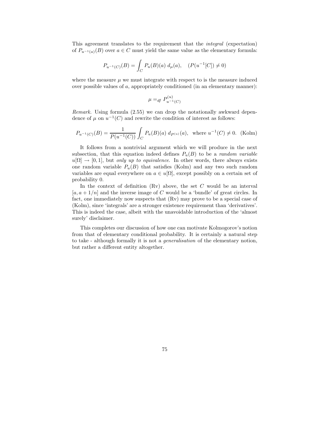This agreement translates to the requirement that the integral (expectation) of  $P_{u^{-1}(a)}(B)$  over  $a \in C$  must yield the same value as the elementary formula:

$$
P_{u^{-1}(C)}(B) = \int_C P_u(B)(a) d_\mu(a), \quad (P(u^{-1}[C]) \neq 0)
$$

where the measure  $\mu$  we must integrate with respect to is the measure induced over possible values of a, appropriately conditioned (in an elementary manner):

$$
\mu =_{df} P_{u^{-1}(C)}^{(u)}
$$

Remark. Using formula (2.55) we can drop the notationally awkward dependence of  $\mu$  on  $u^{-1}(C)$  and rewrite the condition of interest as follows:

$$
P_{u^{-1}(C)}(B) = \frac{1}{P(u^{-1}(C))} \int_C P_u(B)(a) \, d_{P(u)}(a), \text{ where } u^{-1}(C) \neq 0. \text{ (Kolm)}
$$

It follows from a nontrivial argument which we will produce in the next subsection, that this equation indeed defines  $P_u(B)$  to be a *random variable*  $u[\Omega] \rightarrow [0,1]$ , but only up to equivalence. In other words, there always exists one random variable  $P_u(B)$  that satisfies (Kolm) and any two such random variables are equal everywhere on  $a \in u[\Omega]$ , except possibly on a certain set of probability 0.

In the context of definition  $(Rv)$  above, the set  $C$  would be an interval  $[a, a + 1/n]$  and the inverse image of C would be a 'bundle' of great circles. In fact, one immediately now suspects that (Rv) may prove to be a special case of (Kolm), since 'integrals' are a stronger existence requirement than 'derivatives'. This is indeed the case, albeit with the unavoidable introduction of the 'almost surely' disclaimer.

This completes our discussion of how one can motivate Kolmogorov's notion from that of elementary conditional probability. It is certainly a natural step to take - although formally it is not a generalisation of the elementary notion, but rather a different entity altogether.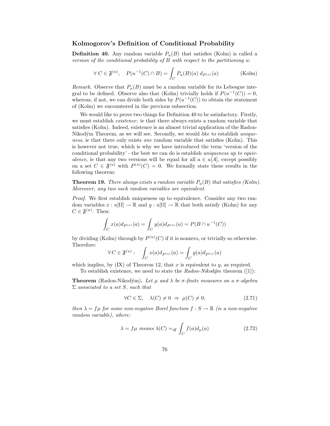#### Kolmogorov's Definition of Conditional Probability

**Definition 40.** Any random variable  $P_u(B)$  that satisfies (Kolm) is called a version of the conditional probability of B with respect to the partitioning u:

$$
\forall C \in \mathfrak{F}^{(u)}, \quad P(u^{-1}(C) \cap B) = \int_C P_u(B)(a) \, d_{P^{(u)}}(a) \tag{Kolm}
$$

Remark. Observe that  $P_u(B)$  must be a random variable for its Lebesgue integral to be defined. Observe also that (Kolm) trivially holds if  $P(u^{-1}(C)) = 0$ , whereas, if not, we can divide both sides by  $P(u^{-1}(C))$  to obtain the statement of (Kolm) we encountered in the previous subsection.

We would like to prove two things for Definition 40 to be satisfactory. Firstly, we must establish existence: ie that there always exists a random variable that satisfies (Kolm). Indeed, existence is an almost trivial application of the Radon-Nikodým Theorem, as we will see. Secondly, we would like to establish uniqueness, ie that there only exists *one* random variable that satisfies (Kolm). This is however not true, which is why we have introduced the term 'version of the conditional probability' - the best we can do is establish uniqueness up to equivalence, ie that any two versions will be equal for all  $a \in u[A]$ , except possibly on a set  $C \in \mathfrak{F}^{(u)}$  with  $P^{(u)}(C) = 0$ . We formally state these results in the following theorem:

**Theorem 19.** There always exists a random variable  $P_u(B)$  that satisfies (Kolm). Moreover, any two such random variables are equivalent.

Proof. We first establish uniqueness up to equivalence. Consider any two random variables  $x: u[\Omega] \to \mathbb{R}$  and  $y: u[\Omega] \to \mathbb{R}$  that both satisfy (Kolm) for any  $C \in \mathfrak{F}^{(u)}$ . Then:

$$
\int_C x(a)d_{P^{(u)}}(a) = \int_C y(a)d_{P^{(u)}}(a) = P(B \cap u^{-1}(C))
$$

by dividing (Kolm) through by  $P^{(u)}(C)$  if it is nonzero, or trivially so otherwise. Therefore:

$$
\forall C \in \mathfrak{F}^{(u)}: \quad \int_C x(a)d_{P^{(u)}}(a) = \int_C y(a)d_{P^{(u)}}(a)
$$

which implies, by  $(IX)$  of Theorem 12, that x is equivalent to y, as required. To establish existence, we need to state the  $Radon-Nikodým$  theorem ([1]):

**Theorem** (Radon-Nikodým). Let  $\mu$  and  $\lambda$  be  $\sigma$ -finite measures on a  $\sigma$ -algebra  $\Sigma$  associated to a set S, such that

$$
\forall C \in \Sigma, \quad \lambda(C) \neq 0 \Rightarrow \mu(C) \neq 0; \tag{2.71}
$$

then  $\lambda = f\mu$  for some non-negative Borel function  $f : S \to \mathbb{R}$  (ie a non-negative random variable), where:

$$
\lambda = f\mu \text{ means } \lambda(C) =_{df} \int_C f(a)d_{\mu}(a) \tag{2.72}
$$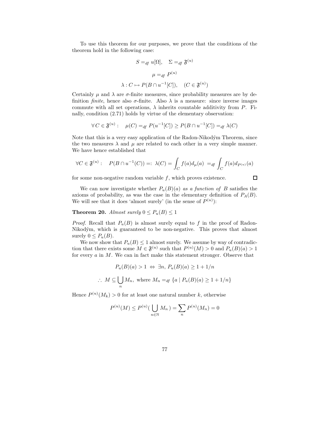To use this theorem for our purposes, we prove that the conditions of the theorem hold in the following case:

$$
S =_{df} u[\Omega], \quad \Sigma =_{df} \mathfrak{F}^{(u)}
$$

$$
\mu =_{df} P^{(u)}
$$

$$
\lambda : C \mapsto P(B \cap u^{-1}[C]), \quad (C \in \mathfrak{F}^{(u)})
$$

Certainly  $\mu$  and  $\lambda$  are  $\sigma$ -finite measures, since probability measures are by definition *finite*, hence also  $\sigma$ -finite. Also  $\lambda$  is a measure: since inverse images commute with all set operations,  $\lambda$  inherits countable additivity from P. Finally, condition (2.71) holds by virtue of the elementary observation:

$$
\forall C \in \mathfrak{F}^{(u)}: \quad \mu(C) =_{df} P(u^{-1}[C]) \ge P(B \cap u^{-1}[C]) =_{df} \lambda(C)
$$

Note that this is a very easy application of the Radon-Nikodým Theorem, since the two measures  $\lambda$  and  $\mu$  are related to each other in a very simple manner. We have hence established that

$$
\forall C \in \mathfrak{F}^{(u)}: \quad P(B \cap u^{-1}(C)) =: \ \lambda(C) = \int_C f(a) d_{\mu}(a) \ =_{df} \int_C f(a) d_{P^{(u)}}(a)
$$

for some non-negative random variable  $f$ , which proves existence.

$$
\Box
$$

We can now investigate whether  $P_u(B)(a)$  as a function of B satisfies the axioms of probability, as was the case in the elementary definition of  $P_A(B)$ . We will see that it does 'almost surely' (in the sense of  $P^{(u)}$ ):

**Theorem 20.** Almost surely  $0 \leq P_u(B) \leq 1$ 

*Proof.* Recall that  $P_u(B)$  is almost surely equal to f in the proof of Radon-Nikodým, which is guaranteed to be non-negative. This proves that almost surely  $0 \leq P_u(B)$ .

We now show that  $P_u(B) \leq 1$  almost surely. We assume by way of contradiction that there exists some  $M \in \mathfrak{F}^{(u)}$  such that  $P^{(u)}(M) > 0$  and  $P_u(B)(a) > 1$ for every a in M. We can in fact make this statement stronger. Observe that

$$
P_u(B)(a) > 1 \Leftrightarrow \exists n, \, P_u(B)(a) \ge 1 + \frac{1}{n}
$$
\n
$$
\therefore \, M \subseteq \bigcup_n M_n, \text{ where } M_n =_{df} \{a \mid P_u(B)(a) \ge 1 + \frac{1}{n}\}
$$

Hence  $P^{(u)}(M_k) > 0$  for at least one natural number k, otherwise

$$
P^{(u)}(M) \le P^{(u)}\left(\bigcup_{n \in \mathbb{N}} M_n\right) = \sum_{n} P^{(u)}(M_n) = 0
$$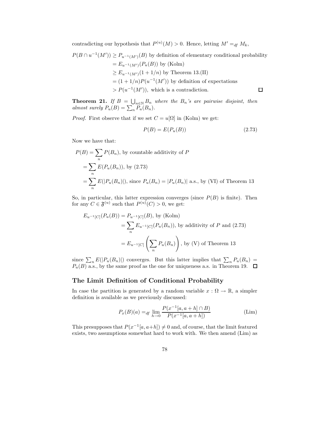contradicting our hypothesis that  $P^{(u)}(M) > 0$ . Hence, letting  $M' =_{df} M_k$ ,

$$
P(B \cap u^{-1}(M')) \ge P_{u^{-1}(M')}(B)
$$
 by definition of elementary conditional probability  
=  $E_{u^{-1}(M')}(P_u(B))$  by (Kolm)  
 $\ge E_{u^{-1}(M')}(1 + 1/n)$  by Theorem 13.(II)  
=  $(1 + 1/n)P(u^{-1}(M'))$  by definition of expectations  
 $> P(u^{-1}(M'))$ , which is a contradiction.

**Theorem 21.** If  $B = \bigcup_{n \in \mathbb{N}} B_n$  where the  $B_n$ 's are pairwise disjoint, then almost surely  $P_u(B) = \sum_n P_u(B_n)$ .

*Proof.* First observe that if we set  $C = u[\Omega]$  in (Kolm) we get:

$$
P(B) = E(P_u(B))\tag{2.73}
$$

Now we have that:

$$
P(B) = \sum_{n} P(B_n)
$$
, by countable additivity of  $P$   
=  $\sum_{n} E(P_u(B_n))$ , by (2.73)  
=  $\sum_{n} E(|P_u(B_n)|)$ , since  $P_u(B_n) = |P_u(B_n)|$  a.s., by (VI) of Theorem 13

So, in particular, this latter expression converges (since  $P(B)$  is finite). Then for any  $C \in \mathfrak{F}^{(u)}$  such that  $P^{(u)}(C) > 0$ , we get:

$$
E_{u^{-1}[C]}(P_u(B)) = P_{u^{-1}[C]}(B), \text{ by (Kolm)}
$$
  
=  $\sum_n E_{u^{-1}[C]}(P_u(B_n))$ , by additivity of P and (2.73)  
=  $E_{u^{-1}[C]}(\sum_n P_u(B_n))$ , by (V) of Theorem 13

since  $\sum_n E(|P_u(B_n)|)$  converges. But this latter implies that  $\sum_n P_u(B_n) =$  $P_u(B)$  a.s., by the same proof as the one for uniqueness a.s. in Theorem 19.

#### The Limit Definition of Conditional Probability

In case the partition is generated by a random variable  $x : \Omega \to \mathbb{R}$ , a simpler definition is available as we previously discussed:

$$
P_x(B)(a) =_{df} \lim_{h \to 0} \frac{P(x^{-1}[a, a+h] \cap B)}{P(x^{-1}[a, a+h])}
$$
 (Lim)

This presupposes that  $P(x^{-1}[a, a+h]) \neq 0$  and, of course, that the limit featured exists, two assumptions somewhat hard to work with. We then amend (Lim) as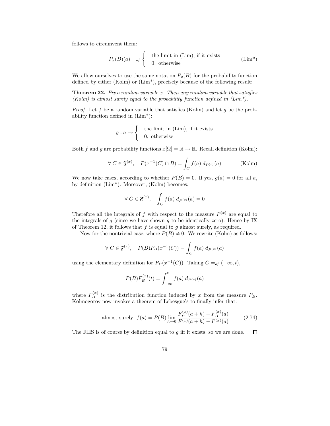follows to circumvent them:

$$
P_x(B)(a) =_{df} \begin{cases} \text{the limit in (Lim), if it exists} \\ 0, \text{ otherwise} \end{cases} \tag{Lim*}
$$

We allow ourselves to use the same notation  $P_x(B)$  for the probability function defined by either (Kolm) or (Lim\*), precisely because of the following result:

**Theorem 22.** Fix a random variable x. Then any random variable that satisfies (Kolm) is almost surely equal to the probability function defined in  $(Lim^*)$ .

*Proof.* Let f be a random variable that satisfies (Kolm) and let g be the probability function defined in (Lim\*):

$$
g: a \mapsto \begin{cases} & \text{the limit in (Lim), if it exists} \\ & 0, \text{ otherwise} \end{cases}
$$

Both f and g are probability functions  $x[\Omega] = \mathbb{R} \to \mathbb{R}$ . Recall definition (Kolm):

$$
\forall C \in \mathfrak{F}^{(x)}, \quad P(x^{-1}(C) \cap B) = \int_C f(a) \, d_{P^{(x)}}(a) \tag{Kolm}
$$

We now take cases, according to whether  $P(B) = 0$ . If yes,  $g(a) = 0$  for all a, by definition (Lim\*). Moreover, (Kolm) becomes:

$$
\forall C \in \mathfrak{F}^{(x)}, \quad \int_C f(a) \, d_{P^{(x)}}(a) = 0
$$

Therefore all the integrals of f with respect to the measure  $P^{(x)}$  are equal to the integrals of  $g$  (since we have shown  $g$  to be identically zero). Hence by IX of Theorem 12, it follows that  $f$  is equal to  $g$  almost surely, as required.

Now for the nontrivial case, where  $P(B) \neq 0$ . We rewrite (Kolm) as follows:

$$
\forall C \in \mathfrak{F}^{(x)}, \quad P(B)P_B(x^{-1}(C)) = \int_C f(a) \, d_{P^{(x)}}(a)
$$

using the elementary definition for  $P_B(x^{-1}(C))$ . Taking  $C =_{df} (-\infty, t)$ ,

$$
P(B)F_B^{(x)}(t) = \int_{-\infty}^t f(a) \, d_{P^{(x)}}(a)
$$

where  $F_B^{(x)}$  is the distribution function induced by x from the measure  $P_B$ . Kolmogorov now invokes a theorem of Lebesgue's to finally infer that:

almost surely 
$$
f(a) = P(B) \lim_{h \to 0} \frac{F_B^{(x)}(a+h) - F_B^{(x)}(a)}{F^{(x)}(a+h) - F^{(x)}(a)}
$$
 (2.74)

The RHS is of course by definition equal to  $q$  iff it exists, so we are done.  $\Box$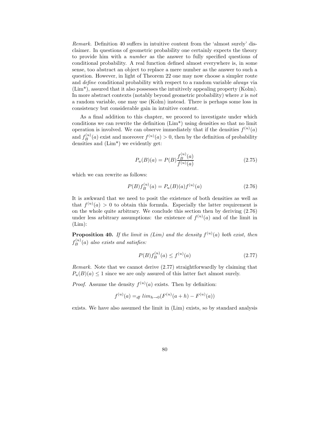Remark. Definition 40 suffers in intuitive content from the 'almost surely' disclaimer. In questions of geometric probability one certainly expects the theory to provide him with a number as the answer to fully specified questions of conditional probability. A real function defined almost everywhere is, in some sense, too abstract an object to replace a mere number as the answer to such a question. However, in light of Theorem 22 one may now choose a simpler route and define conditional probability with respect to a random variable always via (Lim\*), assured that it also possesses the intuitively appealing property (Kolm). In more abstract contexts (notably beyond geometric probability) where x is not a random variable, one may use (Kolm) instead. There is perhaps some loss in consistency but considerable gain in intuitive content.

As a final addition to this chapter, we proceed to investigate under which conditions we can rewrite the definition (Lim\*) using densities so that no limit operation is involved. We can observe immediately that if the densities  $f^{(u)}(a)$ and  $f_B^{(u)}(a)$  exist and moreover  $f^{(u)}(a) > 0$ , then by the definition of probability densities and (Lim\*) we evidently get:

$$
P_u(B)(a) = P(B) \frac{f_B^{(u)}(a)}{f^{(u)}(a)} \tag{2.75}
$$

which we can rewrite as follows:

$$
P(B)f_B^{(u)}(a) = P_u(B)(a)f^{(u)}(a)
$$
\n(2.76)

It is awkward that we need to posit the existence of both densities as well as that  $f^{(u)}(a) > 0$  to obtain this formula. Especially the latter requirement is on the whole quite arbitrary. We conclude this section then by deriving (2.76) under less arbitrary assumptions: the existence of  $f^{(u)}(a)$  and of the limit in  $(Lim)$ :

**Proposition 40.** If the limit in (Lim) and the density  $f^{(u)}(a)$  both exist, then  $f_B^{(u)}(a)$  also exists and satisfies:

$$
P(B)f_B^{(u)}(a) \le f^{(u)}(a) \tag{2.77}
$$

Remark. Note that we cannot derive (2.77) straightforwardly by claiming that  $P_u(B)(a) \leq 1$  since we are only assured of this latter fact almost surely.

*Proof.* Assume the density  $f^{(u)}(a)$  exists. Then by definition:

$$
f^{(u)}(a) =_{df} lim_{h \to 0}(F^{(u)}(a+h) - F^{(u)}(a))
$$

exists. We have also assumed the limit in (Lim) exists, so by standard analysis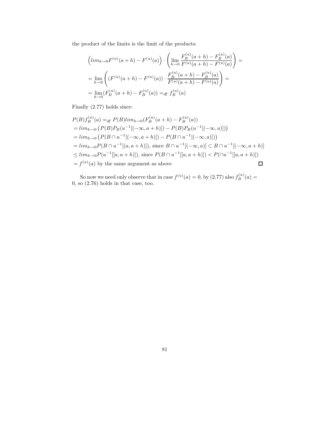the product of the limits is the limit of the products:

$$
\left(lim_{h\to 0}F^{(u)}(a+h) - F^{(u)}(a)\right) \cdot \left(\lim_{h\to 0} \frac{F_B^{(u)}(a+h) - F_B^{(u)}(a)}{F^{(u)}(a+h) - F^{(u)}(a)}\right) =
$$
\n
$$
= \lim_{h\to 0} \left( \left(F^{(u)}(a+h) - F^{(u)}(a)\right) \cdot \frac{F_B^{(u)}(a+h) - F_B^{(u)}(a)}{F^{(u)}(a+h) - F^{(u)}(a)}\right) =
$$
\n
$$
= \lim_{h\to 0} \left(F_B^{(u)}(a+h) - F_B^{(u)}(a)\right) =_{df} f_B^{(u)}(a)
$$

Finally (2.77) holds since:

$$
P(B) f_B^{(u)}(a) =_{df} P(B) lim_{h\to 0} (F_B^{(u)}(a+h) - F_B^{(u)}(a))
$$
  
=  $lim_{h\to 0} (P(B)P_B(u^{-1}[(-\infty, a+h)]) - P(B)P_B(u^{-1}[(-\infty, a)]) )$   
=  $lim_{h\to 0} (P(B \cap u^{-1}[(-\infty, a+h)]) - P(B \cap u^{-1}[(-\infty, a)]) )$   
=  $lim_{h\to 0} P(B \cap u^{-1}[(a, a+h)] )$ , since  $B \cap u^{-1}[(-\infty, a]) \subset B \cap u^{-1}[(-\infty, a+h)]$   
 $\leq lim_{h\to 0} P(u^{-1}[[a, a+h)] )$ , since  $P(B \cap u^{-1}[[a, a+h]) ) < P(\cap u^{-1}[[a, a+h]) )$   
=  $f^{(u)}(a)$  by the same argument as above

So now we need only observe that in case  $f^{(u)}(a) = 0$ , by  $(2.77)$  also  $f_B^{(u)}(a) = 0$ 0, so (2.76) holds in that case, too.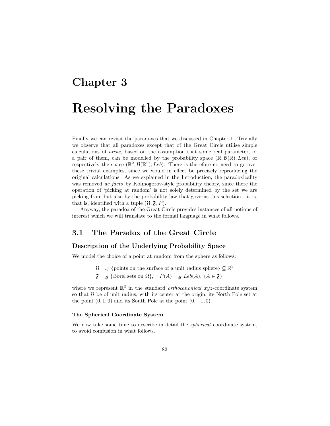# Chapter 3

## Resolving the Paradoxes

Finally we can revisit the paradoxes that we discussed in Chapter 1. Trivially we observe that all paradoxes except that of the Great Circle utilise simple calculations of areas, based on the assumption that some real parameter, or a pair of them, can be modelled by the probability space  $(\mathbb{R}, \mathcal{B}(\mathbb{R}), Leb)$ , or respectively the space  $(\mathbb{R}^2, \mathcal{B}(\mathbb{R}^2), \text{Leb})$ . There is therefore no need to go over these trivial examples, since we would in effect be precisely reproducing the original calculations. As we explained in the Introduction, the paradoxicality was removed *de facto* by Kolmogorov-style probability theory, since there the operation of 'picking at random' is not solely determined by the set we are picking from but also by the probability law that governs this selection - it is, that is, identified with a tuple  $(\Omega, \mathfrak{F}, P)$ .

Anyway, the paradox of the Great Circle provides instances of all notions of interest which we will translate to the formal language in what follows.

#### 3.1 The Paradox of the Great Circle

#### Description of the Underlying Probability Space

We model the choice of a point at random from the sphere as follows:

 $\Omega =_{df}$  {points on the surface of a unit radius sphere}  $\subseteq \mathbb{R}^3$  $\mathfrak{F} =_{df} {\text{Borel sets on } \Omega}, \quad P(A) =_{df} Leb(A), (A \in \mathfrak{F})$ 

where we represent  $\mathbb{R}^3$  in the standard *orthocanonical xyz*-coordinate system so that  $\Omega$  be of unit radius, with its center at the origin, its North Pole set at the point  $(0, 1, 0)$  and its South Pole at the point  $(0, -1, 0)$ .

#### The Spherical Coordinate System

We now take some time to describe in detail the spherical coordinate system, to avoid comfusion in what follows.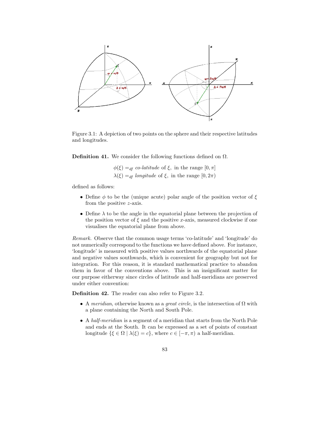

Figure 3.1: A depiction of two points on the sphere and their respective latitudes and longitudes.

Definition 41. We consider the following functions defined on  $\Omega$ .

 $\phi(\xi) =_{df} co-latitude$  of  $\xi$ , in the range  $[0, \pi]$  $\lambda(\xi) =_{df}$  longitude of  $\xi$ , in the range  $[0, 2\pi)$ 

defined as follows:

- Define  $\phi$  to be the (unique acute) polar angle of the position vector of  $\xi$ from the positive z-axis.
- Define  $\lambda$  to be the angle in the equatorial plane between the projection of the position vector of  $\xi$  and the positive x-axis, measured clockwise if one visualises the equatorial plane from above.

Remark. Observe that the common usage terms 'co-latitude' and 'longitude' do not numerically correspond to the functions we have defined above. For instance, 'longitude' is measured with positive values northwards of the equatorial plane and negative values southwards, which is convenient for geography but not for integration. For this reason, it is standard mathematical practice to abandon them in favor of the conventions above. This is an insignificant matter for our purpose eitherway since circles of latitude and half-meridians are preserved under either convention:

Definition 42. The reader can also refer to Figure 3.2.

- A meridian, otherwise known as a *great circle*, is the intersection of  $\Omega$  with a plane containing the North and South Pole.
- A half-meridian is a segment of a meridian that starts from the North Pole and ends at the South. It can be expressed as a set of points of constant longitude  $\{\xi \in \Omega \mid \lambda(\xi) = c\}$ , where  $c \in [-\pi, \pi)$  a half-meridian.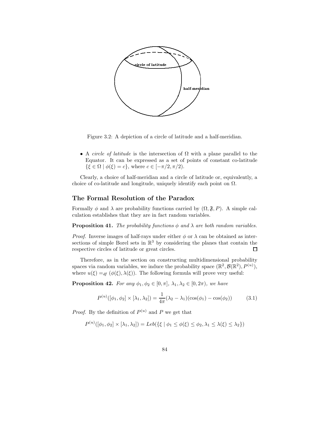

Figure 3.2: A depiction of a circle of latitude and a half-meridian.

• A *circle of latitude* is the intersection of  $\Omega$  with a plane parallel to the Equator. It can be expressed as a set of points of constant co-latitude  $\{\xi \in \Omega \mid \phi(\xi) = c\},\$  where  $c \in [-\pi/2, \pi/2).$ 

Clearly, a choice of half-meridian and a circle of latitude or, equivalently, a choice of co-latitude and longitude, uniquely identify each point on  $\Omega$ .

#### The Formal Resolution of the Paradox

Formally  $\phi$  and  $\lambda$  are probability functions carried by  $(\Omega, \mathfrak{F}, P)$ . A simple calculation establishes that they are in fact random variables.

**Proposition 41.** The probability functions  $\phi$  and  $\lambda$  are both random variables.

*Proof.* Inverse images of half-rays under either  $\phi$  or  $\lambda$  can be obtained as intersections of simple Borel sets in  $\mathbb{R}^3$  by considering the planes that contain the respective circles of latitude or great circles.  $\Box$ 

Therefore, as in the section on constructing multidimensional probability spaces via random variables, we induce the probability space  $(\mathbb{R}^2, \mathcal{B}(\mathbb{R}^2), P^{(u)}),$ where  $u(\xi) =_{df} (\phi(\xi), \lambda(\xi))$ . The following formula will prove very useful:

**Proposition 42.** For any  $\phi_1, \phi_2 \in [0, \pi]$ ,  $\lambda_1, \lambda_2 \in [0, 2\pi)$ , we have

$$
P^{(u)}([\phi_1, \phi_2] \times [\lambda_1, \lambda_2]) = \frac{1}{4\pi} (\lambda_2 - \lambda_1)(\cos(\phi_1) - \cos(\phi_2))
$$
 (3.1)

*Proof.* By the definition of  $P^{(u)}$  and P we get that

$$
P^{(u)}([\phi_1, \phi_2] \times [\lambda_1, \lambda_2]) = Leb(\{\xi \mid \phi_1 \le \phi(\xi) \le \phi_2, \lambda_1 \le \lambda(\xi) \le \lambda_2\})
$$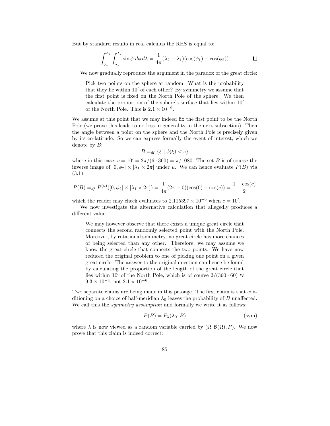But by standard results in real calculus the RHS is equal to:

$$
\int_{\phi_1}^{\phi_2} \int_{\lambda_1}^{\lambda_2} \sin \phi \, d\phi \, d\lambda = \frac{1}{4\pi} (\lambda_2 - \lambda_1) (\cos(\phi_1) - \cos(\phi_2)) \qquad \qquad \Box
$$

We now gradually reproduce the argument in the paradox of the great circle:

Pick two points on the sphere at random. What is the probability that they lie within  $10'$  of each other? By symmetry we assume that the first point is fixed on the North Pole of the sphere. We then calculate the proportion of the sphere's surface that lies within  $10'$ of the North Pole. This is  $2.1 \times 10^{-6}$ .

We assume at this point that we may indeed fix the first point to be the North Pole (we prove this leads to no loss in generality in the next subsection). Then the angle between a point on the sphere and the North Pole is precisely given by its co-latitude. So we can express formally the event of interest, which we denote by  $B$ :

$$
B =_{df} \{\xi \mid \phi(\xi) < c\}
$$

where in this case,  $c = 10' = 2\pi/(6 \cdot 360) = \pi/1080$ . The set B is of course the inverse image of  $[0, \phi_2] \times [\lambda_1 \times 2\pi]$  under u. We can hence evaluate  $P(B)$  via (3.1):

$$
P(B) =_{df} P^{(u)}([0, \phi_2] \times [\lambda_1 \times 2\pi]) = \frac{1}{4\pi} (2\pi - 0)(\cos(0) - \cos(c)) = \frac{1 - \cos(c)}{2}
$$

which the reader may check evaluates to  $2.115397 \times 10^{-6}$  when  $c = 10'$ .

We now investigate the alternative calculation that allegedly produces a different value:

We may however observe that there exists a unique great circle that connects the second randomly selected point with the North Pole. Moreover, by rotational symmetry, no great circle has more chances of being selected than any other. Therefore, we may assume we know the great circle that connects the two points. We have now reduced the original problem to one of picking one point on a given great circle. The answer to the original question can hence be found by calculating the proportion of the length of the great circle that lies within 10' of the North Pole, which is of course  $2/(360 \cdot 60) \approx$  $9.3 \times 10^{-4}$ , not  $2.1 \times 10^{-6}$ .

Two separate claims are being made in this passage. The first claim is that conditioning on a choice of half-meridian  $\lambda_0$  leaves the probability of B unaffected. We call this the *symmetry assumption* and formally we write it as follows:

$$
P(B) = P_{\lambda}(\lambda_0; B) \tag{sym}
$$

where  $\lambda$  is now viewed as a random variable carried by  $(\Omega, \mathcal{B}(\Omega), P)$ . We now prove that this claim is indeed correct: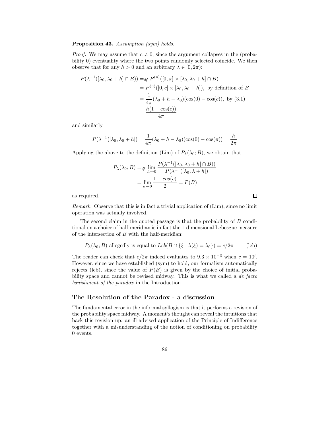#### Proposition 43. Assumption (sym) holds.

*Proof.* We may assume that  $c \neq 0$ , since the argument collapses in the (probability 0) eventuality where the two points randomly selected coincide. We then observe that for any  $h > 0$  and an arbitrary  $\lambda \in [0, 2\pi)$ :

$$
P(\lambda^{-1}([\lambda_0, \lambda_0 + h] \cap B)) =_{df} P^{(u)}([0, \pi] \times [\lambda_0, \lambda_0 + h] \cap B)
$$
  
=  $P^{(u)}([0, c] \times [\lambda_0, \lambda_0 + h]),$  by definition of B  
=  $\frac{1}{4\pi} (\lambda_0 + h - \lambda_0)(\cos(0) - \cos(c)),$  by (3.1)  
=  $\frac{h(1 - \cos(c))}{4\pi}$ 

and similarly

$$
P(\lambda^{-1}([\lambda_0, \lambda_0 + h]) = \frac{1}{4\pi}(\lambda_0 + h - \lambda_0)(\cos(0) - \cos(\pi)) = \frac{h}{2\pi}
$$

Applying the above to the definition (Lim) of  $P_{\lambda}(\lambda_0; B)$ , we obtain that

$$
P_{\lambda}(\lambda_0; B) =_{df} \lim_{h \to 0} \frac{P(\lambda^{-1}([\lambda_0, \lambda_0 + h] \cap B))}{P(\lambda^{-1}([\lambda_0, \lambda + h])}
$$

$$
= \lim_{h \to 0} \frac{1 - \cos(c)}{2} = P(B)
$$

as required.

Remark. Observe that this is in fact a trivial application of (Lim), since no limit operation was actually involved.

 $\Box$ 

The second claim in the quoted passage is that the probability of B conditional on a choice of half-meridian is in fact the 1-dimensional Lebesgue measure of the intersection of  $B$  with the half-meridian:

$$
P_{\lambda}(\lambda_0; B)
$$
 allegedly is equal to  $Leb(B \cap {\xi | \lambda(\xi) = \lambda_0}) = c/2\pi$  (leb)

The reader can check that  $c/2\pi$  indeed evaluates to  $9.3 \times 10^{-3}$  when  $c = 10'$ . However, since we have established (sym) to hold, our formalism automatically rejects (leb), since the value of  $P(B)$  is given by the choice of initial probability space and cannot be revised midway. This is what we called a *de facto* banishment of the paradox in the Introduction.

#### The Resolution of the Paradox - a discussion

The fundamental error in the informal syllogism is that it performs a revision of the probability space midway. A moment's thought can reveal the intuitions that back this revision up: an ill-advised application of the Principle of Indifference together with a misunderstanding of the notion of conditioning on probability 0 events.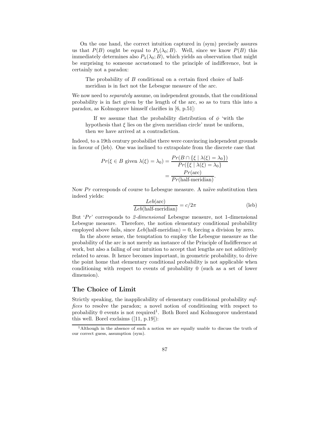On the one hand, the correct intuition captured in (sym) precisely assures us that  $P(B)$  ought be equal to  $P_{\lambda}(\lambda_0; B)$ . Well, since we know  $P(B)$  this immediately determines also  $P_{\lambda}(\lambda_0; B)$ , which yields an observation that might be surprising to someone accustomed to the principle of indifference, but is certainly not a paradox:

The probability of B conditional on a certain fixed choice of halfmeridian is in fact not the Lebesgue measure of the arc.

We now need to *separately* assume, on independent grounds, that the conditional probability is in fact given by the length of the arc, so as to turn this into a paradox, as Kolmogorov himself clarifies in [6, p.51]:

If we assume that the probability distribution of  $\phi$  'with the hypothesis that  $\xi$  lies on the given meridian circle' must be uniform, then we have arrived at a contradiction.

Indeed, to a 19th century probabilist there were convincing independent grounds in favour of (leb). One was inclined to extrapolate from the discrete case that

$$
Pr(\xi \in B \text{ given } \lambda(\xi) = \lambda_0) = \frac{Pr(B \cap \{\xi \mid \lambda(\xi) = \lambda_0\})}{Pr(\{\xi \mid \lambda(\xi) = \lambda_0\})}
$$

$$
= \frac{Pr(\text{arc})}{Pr(\text{half-meridian})}.
$$

Now  $Pr$  corresponds of course to Lebesgue measure. A naïve substitution then indeed yields:

$$
\frac{Leb(\text{arc})}{Leb(\text{half-meridian})} = c/2\pi
$$
 (leb)

But 'Pr' corresponds to 2-dimensional Lebesgue measure, not 1-dimensional Lebesgue measure. Therefore, the notion elementary conditional probability employed above fails, since  $Leb$ (half-meridian) = 0, forcing a division by zero.

In the above sense, the temptation to employ the Lebesgue measure as the probability of the arc is not merely an instance of the Principle of Indifference at work, but also a failing of our intuition to accept that lengths are not additively related to areas. It hence becomes important, in geometric probability, to drive the point home that elementary conditional probability is not applicable when conditioning with respect to events of probability 0 (such as a set of lower dimension).

#### The Choice of Limit

Strictly speaking, the inapplicability of elementary conditional probability suffices to resolve the paradox; a novel notion of conditioning with respect to probability 0 events is not required<sup>1</sup>. Both Borel and Kolmogorov understand this well. Borel exclaims ([11, p.19]):

<sup>1</sup>Although in the absence of such a notion we are equally unable to discuss the truth of our correct guess, assumption (sym).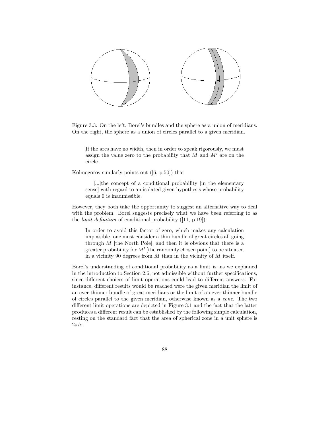

Figure 3.3: On the left, Borel's bundles and the sphere as a union of meridians. On the right, the sphere as a union of circles parallel to a given meridian.

If the arcs have no width, then in order to speak rigorously, we must assign the value zero to the probability that  $M$  and  $M'$  are on the circle.

Kolmogorov similarly points out ([6, p.50]) that

[...]the concept of a conditional probability [in the elementary sense] with regard to an isolated given hypothesis whose probability equals 0 is inadmissible.

However, they both take the opportunity to suggest an alternative way to deal with the problem. Borel suggests precisely what we have been referring to as the *limit definition* of conditional probability  $([11, p.19])$ :

In order to avoid this factor of zero, which makes any calculation impossible, one must consider a thin bundle of great circles all going through  $M$  [the North Pole], and then it is obvious that there is a greater probability for  $M'$  [the randomly chosen point] to be situated in a vicinity 90 degrees from  $M$  than in the vicinity of  $M$  itself.

Borel's understanding of conditional probability as a limit is, as we explained in the introduction to Section 2.6, not admissible without further specifications, since different choices of limit operations could lead to different answers. For instance, different results would be reached were the given meridian the limit of an ever thinner bundle of great meridians or the limit of an ever thinner bundle of circles parallel to the given meridian, otherwise known as a zone. The two different limit operations are depicted in Figure 3.1 and the fact that the latter produces a different result can be established by the following simple calculation, resting on the standard fact that the area of spherical zone in a unit sphere is  $2\pi h$ :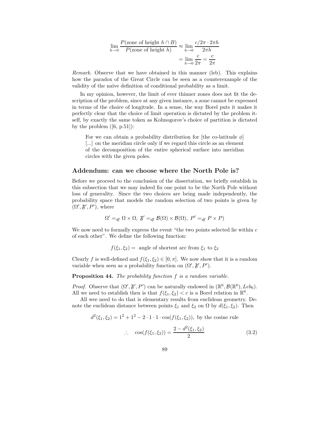$$
\lim_{h \to 0} \frac{P(\text{zone of height } h \cap B)}{P(\text{zone of height } h)} \approx \lim_{h \to 0} \frac{c/2\pi \cdot 2\pi h}{2\pi h}
$$

$$
= \lim_{h \to 0} \frac{c}{2\pi} = \frac{c}{2\pi}
$$

Remark. Observe that we have obtained in this manner (leb). This explains how the paradox of the Great Circle can be seen as a counterexample of the validity of the naïve definition of conditional probability as a limit.

In my opinion, however, the limit of ever thinner zones does not fit the description of the problem, since at any given instance, a zone cannot be expressed in terms of the choice of longitude. In a sense, the way Borel puts it makes it perfectly clear that the choice of limit operation is dictated by the problem itself, by exactly the same token as Kolmogorov's choice of partition is dictated by the problem  $([6, p.51])$ :

For we can obtain a probability distribution for [the co-latitude  $\phi$ ] [...] on the meridian circle only if we regard this circle as an element of the decomposition of the entire spherical surface into meridian circles with the given poles.

#### Addendum: can we choose where the North Pole is?

Before we proceed to the conclusion of the dissertation, we briefly establish in this subsection that we may indeed fix one point to be the North Pole without loss of generality. Since the two choices are being made independently, the probability space that models the random selection of two points is given by  $(\Omega', \mathfrak{F}', P')$ , where

$$
\Omega' =_{df} \Omega \times \Omega, \ \mathfrak{F}' =_{df} \mathcal{B}(\Omega) \times \mathcal{B}(\Omega), \ P' =_{df} P \times P
$$

We now need to formally express the event "the two points selected lie within  $c$ of each other". We define the following function:

 $f(\xi_1, \xi_2)$  = angle of shortest arc from  $\xi_1$  to  $\xi_2$ 

Clearly f is well-defined and  $f(\xi_1, \xi_2) \in [0, \pi]$ . We now show that it is a random variable when seen as a probability function on  $(\Omega', \mathfrak{F}', P')$ .

Proposition 44. The probability function f is a random variable.

*Proof.* Observe that  $(\Omega', \mathfrak{F}', P')$  can be naturally endowed in  $(\mathbb{R}^6, \mathcal{B}(\mathbb{R}^6), Leb_6)$ . All we need to establish then is that  $f(\xi_1, \xi_2) < c$  is a Borel relation in  $\mathbb{R}^6$ .

All wee need to do that is elementary results from euclidean geometry. Denote the euclidean distance between points  $\xi_1$  and  $\xi_2$  on  $\Omega$  by  $d(\xi_1, \xi_2)$ . Then

$$
d^{2}(\xi_{1}, \xi_{2}) = 1^{2} + 1^{2} - 2 \cdot 1 \cdot 1 \cdot \cos(f(\xi_{1}, \xi_{2})), \text{ by the cosine rule}
$$
  
 
$$
\therefore \quad \cos(f(\xi_{1}, \xi_{2})) = \frac{2 - d^{2}(\xi_{1}, \xi_{2})}{2}
$$
(3.2)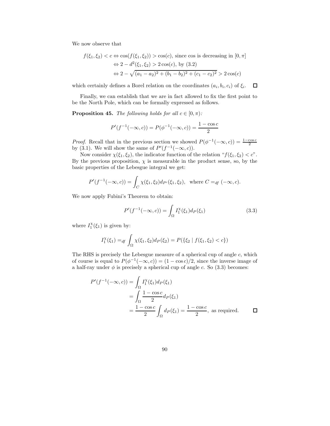We now observe that

$$
f(\xi_1, \xi_2) < c \Leftrightarrow \cos(f(\xi_1, \xi_2)) > \cos(c), \text{ since } \cos \text{ is decreasing in } [0, \pi]
$$
\n
$$
\Leftrightarrow 2 - d^2(\xi_1, \xi_2) > 2\cos(c), \text{ by } (3.2)
$$
\n
$$
\Leftrightarrow 2 - \sqrt{(a_1 - a_2)^2 + (b_1 - b_2)^2 + (c_1 - c_2)^2} > 2\cos(c)
$$

 $\Box$ which certainly defines a Borel relation on the coordinates  $(a_i, b_i, c_i)$  of  $\xi_i$ .

Finally, we can establish that we are in fact allowed to fix the first point to be the North Pole, which can be formally expressed as follows.

**Proposition 45.** The following holds for all  $c \in [0, \pi)$ :

$$
P'(f^{-1}(-\infty, c)) = P(\phi^{-1}(-\infty, c)) = \frac{1 - \cos c}{2}
$$

*Proof.* Recall that in the previous section we showed  $P(\phi^{-1}(-\infty, c)) = \frac{1-\cos c}{2}$ by (3.1). We will show the same of  $P'(f^{-1}(-\infty, c))$ .

Now consider  $\chi(\xi_1, \xi_2)$ , the indicator function of the relation " $f(\xi_1, \xi_2) < c$ ". By the previous proposition,  $\chi$  is measurable in the product sense, so, by the basic properties of the Lebesgue integral we get:

$$
P'(f^{-1}(-\infty, c)) = \int_C \chi(\xi_1, \xi_2) d_{P'}(\xi_1, \xi_2), \text{ where } C =_{df} (-\infty, c).
$$

We now apply Fubini's Theorem to obtain:

$$
P'(f^{-1}(-\infty, c)) = \int_{\Omega} I_1^{\chi}(\xi_1) d_P(\xi_1)
$$
 (3.3)

where  $I_1^{\chi}(\xi_1)$  is given by:

$$
I_1^{\chi}(\xi_1) =_{df} \int_{\Omega} \chi(\xi_1, \xi_2) d_P(\xi_2) = P(\{\xi_2 \mid f(\xi_1, \xi_2) < c\})
$$

The RHS is precisely the Lebesgue measure of a spherical cup of angle c, which of course is equal to  $P(\phi^{-1}(-\infty, c)) = (1 - \cos c)/2$ , since the inverse image of a half-ray under  $\phi$  is precisely a spherical cup of angle c. So (3.3) becomes:

$$
P'(f^{-1}(-\infty, c)) = \int_{\Omega} I_1^{\chi}(\xi_1) d_P(\xi_1)
$$
  
= 
$$
\int_{\Omega} \frac{1 - \cos c}{2} d_P(\xi_1)
$$
  
= 
$$
\frac{1 - \cos c}{2} \int_{\Omega} d_P(\xi_1) = \frac{1 - \cos c}{2}
$$
, as required.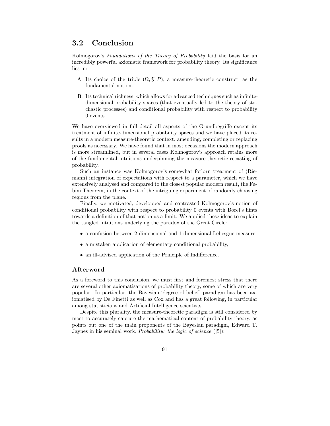#### 3.2 Conclusion

Kolmogorov's Foundations of the Theory of Probability laid the basis for an incredibly powerful axiomatic framework for probability theory. Its significance lies in:

- A. Its choice of the triple  $(\Omega, \mathfrak{F}, P)$ , a measure-theoretic construct, as the fundamental notion.
- B. Its technical richness, which allows for advanced techniques such as infinitedimensional probability spaces (that eventually led to the theory of stochastic processes) and conditional probability with respect to probability 0 events.

We have overviewed in full detail all aspects of the Grundbegriffe except its treatment of infinite-dimensional probability spaces and we have placed its results in a modern measure-theoretic context, amending, completing or replacing proofs as necessary. We have found that in most occasions the modern approach is more streamlined, but in several cases Kolmogorov's approach retains more of the fundamental intuitions underpinning the measure-theoretic recasting of probability.

Such an instance was Kolmogorov's somewhat forlorn treatment of (Riemann) integration of expectations with respect to a parameter, which we have extensively analysed and compared to the closest popular modern result, the Fubini Theorem, in the context of the intriguing experiment of randomly choosing regions from the plane.

Finally, we motivated, developped and contrasted Kolmogorov's notion of conditional probability with respect to probability 0 events with Borel's hints towards a definition of that notion as a limit. We applied these ideas to explain the tangled intuitions underlying the paradox of the Great Circle:

- a confusion between 2-dimensional and 1-dimensional Lebesgue measure,
- a mistaken application of elementary conditional probability,
- an ill-advised application of the Principle of Indifference.

#### Afterword

As a foreword to this conclusion, we must first and foremost stress that there are several other axiomatisations of probability theory, some of which are very popular. In particular, the Bayesian 'degree of belief' paradigm has been axiomatised by De Finetti as well as Cox and has a great following, in particular among statisticians and Artificial Intelligence scientists.

Despite this plurality, the measure-theoretic paradigm is still considered by most to accurately capture the mathematical content of probability theory, as points out one of the main proponents of the Bayesian paradigm, Edward T. Jaynes in his seminal work, Probability: the logic of science ([5]):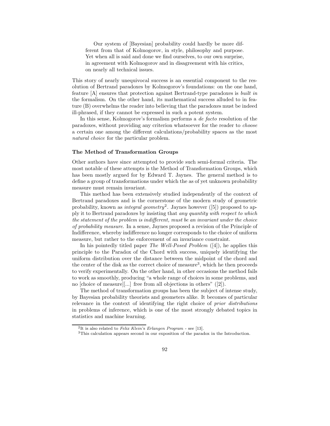Our system of [Bayesian] probability could hardly be more different from that of Kolmogorov, in style, philosophy and purpose. Yet when all is said and done we find ourselves, to our own surprise, in agreement with Kolmogorov and in disagreement with his critics, on nearly all technical issues.

This story of nearly unequivocal success is an essential component to the resolution of Bertrand paradoxes by Kolmogorov's foundations: on the one hand, feature [A] ensures that protection against Bertrand-type paradoxes is built in the formalism. On the other hand, its mathematical success alluded to in feature (B) overwhelms the reader into believing that the paradoxes must be indeed ill-phrased, if they cannot be expressed in such a potent system.

In this sense, Kolmogorov's formalism performs a de facto resolution of the paradoxes, without providing any criterion whatsoever for the reader to choose a certain one among the different calculations/probability spaces as the most natural choice for the particular problem.

#### The Method of Transformation Groups

Other authors have since attempted to provide such semi-formal criteria. The most notable of these attempts is the Method of Transformation Groups, which has been mostly argued for by Edward T. Jaynes. The general method is to define a group of transformations under which the as of yet unknown probability measure must remain invariant.

This method has been extensively studied independently of the context of Bertrand paradoxes and is the cornerstone of the modern study of geometric probability, known as *integral geometry*<sup>2</sup>. Jaynes however ([5]) proposed to apply it to Bertrand paradoxes by insisting that any quantity with respect to which the statement of the problem is indifferent, must be an invariant under the choice of probability measure. In a sense, Jaynes proposed a revision of the Principle of Indifference, whereby indifference no longer corresponds to the choice of uniform measure, but rather to the enforcement of an invariance constraint.

In his pointedly titled paper *The Well-Posed Problem*  $([4])$ , he applies this principle to the Paradox of the Chord with success, uniquely identifying the uniform distribution over the distance between the midpoint of the chord and the center of the disk as the correct choice of measure<sup>3</sup>, which he then proceeds to verify experimentally. On the other hand, in other occasions the method fails to work as smoothly, producing "a whole range of choices in some problems, and no [choice of measure][...] free from all objections in others" ([2]).

The method of transformation groups has been the subject of intense study, by Bayesian probability theorists and geometers alike. It becomes of particular relevance in the context of identifying the right choice of prior distributions in problems of inference, which is one of the most strongly debated topics in statistics and machine learning.

<sup>&</sup>lt;sup>2</sup>It is also related to *Felix Klein's Erlangen Program* - see [13].

<sup>3</sup>This calculation appears second in our exposition of the paradox in the Introduction.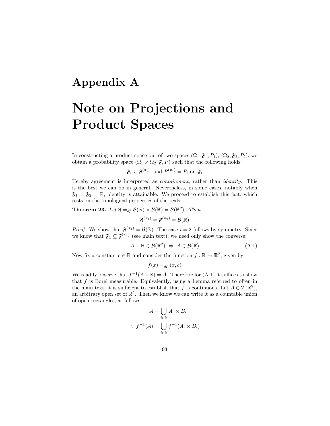### Appendix A

## Note on Projections and Product Spaces

In constructing a product space out of two spaces  $(\Omega_1, \mathfrak{F}_1, P_1), (\Omega_2, \mathfrak{F}_2, P_2)$ , we obtain a probability space  $(\Omega_1 \times \Omega_2, \mathfrak{F}, P)$  such that the following holds:

$$
\mathfrak{F}_i \subseteq \mathfrak{F}^{(\pi_i)}
$$
 and  $P^{(\pi_i)} = P_i$  on  $\mathfrak{F}_i$ 

Hereby agreement is interpreted as containment, rather than identity. This is the best we can do in general. Nevertheless, in some cases, notably when  $\mathfrak{F}_1 = \mathfrak{F}_2 = \mathbb{R}$ , identity is attainable. We proceed to establish this fact, which rests on the topological properties of the reals:

**Theorem 23.** Let  $\mathfrak{F} =_{df} \mathcal{B}(\mathbb{R}) \times \mathcal{B}(\mathbb{R}) = \mathcal{B}(\mathbb{R}^2)$ . Then

 $\mathfrak{F}^{(\pi_1)}=\mathfrak{F}^{(\pi_2)}=\mathcal{B}(\mathbb{R})$ 

*Proof.* We show that  $\mathfrak{F}^{(\pi_1)} = \mathcal{B}(\mathbb{R})$ . The case  $i = 2$  follows by symmetry. Since we know that  $\mathfrak{F}_1 \subseteq \mathfrak{F}^{(\pi_1)}$  (see main text), we need only show the converse:

$$
A \times \mathbb{R} \in \mathcal{B}(\mathbb{R}^2) \Rightarrow A \in \mathcal{B}(\mathbb{R})
$$
 (A.1)

Now fix a constant  $c \in \mathbb{R}$  and consider the function  $f : \mathbb{R} \to \mathbb{R}^2$ , given by

$$
f(x) =_{df} (x, c)
$$

We readily observe that  $f^{-1}(A \times \mathbb{R}) = A$ . Therefore for  $(A.1)$  it suffices to show that  $f$  is Borel measurable. Equivalently, using a Lemma referred to often in the main text, it is sufficient to establish that f is continuous. Let  $A \in \mathcal{T}(\mathbb{R}^2)$ , an arbitrary open set of  $\mathbb{R}^2$ . Then we know we can write it as a countable union of open rectangles, as follows:

$$
A = \bigcup_{i \in \mathbb{N}} A_i \times B_i
$$
  

$$
\therefore f^{-1}(A) = \bigcup_{i \in \mathbb{N}} f^{-1}(A_i \times B_i)
$$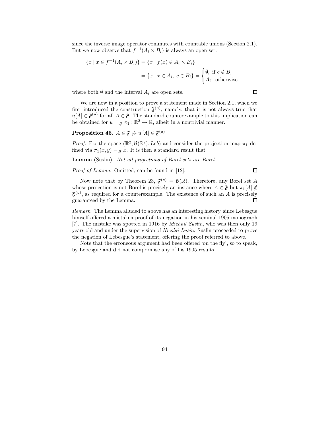since the inverse image operator commutes with countable unions (Section 2.1). But we now observe that  $f^{-1}(A_i \times B_i)$  is always an open set:

$$
\{x \mid x \in f^{-1}(A_i \times B_i)\} = \{x \mid f(x) \in A_i \times B_i\}
$$

$$
= \{x \mid x \in A_i, c \in B_i\} = \begin{cases} \emptyset, \text{ if } c \notin B_i \\ A_i, \text{ otherwise} \end{cases}
$$

where both  $\emptyset$  and the interval  $A_i$  are open sets.

We are now in a position to prove a statement made in Section 2.1, when we first introduced the construction  $\mathfrak{F}^{(u)}$ ; namely, that it is not always true that  $u[A] \in \mathfrak{F}^{(u)}$  for all  $A \in \mathfrak{F}$ . The standard counterexample to this implication can be obtained for  $u =_{df} \pi_1 : \mathbb{R}^2 \to \mathbb{R}$ , albeit in a nontrivial manner.

#### Proposition 46.  $A \in \mathfrak{F} \not\Rightarrow u\,[A] \in \mathfrak{F}^{(u)}$

*Proof.* Fix the space  $(\mathbb{R}^2, \mathcal{B}(\mathbb{R}^2), Leb)$  and consider the projection map  $\pi_1$  defined via  $\pi_1(x, y) =_{df} x$ . It is then a standard result that

Lemma (Suslin). Not all projections of Borel sets are Borel.

Proof of Lemma. Omitted, can be found in [12].

Now note that by Theorem 23,  $\mathfrak{F}^{(u)} = \mathcal{B}(\mathbb{R})$ . Therefore, any Borel set A whose projection is not Borel is precisely an instance where  $A \in \mathfrak{F}$  but  $\pi_1[A] \notin$  $\mathfrak{F}^{(u)}$ , as required for a counterexample. The existence of such an A is precisely guaranteed by the Lemma.  $\Box$ 

Remark. The Lemma alluded to above has an interesting history, since Lebesgue himself offered a mistaken proof of its negation in his seminal 1905 monograph [7]. The mistake was spotted in 1916 by Michail Suslin, who was then only 19 years old and under the supervision of Nicolai Lusin. Suslin proceeded to prove the negation of Lebesgue's statement, offering the proof referred to above.

Note that the erroneous argument had been offered 'on the fly', so to speak, by Lebesgue and did not compromise any of his 1905 results.

 $\Box$ 

 $\Box$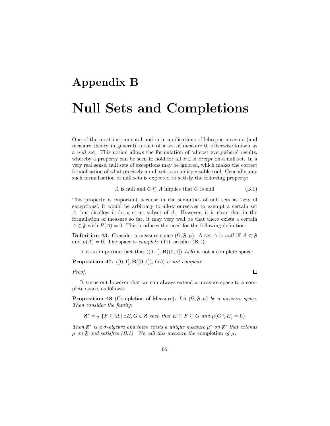# Appendix B Null Sets and Completions

One of the most instrumental notion in applications of lebesgue measure (and measure theory in general) is that of a set of measure 0, otherwise known as a null set. This notion allows the formulation of 'almost everywhere' results, whereby a property can be seen to hold for all  $x \in \mathbb{R}$  except on a null set. In a very real sense, null sets of exceptions may be ignored, which makes the correct formalisation of what precisely a null set is an indispensable tool. Crucially, any such formalisation of null sets is expected to satisfy the following property:

$$
A \text{ is null and } C \subseteq A \text{ implies that } C \text{ is null} \tag{B.1}
$$

 $\Box$ 

This property is important because in the semantics of null sets as 'sets of exceptions', it would be arbitrary to allow ourselves to exempt a certain set A, but disallow it for a strict subset of A. However, it is clear that in the formulation of measure so far, it may very well be that there exists a certain  $A \in \mathfrak{F}$  with  $P(A) = 0$ . This produces the need for the following definition:

**Definition 43.** Consider a measure space  $(\Omega, \mathfrak{F}, \mu)$ . A set A is null iff  $A \in \mathfrak{F}$ and  $\mu(A) = 0$ . The space is *complete* iff it satisfies (B.1).

It is an important fact that  $((0, 1], \mathbf{B}((0, 1]), \text{Leb})$  is not a complete space:

**Proposition 47.**  $((0, 1], B((0, 1]), Leb)$  is not complete.

#### Proof.

It turns out however that we can always extend a measure space to a complete space, as follows:

**Proposition 48** (Completion of Measure). Let  $(\Omega, \mathfrak{F}, \mu)$  be a measure space. Then consider the family:

 $\mathfrak{F}^* =_{df} \{ F \subseteq \Omega \mid \exists E, G \in \mathfrak{F} \text{ such that } E \subseteq F \subseteq G \text{ and } \mu(G \setminus E) = 0 \}$ 

Then  $\mathfrak{F}^*$  is a  $\sigma$ -algebra and there exists a unique measure  $\mu^*$  on  $\mathfrak{F}^*$  that extends  $\mu$  on  $\mathfrak F$  and satisfies (B.1). We call this measure the completion of  $\mu$ .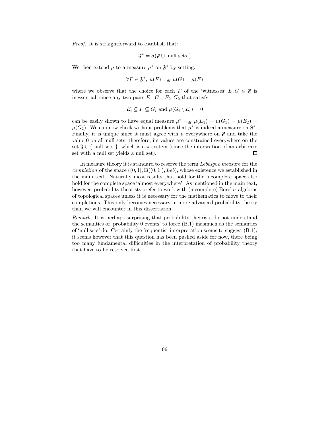Proof. It is straightforward to establish that:

$$
\mathfrak{F}^* = \sigma(\mathfrak{F} \cup \text{ null sets})
$$

We then extend  $\mu$  to a measure  $\mu^*$  on  $\mathfrak{F}^*$  by setting:

$$
\forall F \in \mathfrak{F}^*, \ \mu(F) =_{df} \mu(G) = \mu(E)
$$

where we observe that the choice for each F of the 'witnesses'  $E, G \in \mathfrak{F}$  is inessential, since any two pairs  $E_1, G_1, E_2, G_2$  that satisfy:

$$
E_i \subseteq F \subseteq G_i \text{ and } \mu(G_i \setminus E_i) = 0
$$

can be easily shown to have equal measure  $\mu^* =_{df} \mu(E_1) = \mu(G_1) = \mu(E_2)$  $\mu(G_2)$ . We can now check without problems that  $\mu^*$  is indeed a measure on  $\mathfrak{F}^*$ . Finally, it is unique since it must agree with  $\mu$  everywhere on  $\mathfrak{F}$  and take the value 0 on all null sets; therefore, its values are constrained everywhere on the set  $\mathfrak{F} \cup \{ \text{ null sets } \}$ , which is a  $\pi$ -system (since the intersection of an arbitrary set with a null set yields a null set).  $\Box$ 

In measure theory it is standard to reserve the term Lebesgue measure for the completion of the space  $((0, 1], \mathbf{B}((0, 1]), Leb)$ , whose existence we established in the main text. Naturally most results that hold for the incomplete space also hold for the complete space 'almost everywhere'. As mentioned in the main text, however, probability theorists prefer to work with (incomplete) Borel  $\sigma$ -algebras of topological spaces unless it is necessary for the mathematics to move to their completions. This only becomes necessary in more advanced probability theory than we will encounter in this dissertation.

Remark. It is perhaps surprising that probability theorists do not understand the semantics of 'probability 0 events' to force (B.1) inasmuch as the semantics of 'null sets' do. Certainly the frequentist interpretation seems to suggest (B.1); it seems however that this question has been pushed aside for now, there being too many fundamental difficulties in the interpretation of probability theory that have to be resolved first.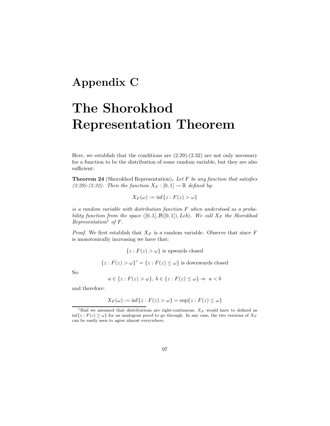### Appendix C

## The Shorokhod Representation Theorem

Here, we establish that the conditions are  $(2.29)-(2.32)$  are not only necessary for a function to be the distribution of some random variable, but they are also sufficient:

**Theorem 24** (Shorokhod Representation). Let  $F$  be any function that satisfies (2.29)-(2.32). Then the function  $X_F : [0,1] \to \mathbb{R}$  defined by:

$$
X_F(\omega) := \inf\{z : F(z) > \omega\}
$$

is a random variable with distribution function F when understood as a probability function from the space  $([0,1], \mathcal{B}([0,1]), Leb)$ . We call  $X_F$  the Skorokhod Representation<sup>1</sup> of  $F$ .

*Proof.* We first establish that  $X_F$  is a random variable. Observe that since F is monotonically increasing we have that:

 ${z : F(z) > \omega}$  is upwards closed

 ${z : F(z) > \omega}^c = {z : F(z) \leq \omega}$  is downwards closed

So:

$$
a \in \{z : F(z) > \omega\}, \ b \in \{z : F(z) \le \omega\} \Rightarrow a < b
$$

and therefore:

$$
X_F(\omega) := \inf\{z : F(z) > \omega\} = \sup\{z : F(z) \le \omega\}
$$

<sup>&</sup>lt;sup>1</sup>Had we assumed that distributions are right-continuous,  $X_F$  would have to defined as  $\inf\{z: F(z) \geq \omega\}$  for an analogous proof to go through. In any case, the two versions of  $X_F$ can be easily seen to agree almost everywhere.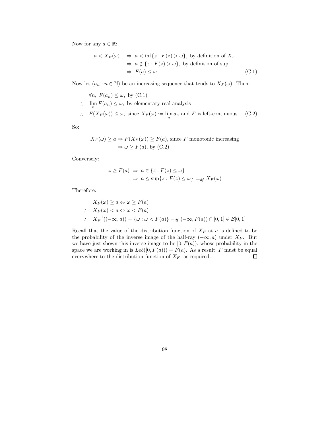Now for any  $a \in \mathbb{R}$ :

$$
a < X_F(\omega) \Rightarrow a < \inf\{z : F(z) > \omega\}, \text{ by definition of } X_F
$$
  
\n
$$
\Rightarrow a \notin \{z : F(z) > \omega\}, \text{ by definition of sup}
$$
  
\n
$$
\Rightarrow F(a) \leq \omega
$$
 (C.1)

Now let  $(a_n : n \in \mathbb{N})$  be an increasing sequence that tends to  $X_F(\omega)$ . Then:

$$
\forall n, F(a_n) \leq \omega, \text{ by } (C.1)
$$
  
∴  $\lim_{n} F(a_n) \leq \omega$ , by elementary real analysis  
∴  $F(X_F(\omega)) \leq \omega$ , since  $X_F(\omega) := \lim_{n} a_n$  and  $F$  is left-continuous (C.2)

So:

$$
X_F(\omega) \ge a \Rightarrow F(X_F(\omega)) \ge F(a),
$$
 since F monotonic increasing  

$$
\Rightarrow \omega \ge F(a),
$$
 by (C.2)

Conversely:

$$
\omega \ge F(a) \Rightarrow a \in \{z : F(z) \le \omega\}
$$
  

$$
\Rightarrow a \le \sup\{z : F(z) \le \omega\} =_{df} X_F(\omega)
$$

Therefore:

$$
X_F(\omega) \ge a \Leftrightarrow \omega \ge F(a)
$$
  
\n
$$
\therefore X_F(\omega) < a \Leftrightarrow \omega < F(a)
$$
  
\n
$$
\therefore X_F^{-1}((-\infty, a)) = \{\omega : \omega < F(a)\} =_{df} (-\infty, F(a)) \cap [0, 1] \in \mathcal{B}[0, 1]
$$

Recall that the value of the distribution function of  $X_F$  at a is defined to be the probability of the inverse image of the half-ray  $(-\infty, a)$  under  $X_F$ . But we have just shown this inverse image to be  $[0, F(a))$ , whose probability in the space we are working in is  $Leb([0, F(a))) = F(a)$ . As a result, F must be equal everywhere to the distribution function of  $X_F$ , as required.  $\Box$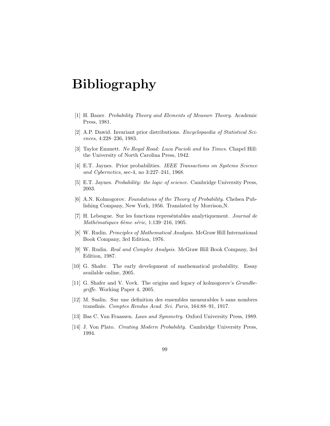## Bibliography

- [1] H. Bauer. Probability Theory and Elements of Measure Theory. Academic Press, 1981.
- [2] A.P. Dawid. Invariant prior distributions. Encyclopaedia of Statistical Sciences, 4:228–236, 1983.
- [3] Taylor Emmett. No Royal Road: Luca Pacioli and his Times. Chapel Hill: the University of North Carolina Press, 1942.
- [4] E.T. Jaynes. Prior probabilities. IEEE Transactions on Systems Science and Cybernetics, sec-4, no 3:227–241, 1968.
- [5] E.T. Jaynes. Probability: the logic of science. Cambridge University Press, 2003.
- [6] A.N. Kolmogorov. Foundations of the Theory of Probability. Chelsea Publishing Company, New York, 1956. Translated by Morrison,N.
- [7] H. Lebesgue. Sur les fonctions representables analytiquement. *Journal de* Mathématiques 6ème série, 1:139–216, 1905.
- [8] W. Rudin. Principles of Mathematical Analysis. McGraw Hill International Book Company, 3rd Edition, 1976.
- [9] W. Rudin. Real and Complex Analysis. McGraw Hill Book Company, 3rd Edition, 1987.
- [10] G. Shafer. The early development of mathematical probability. Essay available online, 2005.
- [11] G. Shafer and V. Vovk. The origins and legacy of kolmogorov's *Grundbe*griffe. Working Paper 4, 2005.
- [12] M. Suslin. Sur une definition des ensembles measurables b sans nombres transfinis. Comptes Rendus Acad. Sci. Paris, 164:88–91, 1917.
- [13] Bas C. Van Fraassen. Laws and Symmetry. Oxford University Press, 1989.
- [14] J. Von Plato. Creating Modern Probability. Cambridge University Press, 1994.